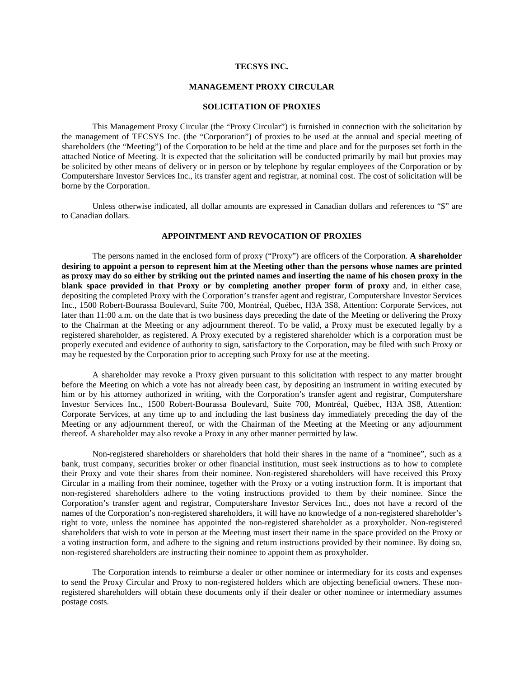## **TECSYS INC.**

### **MANAGEMENT PROXY CIRCULAR**

### **SOLICITATION OF PROXIES**

This Management Proxy Circular (the "Proxy Circular") is furnished in connection with the solicitation by the management of TECSYS Inc. (the "Corporation") of proxies to be used at the annual and special meeting of shareholders (the "Meeting") of the Corporation to be held at the time and place and for the purposes set forth in the attached Notice of Meeting. It is expected that the solicitation will be conducted primarily by mail but proxies may be solicited by other means of delivery or in person or by telephone by regular employees of the Corporation or by Computershare Investor Services Inc., its transfer agent and registrar, at nominal cost. The cost of solicitation will be borne by the Corporation.

Unless otherwise indicated, all dollar amounts are expressed in Canadian dollars and references to "\$" are to Canadian dollars.

# **APPOINTMENT AND REVOCATION OF PROXIES**

The persons named in the enclosed form of proxy ("Proxy") are officers of the Corporation. **A shareholder desiring to appoint a person to represent him at the Meeting other than the persons whose names are printed as proxy may do so either by striking out the printed names and inserting the name of his chosen proxy in the blank space provided in that Proxy or by completing another proper form of proxy** and, in either case, depositing the completed Proxy with the Corporation's transfer agent and registrar, Computershare Investor Services Inc., 1500 Robert-Bourassa Boulevard, Suite 700, Montréal, Québec, H3A 3S8, Attention: Corporate Services, not later than 11:00 a.m. on the date that is two business days preceding the date of the Meeting or delivering the Proxy to the Chairman at the Meeting or any adjournment thereof. To be valid, a Proxy must be executed legally by a registered shareholder, as registered. A Proxy executed by a registered shareholder which is a corporation must be properly executed and evidence of authority to sign, satisfactory to the Corporation, may be filed with such Proxy or may be requested by the Corporation prior to accepting such Proxy for use at the meeting.

A shareholder may revoke a Proxy given pursuant to this solicitation with respect to any matter brought before the Meeting on which a vote has not already been cast, by depositing an instrument in writing executed by him or by his attorney authorized in writing, with the Corporation's transfer agent and registrar, Computershare Investor Services Inc., 1500 Robert-Bourassa Boulevard, Suite 700, Montréal, Québec, H3A 3S8, Attention: Corporate Services, at any time up to and including the last business day immediately preceding the day of the Meeting or any adjournment thereof, or with the Chairman of the Meeting at the Meeting or any adjournment thereof. A shareholder may also revoke a Proxy in any other manner permitted by law.

Non-registered shareholders or shareholders that hold their shares in the name of a "nominee", such as a bank, trust company, securities broker or other financial institution, must seek instructions as to how to complete their Proxy and vote their shares from their nominee. Non-registered shareholders will have received this Proxy Circular in a mailing from their nominee, together with the Proxy or a voting instruction form. It is important that non-registered shareholders adhere to the voting instructions provided to them by their nominee. Since the Corporation's transfer agent and registrar, Computershare Investor Services Inc., does not have a record of the names of the Corporation's non-registered shareholders, it will have no knowledge of a non-registered shareholder's right to vote, unless the nominee has appointed the non-registered shareholder as a proxyholder. Non-registered shareholders that wish to vote in person at the Meeting must insert their name in the space provided on the Proxy or a voting instruction form, and adhere to the signing and return instructions provided by their nominee. By doing so, non-registered shareholders are instructing their nominee to appoint them as proxyholder.

The Corporation intends to reimburse a dealer or other nominee or intermediary for its costs and expenses to send the Proxy Circular and Proxy to non-registered holders which are objecting beneficial owners. These nonregistered shareholders will obtain these documents only if their dealer or other nominee or intermediary assumes postage costs.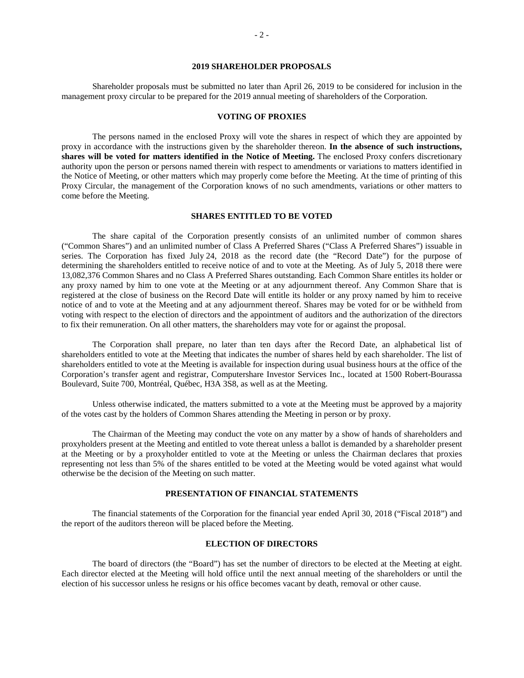## **2019 SHAREHOLDER PROPOSALS**

Shareholder proposals must be submitted no later than April 26, 2019 to be considered for inclusion in the management proxy circular to be prepared for the 2019 annual meeting of shareholders of the Corporation.

#### **VOTING OF PROXIES**

The persons named in the enclosed Proxy will vote the shares in respect of which they are appointed by proxy in accordance with the instructions given by the shareholder thereon. **In the absence of such instructions, shares will be voted for matters identified in the Notice of Meeting.** The enclosed Proxy confers discretionary authority upon the person or persons named therein with respect to amendments or variations to matters identified in the Notice of Meeting, or other matters which may properly come before the Meeting. At the time of printing of this Proxy Circular, the management of the Corporation knows of no such amendments, variations or other matters to come before the Meeting.

### **SHARES ENTITLED TO BE VOTED**

The share capital of the Corporation presently consists of an unlimited number of common shares ("Common Shares") and an unlimited number of Class A Preferred Shares ("Class A Preferred Shares") issuable in series. The Corporation has fixed July 24, 2018 as the record date (the "Record Date") for the purpose of determining the shareholders entitled to receive notice of and to vote at the Meeting. As of July 5, 2018 there were 13,082,376 Common Shares and no Class A Preferred Shares outstanding. Each Common Share entitles its holder or any proxy named by him to one vote at the Meeting or at any adjournment thereof. Any Common Share that is registered at the close of business on the Record Date will entitle its holder or any proxy named by him to receive notice of and to vote at the Meeting and at any adjournment thereof. Shares may be voted for or be withheld from voting with respect to the election of directors and the appointment of auditors and the authorization of the directors to fix their remuneration. On all other matters, the shareholders may vote for or against the proposal.

The Corporation shall prepare, no later than ten days after the Record Date, an alphabetical list of shareholders entitled to vote at the Meeting that indicates the number of shares held by each shareholder. The list of shareholders entitled to vote at the Meeting is available for inspection during usual business hours at the office of the Corporation's transfer agent and registrar, Computershare Investor Services Inc., located at 1500 Robert-Bourassa Boulevard, Suite 700, Montréal, Québec, H3A 3S8, as well as at the Meeting.

Unless otherwise indicated, the matters submitted to a vote at the Meeting must be approved by a majority of the votes cast by the holders of Common Shares attending the Meeting in person or by proxy.

The Chairman of the Meeting may conduct the vote on any matter by a show of hands of shareholders and proxyholders present at the Meeting and entitled to vote thereat unless a ballot is demanded by a shareholder present at the Meeting or by a proxyholder entitled to vote at the Meeting or unless the Chairman declares that proxies representing not less than 5% of the shares entitled to be voted at the Meeting would be voted against what would otherwise be the decision of the Meeting on such matter.

## **PRESENTATION OF FINANCIAL STATEMENTS**

The financial statements of the Corporation for the financial year ended April 30, 2018 ("Fiscal 2018") and the report of the auditors thereon will be placed before the Meeting.

### **ELECTION OF DIRECTORS**

The board of directors (the "Board") has set the number of directors to be elected at the Meeting at eight. Each director elected at the Meeting will hold office until the next annual meeting of the shareholders or until the election of his successor unless he resigns or his office becomes vacant by death, removal or other cause.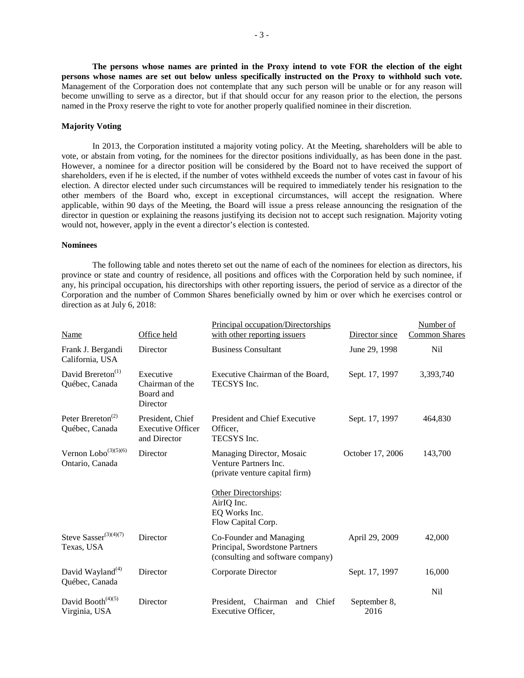**The persons whose names are printed in the Proxy intend to vote FOR the election of the eight persons whose names are set out below unless specifically instructed on the Proxy to withhold such vote.** Management of the Corporation does not contemplate that any such person will be unable or for any reason will become unwilling to serve as a director, but if that should occur for any reason prior to the election, the persons named in the Proxy reserve the right to vote for another properly qualified nominee in their discretion.

## **Majority Voting**

In 2013, the Corporation instituted a majority voting policy. At the Meeting, shareholders will be able to vote, or abstain from voting, for the nominees for the director positions individually, as has been done in the past. However, a nominee for a director position will be considered by the Board not to have received the support of shareholders, even if he is elected, if the number of votes withheld exceeds the number of votes cast in favour of his election. A director elected under such circumstances will be required to immediately tender his resignation to the other members of the Board who, except in exceptional circumstances, will accept the resignation. Where applicable, within 90 days of the Meeting, the Board will issue a press release announcing the resignation of the director in question or explaining the reasons justifying its decision not to accept such resignation. Majority voting would not, however, apply in the event a director's election is contested.

## **Nominees**

The following table and notes thereto set out the name of each of the nominees for election as directors, his province or state and country of residence, all positions and offices with the Corporation held by such nominee, if any, his principal occupation, his directorships with other reporting issuers, the period of service as a director of the Corporation and the number of Common Shares beneficially owned by him or over which he exercises control or direction as at July 6, 2018:

|                                                 |                                                              | Principal occupation/Directorships                                                             |                      | Number of            |
|-------------------------------------------------|--------------------------------------------------------------|------------------------------------------------------------------------------------------------|----------------------|----------------------|
| <b>Name</b>                                     | Office held                                                  | with other reporting issuers                                                                   | Director since       | <b>Common Shares</b> |
| Frank J. Bergandi<br>California, USA            | Director                                                     | <b>Business Consultant</b>                                                                     | June 29, 1998        | Nil                  |
| David Brereton <sup>(1)</sup><br>Québec, Canada | Executive<br>Chairman of the<br>Board and<br>Director        | Executive Chairman of the Board,<br>TECSYS Inc.                                                | Sept. 17, 1997       | 3,393,740            |
| Peter Brereton <sup>(2)</sup><br>Québec, Canada | President, Chief<br><b>Executive Officer</b><br>and Director | <b>President and Chief Executive</b><br>Officer,<br>TECSYS Inc.                                | Sept. 17, 1997       | 464,830              |
| Vernon $Lobo^{(3)(5)(6)}$<br>Ontario, Canada    | Director                                                     | Managing Director, Mosaic<br>Venture Partners Inc.<br>(private venture capital firm)           | October 17, 2006     | 143,700              |
|                                                 |                                                              | Other Directorships:<br>AirIQ Inc.<br>EQ Works Inc.<br>Flow Capital Corp.                      |                      |                      |
| Steve Sasser $(3)(4)(7)$<br>Texas, USA          | Director                                                     | Co-Founder and Managing<br>Principal, Swordstone Partners<br>(consulting and software company) | April 29, 2009       | 42,000               |
| David Wayland <sup>(4)</sup><br>Québec, Canada  | Director                                                     | Corporate Director                                                                             | Sept. 17, 1997       | 16,000               |
| David Booth $(4)(5)$<br>Virginia, USA           | Director                                                     | Chairman<br>Chief<br>President.<br>and<br>Executive Officer,                                   | September 8,<br>2016 | <b>Nil</b>           |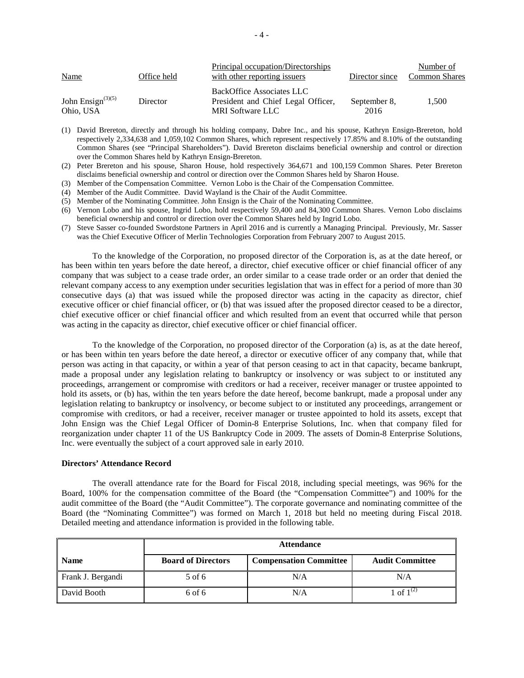| <b>Name</b>                       | Office held | Principal occupation/Directorships<br>with other reporting issuers                         | Director since       | Number of<br><b>Common Shares</b> |
|-----------------------------------|-------------|--------------------------------------------------------------------------------------------|----------------------|-----------------------------------|
| John Ensign $(3)(5)$<br>Ohio, USA | Director    | BackOffice Associates LLC<br>President and Chief Legal Officer,<br><b>MRI</b> Software LLC | September 8,<br>2016 | 1.500                             |

- (1) David Brereton, directly and through his holding company, Dabre Inc., and his spouse, Kathryn Ensign-Brereton, hold respectively 2,334,638 and 1,059,102 Common Shares, which represent respectively 17.85% and 8.10% of the outstanding Common Shares (see "Principal Shareholders"). David Brereton disclaims beneficial ownership and control or direction over the Common Shares held by Kathryn Ensign-Brereton.
- (2) Peter Brereton and his spouse, Sharon House, hold respectively 364,671 and 100,159 Common Shares. Peter Brereton disclaims beneficial ownership and control or direction over the Common Shares held by Sharon House.
- (3) Member of the Compensation Committee. Vernon Lobo is the Chair of the Compensation Committee.
- (4) Member of the Audit Committee. David Wayland is the Chair of the Audit Committee.
- (5) Member of the Nominating Committee. John Ensign is the Chair of the Nominating Committee.
- (6) Vernon Lobo and his spouse, Ingrid Lobo, hold respectively 59,400 and 84,300 Common Shares. Vernon Lobo disclaims beneficial ownership and control or direction over the Common Shares held by Ingrid Lobo.
- (7) Steve Sasser co-founded Swordstone Partners in April 2016 and is currently a Managing Principal. Previously, Mr. Sasser was the Chief Executive Officer of Merlin Technologies Corporation from February 2007 to August 2015.

To the knowledge of the Corporation, no proposed director of the Corporation is, as at the date hereof, or has been within ten years before the date hereof, a director, chief executive officer or chief financial officer of any company that was subject to a cease trade order, an order similar to a cease trade order or an order that denied the relevant company access to any exemption under securities legislation that was in effect for a period of more than 30 consecutive days (a) that was issued while the proposed director was acting in the capacity as director, chief executive officer or chief financial officer, or (b) that was issued after the proposed director ceased to be a director, chief executive officer or chief financial officer and which resulted from an event that occurred while that person was acting in the capacity as director, chief executive officer or chief financial officer.

To the knowledge of the Corporation, no proposed director of the Corporation (a) is, as at the date hereof, or has been within ten years before the date hereof, a director or executive officer of any company that, while that person was acting in that capacity, or within a year of that person ceasing to act in that capacity, became bankrupt, made a proposal under any legislation relating to bankruptcy or insolvency or was subject to or instituted any proceedings, arrangement or compromise with creditors or had a receiver, receiver manager or trustee appointed to hold its assets, or (b) has, within the ten years before the date hereof, become bankrupt, made a proposal under any legislation relating to bankruptcy or insolvency, or become subject to or instituted any proceedings, arrangement or compromise with creditors, or had a receiver, receiver manager or trustee appointed to hold its assets, except that John Ensign was the Chief Legal Officer of Domin-8 Enterprise Solutions, Inc. when that company filed for reorganization under chapter 11 of the US Bankruptcy Code in 2009. The assets of Domin-8 Enterprise Solutions, Inc. were eventually the subject of a court approved sale in early 2010.

#### **Directors' Attendance Record**

The overall attendance rate for the Board for Fiscal 2018, including special meetings, was 96% for the Board, 100% for the compensation committee of the Board (the "Compensation Committee") and 100% for the audit committee of the Board (the "Audit Committee"). The corporate governance and nominating committee of the Board (the "Nominating Committee") was formed on March 1, 2018 but held no meeting during Fiscal 2018. Detailed meeting and attendance information is provided in the following table.

|                   | <b>Attendance</b>         |                               |                        |  |  |  |
|-------------------|---------------------------|-------------------------------|------------------------|--|--|--|
| <b>Name</b>       | <b>Board of Directors</b> | <b>Compensation Committee</b> | <b>Audit Committee</b> |  |  |  |
| Frank J. Bergandi | 5 of 6                    | N/A                           | N/A                    |  |  |  |
| David Booth       | 6 of 6                    | N/A                           | 1 of $1^{(2)}$         |  |  |  |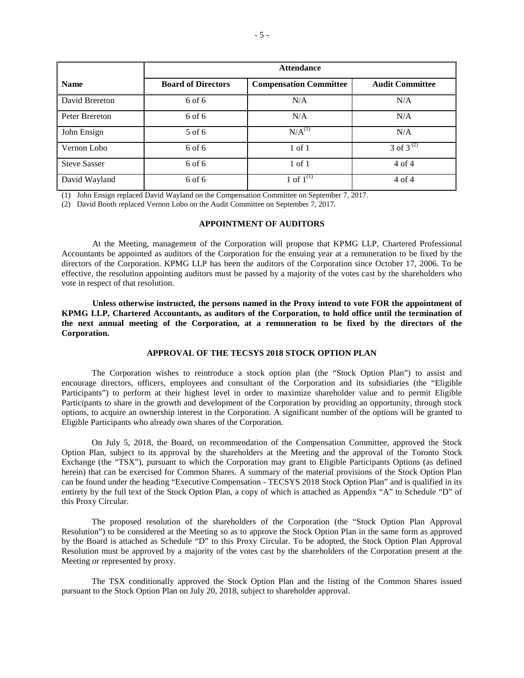|                     | <b>Attendance</b>         |                               |                        |  |  |  |  |  |
|---------------------|---------------------------|-------------------------------|------------------------|--|--|--|--|--|
| <b>Name</b>         | <b>Board of Directors</b> | <b>Compensation Committee</b> | <b>Audit Committee</b> |  |  |  |  |  |
| David Brereton      | 6 of 6                    | N/A                           | N/A                    |  |  |  |  |  |
| Peter Brereton      | 6 of 6                    | N/A                           | N/A                    |  |  |  |  |  |
| John Ensign         | $5$ of 6                  | $N/A^{(1)}$                   | N/A                    |  |  |  |  |  |
| Vernon Lobo         | $6$ of $6$                | $1$ of $1$                    | 3 of $3^{(2)}$         |  |  |  |  |  |
| <b>Steve Sasser</b> | $6$ of $6$                | $1$ of $1$                    | $4$ of $4$             |  |  |  |  |  |
| David Wayland       | 6 of 6                    | 1 of $1^{(1)}$                | $4$ of $4$             |  |  |  |  |  |

(1) John Ensign replaced David Wayland on the Compensation Committee on September 7, 2017.

(2) David Booth replaced Vernon Lobo on the Audit Committee on September 7, 2017.

### **APPOINTMENT OF AUDITORS**

At the Meeting, management of the Corporation will propose that KPMG LLP, Chartered Professional Accountants be appointed as auditors of the Corporation for the ensuing year at a remuneration to be fixed by the directors of the Corporation. KPMG LLP has been the auditors of the Corporation since October 17, 2006. To be effective, the resolution appointing auditors must be passed by a majority of the votes cast by the shareholders who vote in respect of that resolution.

**Unless otherwise instructed, the persons named in the Proxy intend to vote FOR the appointment of KPMG LLP, Chartered Accountants, as auditors of the Corporation, to hold office until the termination of the next annual meeting of the Corporation, at a remuneration to be fixed by the directors of the Corporation.**

## **APPROVAL OF THE TECSYS 2018 STOCK OPTION PLAN**

The Corporation wishes to reintroduce a stock option plan (the "Stock Option Plan") to assist and encourage directors, officers, employees and consultant of the Corporation and its subsidiaries (the "Eligible Participants") to perform at their highest level in order to maximize shareholder value and to permit Eligible Participants to share in the growth and development of the Corporation by providing an opportunity, through stock options, to acquire an ownership interest in the Corporation. A significant number of the options will be granted to Eligible Participants who already own shares of the Corporation.

On July 5, 2018, the Board, on recommendation of the Compensation Committee, approved the Stock Option Plan, subject to its approval by the shareholders at the Meeting and the approval of the Toronto Stock Exchange (the "TSX"), pursuant to which the Corporation may grant to Eligible Participants Options (as defined herein) that can be exercised for Common Shares. A summary of the material provisions of the Stock Option Plan can be found under the heading "Executive Compensation - TECSYS 2018 Stock Option Plan" and is qualified in its entirety by the full text of the Stock Option Plan, a copy of which is attached as Appendix "A" to Schedule "D" of this Proxy Circular.

The proposed resolution of the shareholders of the Corporation (the "Stock Option Plan Approval Resolution") to be considered at the Meeting so as to approve the Stock Option Plan in the same form as approved by the Board is attached as Schedule "D" to this Proxy Circular. To be adopted, the Stock Option Plan Approval Resolution must be approved by a majority of the votes cast by the shareholders of the Corporation present at the Meeting or represented by proxy.

The TSX conditionally approved the Stock Option Plan and the listing of the Common Shares issued pursuant to the Stock Option Plan on July 20, 2018, subject to shareholder approval.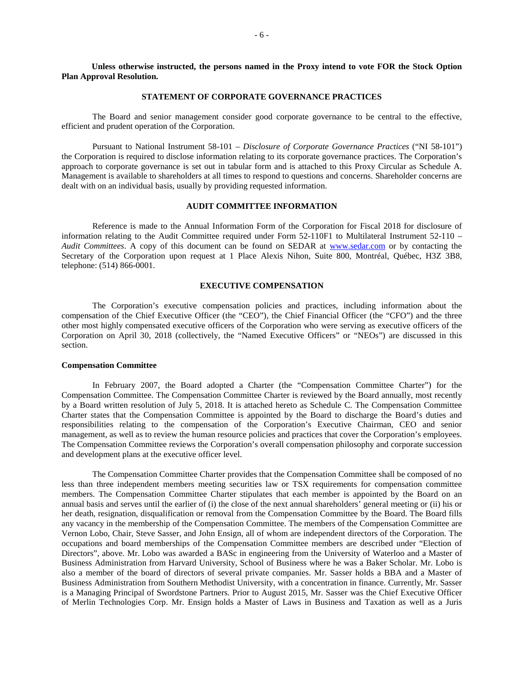**Unless otherwise instructed, the persons named in the Proxy intend to vote FOR the Stock Option Plan Approval Resolution.**

#### **STATEMENT OF CORPORATE GOVERNANCE PRACTICES**

The Board and senior management consider good corporate governance to be central to the effective, efficient and prudent operation of the Corporation.

Pursuant to National Instrument 58-101 – *Disclosure of Corporate Governance Practices* ("NI 58-101") the Corporation is required to disclose information relating to its corporate governance practices. The Corporation's approach to corporate governance is set out in tabular form and is attached to this Proxy Circular as Schedule A. Management is available to shareholders at all times to respond to questions and concerns. Shareholder concerns are dealt with on an individual basis, usually by providing requested information.

### **AUDIT COMMITTEE INFORMATION**

Reference is made to the Annual Information Form of the Corporation for Fiscal 2018 for disclosure of information relating to the Audit Committee required under Form 52-110F1 to Multilateral Instrument 52-110 – *Audit Committees*. A copy of this document can be found on SEDAR at www.sedar.com or by contacting the Secretary of the Corporation upon request at 1 Place Alexis Nihon, Suite 800, Montréal, Québec, H3Z 3B8, telephone: (514) 866-0001.

#### **EXECUTIVE COMPENSATION**

The Corporation's executive compensation policies and practices, including information about the compensation of the Chief Executive Officer (the "CEO"), the Chief Financial Officer (the "CFO") and the three other most highly compensated executive officers of the Corporation who were serving as executive officers of the Corporation on April 30, 2018 (collectively, the "Named Executive Officers" or "NEOs") are discussed in this section.

### **Compensation Committee**

In February 2007, the Board adopted a Charter (the "Compensation Committee Charter") for the Compensation Committee. The Compensation Committee Charter is reviewed by the Board annually, most recently by a Board written resolution of July 5, 2018. It is attached hereto as Schedule C. The Compensation Committee Charter states that the Compensation Committee is appointed by the Board to discharge the Board's duties and responsibilities relating to the compensation of the Corporation's Executive Chairman, CEO and senior management, as well as to review the human resource policies and practices that cover the Corporation's employees. The Compensation Committee reviews the Corporation's overall compensation philosophy and corporate succession and development plans at the executive officer level.

The Compensation Committee Charter provides that the Compensation Committee shall be composed of no less than three independent members meeting securities law or TSX requirements for compensation committee members. The Compensation Committee Charter stipulates that each member is appointed by the Board on an annual basis and serves until the earlier of (i) the close of the next annual shareholders' general meeting or (ii) his or her death, resignation, disqualification or removal from the Compensation Committee by the Board. The Board fills any vacancy in the membership of the Compensation Committee. The members of the Compensation Committee are Vernon Lobo, Chair, Steve Sasser, and John Ensign, all of whom are independent directors of the Corporation. The occupations and board memberships of the Compensation Committee members are described under "Election of Directors", above. Mr. Lobo was awarded a BASc in engineering from the University of Waterloo and a Master of Business Administration from Harvard University, School of Business where he was a Baker Scholar. Mr. Lobo is also a member of the board of directors of several private companies. Mr. Sasser holds a BBA and a Master of Business Administration from Southern Methodist University, with a concentration in finance. Currently, Mr. Sasser is a Managing Principal of Swordstone Partners. Prior to August 2015, Mr. Sasser was the Chief Executive Officer of Merlin Technologies Corp. Mr. Ensign holds a Master of Laws in Business and Taxation as well as a Juris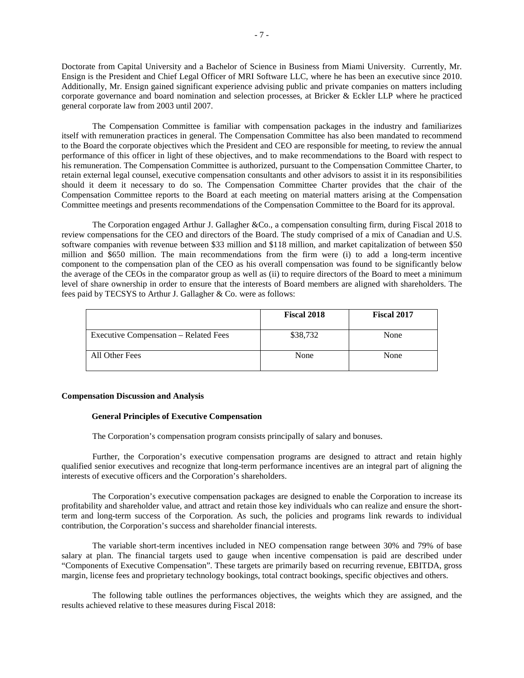Doctorate from Capital University and a Bachelor of Science in Business from Miami University. Currently, Mr. Ensign is the President and Chief Legal Officer of MRI Software LLC, where he has been an executive since 2010. Additionally, Mr. Ensign gained significant experience advising public and private companies on matters including corporate governance and board nomination and selection processes, at Bricker & Eckler LLP where he practiced general corporate law from 2003 until 2007.

The Compensation Committee is familiar with compensation packages in the industry and familiarizes itself with remuneration practices in general. The Compensation Committee has also been mandated to recommend to the Board the corporate objectives which the President and CEO are responsible for meeting, to review the annual performance of this officer in light of these objectives, and to make recommendations to the Board with respect to his remuneration. The Compensation Committee is authorized, pursuant to the Compensation Committee Charter, to retain external legal counsel, executive compensation consultants and other advisors to assist it in its responsibilities should it deem it necessary to do so. The Compensation Committee Charter provides that the chair of the Compensation Committee reports to the Board at each meeting on material matters arising at the Compensation Committee meetings and presents recommendations of the Compensation Committee to the Board for its approval.

The Corporation engaged Arthur J. Gallagher &Co., a compensation consulting firm, during Fiscal 2018 to review compensations for the CEO and directors of the Board. The study comprised of a mix of Canadian and U.S. software companies with revenue between \$33 million and \$118 million, and market capitalization of between \$50 million and \$650 million. The main recommendations from the firm were (i) to add a long-term incentive component to the compensation plan of the CEO as his overall compensation was found to be significantly below the average of the CEOs in the comparator group as well as (ii) to require directors of the Board to meet a minimum level of share ownership in order to ensure that the interests of Board members are aligned with shareholders. The fees paid by TECSYS to Arthur J. Gallagher & Co. were as follows:

|                                       | <b>Fiscal 2018</b> | <b>Fiscal 2017</b> |
|---------------------------------------|--------------------|--------------------|
| Executive Compensation – Related Fees | \$38,732           | None               |
| All Other Fees                        | None               | None               |

### **Compensation Discussion and Analysis**

## **General Principles of Executive Compensation**

The Corporation's compensation program consists principally of salary and bonuses.

Further, the Corporation's executive compensation programs are designed to attract and retain highly qualified senior executives and recognize that long-term performance incentives are an integral part of aligning the interests of executive officers and the Corporation's shareholders.

The Corporation's executive compensation packages are designed to enable the Corporation to increase its profitability and shareholder value, and attract and retain those key individuals who can realize and ensure the shortterm and long-term success of the Corporation. As such, the policies and programs link rewards to individual contribution, the Corporation's success and shareholder financial interests.

The variable short-term incentives included in NEO compensation range between 30% and 79% of base salary at plan. The financial targets used to gauge when incentive compensation is paid are described under "Components of Executive Compensation". These targets are primarily based on recurring revenue, EBITDA, gross margin, license fees and proprietary technology bookings, total contract bookings, specific objectives and others.

The following table outlines the performances objectives, the weights which they are assigned, and the results achieved relative to these measures during Fiscal 2018: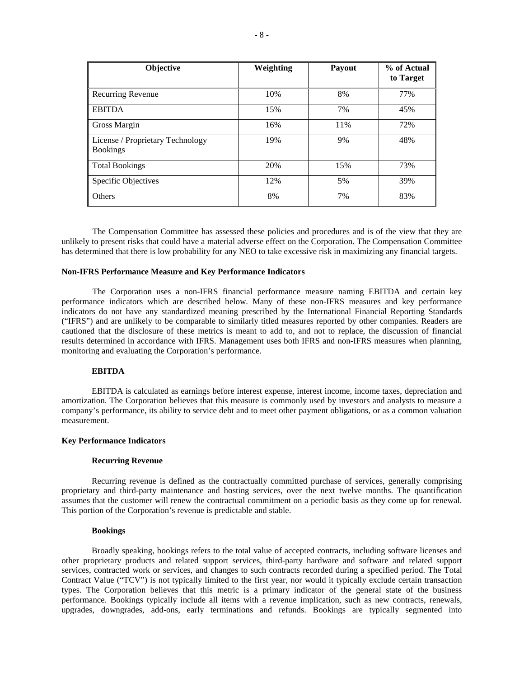| Objective                                           | Weighting | Payout | % of Actual<br>to Target |
|-----------------------------------------------------|-----------|--------|--------------------------|
| <b>Recurring Revenue</b>                            | 10%       | 8%     | 77%                      |
| <b>EBITDA</b>                                       | 15%       | 7%     | 45%                      |
| Gross Margin                                        | 16%       | 11%    | 72%                      |
| License / Proprietary Technology<br><b>Bookings</b> | 19%       | 9%     | 48%                      |
| <b>Total Bookings</b>                               | 20%       | 15%    | 73%                      |
| <b>Specific Objectives</b>                          | 12%       | 5%     | 39%                      |
| <b>Others</b>                                       | 8%        | 7%     | 83%                      |

The Compensation Committee has assessed these policies and procedures and is of the view that they are unlikely to present risks that could have a material adverse effect on the Corporation. The Compensation Committee has determined that there is low probability for any NEO to take excessive risk in maximizing any financial targets.

### **Non-IFRS Performance Measure and Key Performance Indicators**

The Corporation uses a non-IFRS financial performance measure naming EBITDA and certain key performance indicators which are described below. Many of these non-IFRS measures and key performance indicators do not have any standardized meaning prescribed by the International Financial Reporting Standards ("IFRS") and are unlikely to be comparable to similarly titled measures reported by other companies. Readers are cautioned that the disclosure of these metrics is meant to add to, and not to replace, the discussion of financial results determined in accordance with IFRS. Management uses both IFRS and non-IFRS measures when planning, monitoring and evaluating the Corporation's performance.

#### **EBITDA**

EBITDA is calculated as earnings before interest expense, interest income, income taxes, depreciation and amortization. The Corporation believes that this measure is commonly used by investors and analysts to measure a company's performance, its ability to service debt and to meet other payment obligations, or as a common valuation measurement.

### **Key Performance Indicators**

#### **Recurring Revenue**

Recurring revenue is defined as the contractually committed purchase of services, generally comprising proprietary and third-party maintenance and hosting services, over the next twelve months. The quantification assumes that the customer will renew the contractual commitment on a periodic basis as they come up for renewal. This portion of the Corporation's revenue is predictable and stable.

#### **Bookings**

Broadly speaking, bookings refers to the total value of accepted contracts, including software licenses and other proprietary products and related support services, third-party hardware and software and related support services, contracted work or services, and changes to such contracts recorded during a specified period. The Total Contract Value ("TCV") is not typically limited to the first year, nor would it typically exclude certain transaction types. The Corporation believes that this metric is a primary indicator of the general state of the business performance. Bookings typically include all items with a revenue implication, such as new contracts, renewals, upgrades, downgrades, add-ons, early terminations and refunds. Bookings are typically segmented into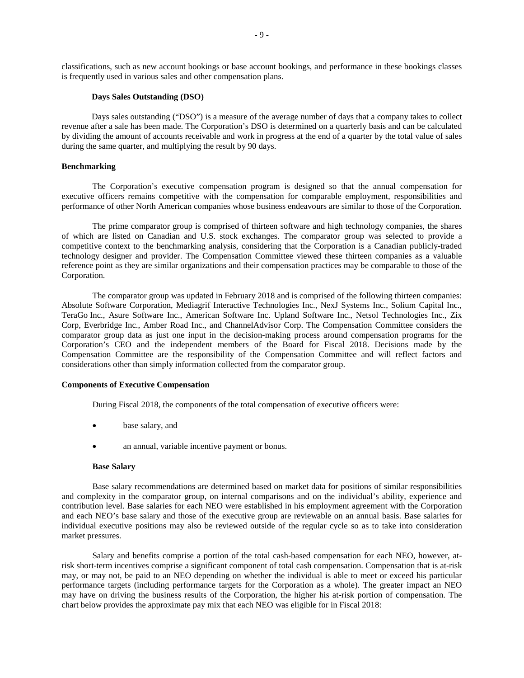classifications, such as new account bookings or base account bookings, and performance in these bookings classes is frequently used in various sales and other compensation plans.

#### **Days Sales Outstanding (DSO)**

Days sales outstanding ("DSO") is a measure of the average number of days that a company takes to collect revenue after a sale has been made. The Corporation's DSO is determined on a quarterly basis and can be calculated by dividing the amount of accounts receivable and work in progress at the end of a quarter by the total value of sales during the same quarter, and multiplying the result by 90 days.

### **Benchmarking**

The Corporation's executive compensation program is designed so that the annual compensation for executive officers remains competitive with the compensation for comparable employment, responsibilities and performance of other North American companies whose business endeavours are similar to those of the Corporation.

The prime comparator group is comprised of thirteen software and high technology companies, the shares of which are listed on Canadian and U.S. stock exchanges. The comparator group was selected to provide a competitive context to the benchmarking analysis, considering that the Corporation is a Canadian publicly-traded technology designer and provider. The Compensation Committee viewed these thirteen companies as a valuable reference point as they are similar organizations and their compensation practices may be comparable to those of the Corporation.

The comparator group was updated in February 2018 and is comprised of the following thirteen companies: Absolute Software Corporation, Mediagrif Interactive Technologies Inc., NexJ Systems Inc., Solium Capital Inc., TeraGo Inc., Asure Software Inc., American Software Inc. Upland Software Inc., Netsol Technologies Inc., Zix Corp, Everbridge Inc., Amber Road Inc., and ChannelAdvisor Corp. The Compensation Committee considers the comparator group data as just one input in the decision-making process around compensation programs for the Corporation's CEO and the independent members of the Board for Fiscal 2018. Decisions made by the Compensation Committee are the responsibility of the Compensation Committee and will reflect factors and considerations other than simply information collected from the comparator group.

### **Components of Executive Compensation**

During Fiscal 2018, the components of the total compensation of executive officers were:

- base salary, and
- an annual, variable incentive payment or bonus.

### **Base Salary**

Base salary recommendations are determined based on market data for positions of similar responsibilities and complexity in the comparator group, on internal comparisons and on the individual's ability, experience and contribution level. Base salaries for each NEO were established in his employment agreement with the Corporation and each NEO's base salary and those of the executive group are reviewable on an annual basis. Base salaries for individual executive positions may also be reviewed outside of the regular cycle so as to take into consideration market pressures.

Salary and benefits comprise a portion of the total cash-based compensation for each NEO, however, atrisk short-term incentives comprise a significant component of total cash compensation. Compensation that is at-risk may, or may not, be paid to an NEO depending on whether the individual is able to meet or exceed his particular performance targets (including performance targets for the Corporation as a whole). The greater impact an NEO may have on driving the business results of the Corporation, the higher his at-risk portion of compensation. The chart below provides the approximate pay mix that each NEO was eligible for in Fiscal 2018: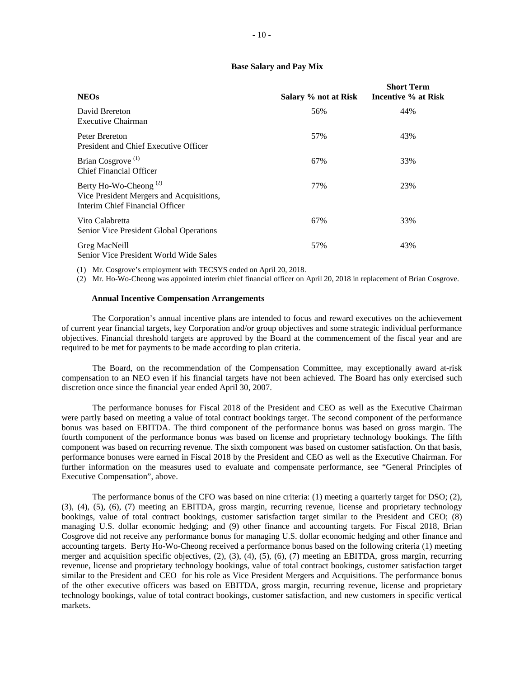## **Base Salary and Pay Mix**

| <b>NEOs</b>                                                                                                      | Salary % not at Risk | <b>Short Term</b><br>Incentive % at Risk |
|------------------------------------------------------------------------------------------------------------------|----------------------|------------------------------------------|
| David Brereton<br>Executive Chairman                                                                             | 56%                  | 44%                                      |
| Peter Brereton<br>President and Chief Executive Officer                                                          | 57%                  | 43%                                      |
| Brian Cosgrove <sup>(1)</sup><br><b>Chief Financial Officer</b>                                                  | 67%                  | 33%                                      |
| Berty Ho-Wo-Cheong <sup>(2)</sup><br>Vice President Mergers and Acquisitions,<br>Interim Chief Financial Officer | 77%                  | 23%                                      |
| Vito Calabretta<br>Senior Vice President Global Operations                                                       | 67%                  | 33%                                      |
| Greg MacNeill<br>Senior Vice President World Wide Sales                                                          | 57%                  | 43%                                      |

(1) Mr. Cosgrove's employment with TECSYS ended on April 20, 2018.

(2) Mr. Ho-Wo-Cheong was appointed interim chief financial officer on April 20, 2018 in replacement of Brian Cosgrove.

### **Annual Incentive Compensation Arrangements**

The Corporation's annual incentive plans are intended to focus and reward executives on the achievement of current year financial targets, key Corporation and/or group objectives and some strategic individual performance objectives. Financial threshold targets are approved by the Board at the commencement of the fiscal year and are required to be met for payments to be made according to plan criteria.

The Board, on the recommendation of the Compensation Committee, may exceptionally award at-risk compensation to an NEO even if his financial targets have not been achieved. The Board has only exercised such discretion once since the financial year ended April 30, 2007.

The performance bonuses for Fiscal 2018 of the President and CEO as well as the Executive Chairman were partly based on meeting a value of total contract bookings target. The second component of the performance bonus was based on EBITDA. The third component of the performance bonus was based on gross margin. The fourth component of the performance bonus was based on license and proprietary technology bookings. The fifth component was based on recurring revenue. The sixth component was based on customer satisfaction. On that basis, performance bonuses were earned in Fiscal 2018 by the President and CEO as well as the Executive Chairman. For further information on the measures used to evaluate and compensate performance, see "General Principles of Executive Compensation", above.

The performance bonus of the CFO was based on nine criteria: (1) meeting a quarterly target for DSO; (2), (3), (4), (5), (6), (7) meeting an EBITDA, gross margin, recurring revenue, license and proprietary technology bookings, value of total contract bookings, customer satisfaction target similar to the President and CEO; (8) managing U.S. dollar economic hedging; and (9) other finance and accounting targets. For Fiscal 2018, Brian Cosgrove did not receive any performance bonus for managing U.S. dollar economic hedging and other finance and accounting targets. Berty Ho-Wo-Cheong received a performance bonus based on the following criteria (1) meeting merger and acquisition specific objectives, (2), (3), (4), (5), (6), (7) meeting an EBITDA, gross margin, recurring revenue, license and proprietary technology bookings, value of total contract bookings, customer satisfaction target similar to the President and CEO for his role as Vice President Mergers and Acquisitions. The performance bonus of the other executive officers was based on EBITDA, gross margin, recurring revenue, license and proprietary technology bookings, value of total contract bookings, customer satisfaction, and new customers in specific vertical markets.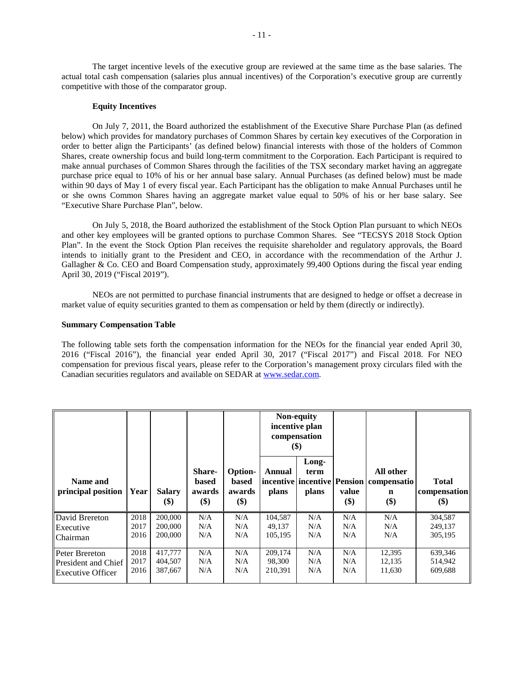The target incentive levels of the executive group are reviewed at the same time as the base salaries. The actual total cash compensation (salaries plus annual incentives) of the Corporation's executive group are currently competitive with those of the comparator group.

### **Equity Incentives**

On July 7, 2011, the Board authorized the establishment of the Executive Share Purchase Plan (as defined below) which provides for mandatory purchases of Common Shares by certain key executives of the Corporation in order to better align the Participants' (as defined below) financial interests with those of the holders of Common Shares, create ownership focus and build long-term commitment to the Corporation. Each Participant is required to make annual purchases of Common Shares through the facilities of the TSX secondary market having an aggregate purchase price equal to 10% of his or her annual base salary. Annual Purchases (as defined below) must be made within 90 days of May 1 of every fiscal year. Each Participant has the obligation to make Annual Purchases until he or she owns Common Shares having an aggregate market value equal to 50% of his or her base salary. See "Executive Share Purchase Plan", below.

On July 5, 2018, the Board authorized the establishment of the Stock Option Plan pursuant to which NEOs and other key employees will be granted options to purchase Common Shares. See "TECSYS 2018 Stock Option Plan". In the event the Stock Option Plan receives the requisite shareholder and regulatory approvals, the Board intends to initially grant to the President and CEO, in accordance with the recommendation of the Arthur J. Gallagher & Co. CEO and Board Compensation study, approximately 99,400 Options during the fiscal year ending April 30, 2019 ("Fiscal 2019").

NEOs are not permitted to purchase financial instruments that are designed to hedge or offset a decrease in market value of equity securities granted to them as compensation or held by them (directly or indirectly).

## **Summary Compensation Table**

The following table sets forth the compensation information for the NEOs for the financial year ended April 30, 2016 ("Fiscal 2016"), the financial year ended April 30, 2017 ("Fiscal 2017") and Fiscal 2018. For NEO compensation for previous fiscal years, please refer to the Corporation's management proxy circulars filed with the Canadian securities regulators and available on SEDAR at www.sedar.com.

|                                |      |                                               |                                  |                                                 | Non-equity<br>incentive plan<br>compensation<br>$(\$)$ |                        |              |                                                                                  |                                     |
|--------------------------------|------|-----------------------------------------------|----------------------------------|-------------------------------------------------|--------------------------------------------------------|------------------------|--------------|----------------------------------------------------------------------------------|-------------------------------------|
| Name and<br>principal position | Year | <b>Salary</b><br>$\left( \mathcal{S} \right)$ | Share-<br>based<br>awards<br>\$) | <b>Option-</b><br><b>based</b><br>awards<br>\$) | Annual<br>plans                                        | Long-<br>term<br>plans | value<br>\$) | All other<br>incentive   incentive   Pension   compensatio<br>$\mathbf n$<br>\$) | <b>Total</b><br>compensation<br>\$) |
| David Brereton                 | 2018 | 200,000                                       | N/A                              | N/A                                             | 104,587                                                | N/A                    | N/A          | N/A                                                                              | 304,587                             |
| Executive                      | 2017 | 200,000                                       | N/A                              | N/A                                             | 49,137                                                 | N/A                    | N/A          | N/A                                                                              | 249,137                             |
| Chairman                       | 2016 | 200,000                                       | N/A                              | N/A                                             | 105,195                                                | N/A                    | N/A          | N/A                                                                              | 305,195                             |
| Peter Brereton                 | 2018 | 417,777                                       | N/A                              | N/A                                             | 209,174                                                | N/A                    | N/A          | 12,395                                                                           | 639,346                             |
| <b>President and Chief</b>     | 2017 | 404,507                                       | N/A                              | N/A                                             | 98,300                                                 | N/A                    | N/A          | 12,135                                                                           | 514,942                             |
| <b>Executive Officer</b>       | 2016 | 387,667                                       | N/A                              | N/A                                             | 210,391                                                | N/A                    | N/A          | 11,630                                                                           | 609,688                             |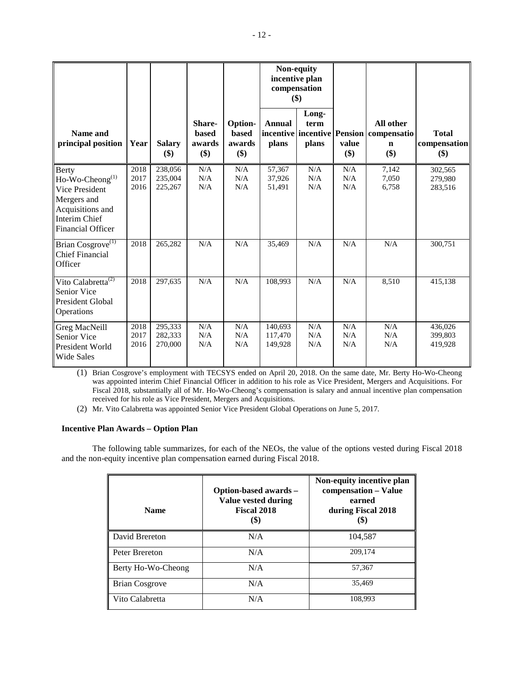|                                                                                                                                     |                      |                               |                                  |                                   |                               | Non-equity<br>incentive plan<br>compensation<br>\$) |                   |                                                                              |                                       |
|-------------------------------------------------------------------------------------------------------------------------------------|----------------------|-------------------------------|----------------------------------|-----------------------------------|-------------------------------|-----------------------------------------------------|-------------------|------------------------------------------------------------------------------|---------------------------------------|
| Name and<br>principal position                                                                                                      | Year                 | <b>Salary</b><br>\$)          | Share-<br>based<br>awards<br>\$) | Option-<br>based<br>awards<br>\$) | <b>Annual</b><br>plans        | Long-<br>term<br>plans                              | value<br>\$)      | All other<br>incentive incentive Pension   compensatio<br>$\mathbf n$<br>\$) | <b>Total</b><br>compensation<br>$($)$ |
| <b>Berty</b><br>$Ho-Wo-Cheong(1)$<br>Vice President<br>Mergers and<br>Acquisitions and<br>Interim Chief<br><b>Financial Officer</b> | 2018<br>2017<br>2016 | 238,056<br>235,004<br>225,267 | N/A<br>N/A<br>N/A                | N/A<br>N/A<br>N/A                 | 57,367<br>37,926<br>51,491    | N/A<br>N/A<br>N/A                                   | N/A<br>N/A<br>N/A | 7,142<br>7,050<br>6,758                                                      | 302,565<br>279,980<br>283,516         |
| Brian Cosgrove <sup>(1)</sup><br><b>Chief Financial</b><br>Officer                                                                  | 2018                 | 265,282                       | N/A                              | N/A                               | 35,469                        | N/A                                                 | N/A               | N/A                                                                          | 300,751                               |
| Vito Calabretta <sup>(2)</sup><br>Senior Vice<br><b>President Global</b><br>Operations                                              | 2018                 | 297,635                       | N/A                              | N/A                               | 108,993                       | N/A                                                 | N/A               | 8,510                                                                        | 415,138                               |
| Greg MacNeill<br>Senior Vice<br>President World<br><b>Wide Sales</b>                                                                | 2018<br>2017<br>2016 | 295,333<br>282,333<br>270,000 | N/A<br>N/A<br>N/A                | N/A<br>N/A<br>N/A                 | 140,693<br>117,470<br>149,928 | N/A<br>N/A<br>N/A                                   | N/A<br>N/A<br>N/A | N/A<br>N/A<br>N/A                                                            | 436,026<br>399,803<br>419,928         |

(1) Brian Cosgrove's employment with TECSYS ended on April 20, 2018. On the same date, Mr. Berty Ho-Wo-Cheong was appointed interim Chief Financial Officer in addition to his role as Vice President, Mergers and Acquisitions. For Fiscal 2018, substantially all of Mr. Ho-Wo-Cheong's compensation is salary and annual incentive plan compensation received for his role as Vice President, Mergers and Acquisitions.

(2) Mr. Vito Calabretta was appointed Senior Vice President Global Operations on June 5, 2017.

# **Incentive Plan Awards – Option Plan**

The following table summarizes, for each of the NEOs, the value of the options vested during Fiscal 2018 and the non-equity incentive plan compensation earned during Fiscal 2018.

| <b>Name</b>           | Option-based awards -<br>Value vested during<br>Fiscal 2018<br>(\$) | Non-equity incentive plan<br>compensation – Value<br>earned<br>during Fiscal 2018<br>(\$) |
|-----------------------|---------------------------------------------------------------------|-------------------------------------------------------------------------------------------|
| David Brereton        | N/A                                                                 | 104,587                                                                                   |
| Peter Brereton        | N/A                                                                 | 209.174                                                                                   |
| Berty Ho-Wo-Cheong    | N/A                                                                 | 57,367                                                                                    |
| <b>Brian Cosgrove</b> | N/A                                                                 | 35,469                                                                                    |
| Vito Calabretta       | N/A                                                                 | 108.993                                                                                   |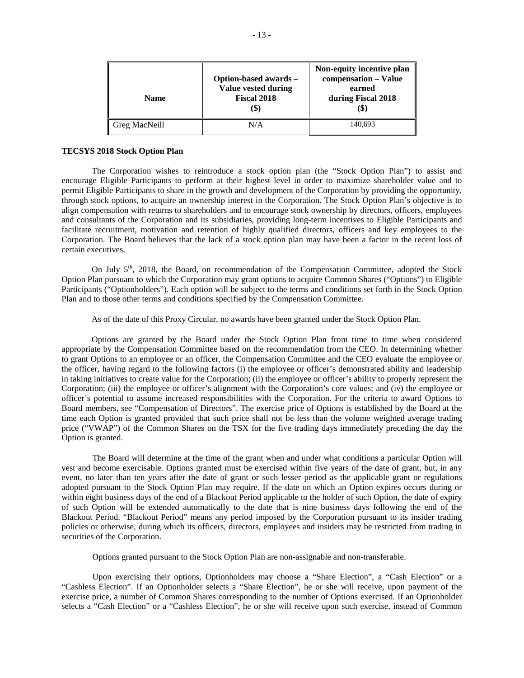| <b>Name</b>   | Option-based awards -<br>Value vested during<br>Fiscal 2018<br>(\$) | Non-equity incentive plan<br>compensation - Value<br>earned<br>during Fiscal 2018<br>ID. |
|---------------|---------------------------------------------------------------------|------------------------------------------------------------------------------------------|
| Greg MacNeill | N/A                                                                 | 140,693                                                                                  |

### **TECSYS 2018 Stock Option Plan**

The Corporation wishes to reintroduce a stock option plan (the "Stock Option Plan") to assist and encourage Eligible Participants to perform at their highest level in order to maximize shareholder value and to permit Eligible Participants to share in the growth and development of the Corporation by providing the opportunity, through stock options, to acquire an ownership interest in the Corporation. The Stock Option Plan's objective is to align compensation with returns to shareholders and to encourage stock ownership by directors, officers, employees and consultants of the Corporation and its subsidiaries, providing long-term incentives to Eligible Participants and facilitate recruitment, motivation and retention of highly qualified directors, officers and key employees to the Corporation. The Board believes that the lack of a stock option plan may have been a factor in the recent loss of certain executives.

On July 5<sup>th</sup>, 2018, the Board, on recommendation of the Compensation Committee, adopted the Stock Option Plan pursuant to which the Corporation may grant options to acquire Common Shares ("Options") to Eligible Participants ("Optionholders"). Each option will be subject to the terms and conditions set forth in the Stock Option Plan and to those other terms and conditions specified by the Compensation Committee.

As of the date of this Proxy Circular, no awards have been granted under the Stock Option Plan.

Options are granted by the Board under the Stock Option Plan from time to time when considered appropriate by the Compensation Committee based on the recommendation from the CEO. In determining whether to grant Options to an employee or an officer, the Compensation Committee and the CEO evaluate the employee or the officer, having regard to the following factors (i) the employee or officer's demonstrated ability and leadership in taking initiatives to create value for the Corporation; (ii) the employee or officer's ability to properly represent the Corporation; (iii) the employee or officer's alignment with the Corporation's core values; and (iv) the employee or officer's potential to assume increased responsibilities with the Corporation. For the criteria to award Options to Board members, see "Compensation of Directors". The exercise price of Options is established by the Board at the time each Option is granted provided that such price shall not be less than the volume weighted average trading price ("VWAP") of the Common Shares on the TSX for the five trading days immediately preceding the day the Option is granted.

The Board will determine at the time of the grant when and under what conditions a particular Option will vest and become exercisable. Options granted must be exercised within five years of the date of grant, but, in any event, no later than ten years after the date of grant or such lesser period as the applicable grant or regulations adopted pursuant to the Stock Option Plan may require. If the date on which an Option expires occurs during or within eight business days of the end of a Blackout Period applicable to the holder of such Option, the date of expiry of such Option will be extended automatically to the date that is nine business days following the end of the Blackout Period. "Blackout Period" means any period imposed by the Corporation pursuant to its insider trading policies or otherwise, during which its officers, directors, employees and insiders may be restricted from trading in securities of the Corporation.

Options granted pursuant to the Stock Option Plan are non-assignable and non-transferable.

Upon exercising their options, Optionholders may choose a "Share Election", a "Cash Election" or a "Cashless Election". If an Optionholder selects a "Share Election", he or she will receive, upon payment of the exercise price, a number of Common Shares corresponding to the number of Options exercised. If an Optionholder selects a "Cash Election" or a "Cashless Election", he or she will receive upon such exercise, instead of Common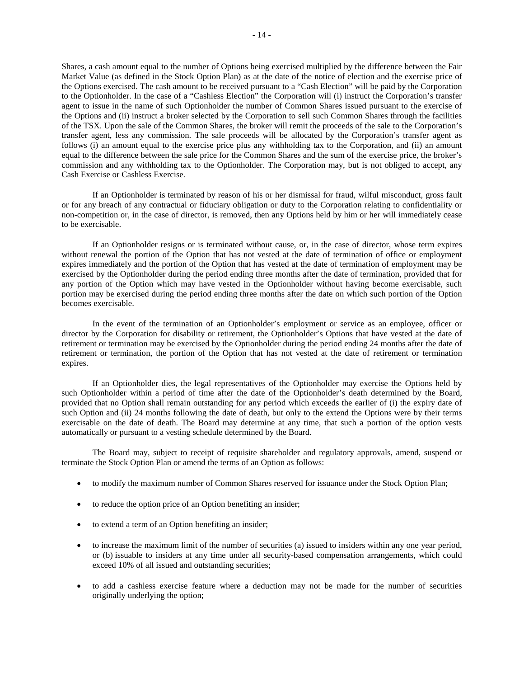Shares, a cash amount equal to the number of Options being exercised multiplied by the difference between the Fair Market Value (as defined in the Stock Option Plan) as at the date of the notice of election and the exercise price of the Options exercised. The cash amount to be received pursuant to a "Cash Election" will be paid by the Corporation to the Optionholder. In the case of a "Cashless Election" the Corporation will (i) instruct the Corporation's transfer agent to issue in the name of such Optionholder the number of Common Shares issued pursuant to the exercise of the Options and (ii) instruct a broker selected by the Corporation to sell such Common Shares through the facilities of the TSX. Upon the sale of the Common Shares, the broker will remit the proceeds of the sale to the Corporation's transfer agent, less any commission. The sale proceeds will be allocated by the Corporation's transfer agent as follows (i) an amount equal to the exercise price plus any withholding tax to the Corporation, and (ii) an amount equal to the difference between the sale price for the Common Shares and the sum of the exercise price, the broker's commission and any withholding tax to the Optionholder. The Corporation may, but is not obliged to accept, any Cash Exercise or Cashless Exercise.

If an Optionholder is terminated by reason of his or her dismissal for fraud, wilful misconduct, gross fault or for any breach of any contractual or fiduciary obligation or duty to the Corporation relating to confidentiality or non-competition or, in the case of director, is removed, then any Options held by him or her will immediately cease to be exercisable.

If an Optionholder resigns or is terminated without cause, or, in the case of director, whose term expires without renewal the portion of the Option that has not vested at the date of termination of office or employment expires immediately and the portion of the Option that has vested at the date of termination of employment may be exercised by the Optionholder during the period ending three months after the date of termination, provided that for any portion of the Option which may have vested in the Optionholder without having become exercisable, such portion may be exercised during the period ending three months after the date on which such portion of the Option becomes exercisable.

In the event of the termination of an Optionholder's employment or service as an employee, officer or director by the Corporation for disability or retirement, the Optionholder's Options that have vested at the date of retirement or termination may be exercised by the Optionholder during the period ending 24 months after the date of retirement or termination, the portion of the Option that has not vested at the date of retirement or termination expires.

If an Optionholder dies, the legal representatives of the Optionholder may exercise the Options held by such Optionholder within a period of time after the date of the Optionholder's death determined by the Board, provided that no Option shall remain outstanding for any period which exceeds the earlier of (i) the expiry date of such Option and (ii) 24 months following the date of death, but only to the extend the Options were by their terms exercisable on the date of death. The Board may determine at any time, that such a portion of the option vests automatically or pursuant to a vesting schedule determined by the Board.

The Board may, subject to receipt of requisite shareholder and regulatory approvals, amend, suspend or terminate the Stock Option Plan or amend the terms of an Option as follows:

- to modify the maximum number of Common Shares reserved for issuance under the Stock Option Plan;
- to reduce the option price of an Option benefiting an insider;
- to extend a term of an Option benefiting an insider;
- to increase the maximum limit of the number of securities (a) issued to insiders within any one year period, or (b) issuable to insiders at any time under all security-based compensation arrangements, which could exceed 10% of all issued and outstanding securities;
- to add a cashless exercise feature where a deduction may not be made for the number of securities originally underlying the option;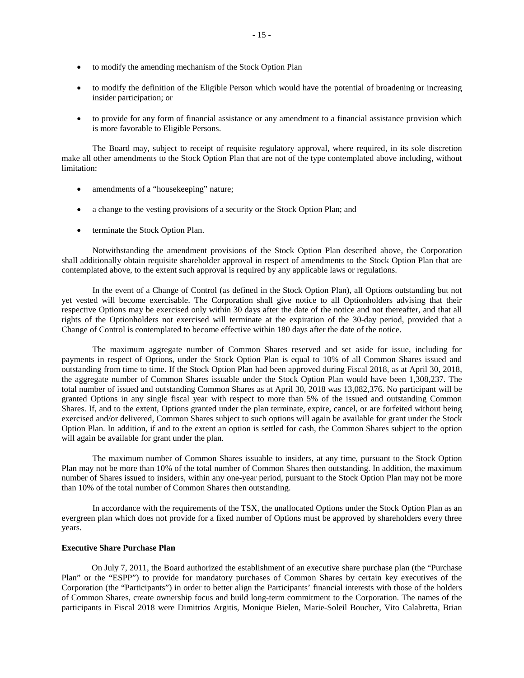- to modify the amending mechanism of the Stock Option Plan
- to modify the definition of the Eligible Person which would have the potential of broadening or increasing insider participation; or
- to provide for any form of financial assistance or any amendment to a financial assistance provision which is more favorable to Eligible Persons.

The Board may, subject to receipt of requisite regulatory approval, where required, in its sole discretion make all other amendments to the Stock Option Plan that are not of the type contemplated above including, without limitation:

- amendments of a "housekeeping" nature;
- a change to the vesting provisions of a security or the Stock Option Plan; and
- terminate the Stock Option Plan.

Notwithstanding the amendment provisions of the Stock Option Plan described above, the Corporation shall additionally obtain requisite shareholder approval in respect of amendments to the Stock Option Plan that are contemplated above, to the extent such approval is required by any applicable laws or regulations.

In the event of a Change of Control (as defined in the Stock Option Plan), all Options outstanding but not yet vested will become exercisable. The Corporation shall give notice to all Optionholders advising that their respective Options may be exercised only within 30 days after the date of the notice and not thereafter, and that all rights of the Optionholders not exercised will terminate at the expiration of the 30-day period, provided that a Change of Control is contemplated to become effective within 180 days after the date of the notice.

The maximum aggregate number of Common Shares reserved and set aside for issue, including for payments in respect of Options, under the Stock Option Plan is equal to 10% of all Common Shares issued and outstanding from time to time. If the Stock Option Plan had been approved during Fiscal 2018, as at April 30, 2018, the aggregate number of Common Shares issuable under the Stock Option Plan would have been 1,308,237. The total number of issued and outstanding Common Shares as at April 30, 2018 was 13,082,376. No participant will be granted Options in any single fiscal year with respect to more than 5% of the issued and outstanding Common Shares. If, and to the extent, Options granted under the plan terminate, expire, cancel, or are forfeited without being exercised and/or delivered, Common Shares subject to such options will again be available for grant under the Stock Option Plan. In addition, if and to the extent an option is settled for cash, the Common Shares subject to the option will again be available for grant under the plan.

The maximum number of Common Shares issuable to insiders, at any time, pursuant to the Stock Option Plan may not be more than 10% of the total number of Common Shares then outstanding. In addition, the maximum number of Shares issued to insiders, within any one-year period, pursuant to the Stock Option Plan may not be more than 10% of the total number of Common Shares then outstanding.

In accordance with the requirements of the TSX, the unallocated Options under the Stock Option Plan as an evergreen plan which does not provide for a fixed number of Options must be approved by shareholders every three years.

### **Executive Share Purchase Plan**

On July 7, 2011, the Board authorized the establishment of an executive share purchase plan (the "Purchase Plan" or the "ESPP") to provide for mandatory purchases of Common Shares by certain key executives of the Corporation (the "Participants") in order to better align the Participants' financial interests with those of the holders of Common Shares, create ownership focus and build long-term commitment to the Corporation. The names of the participants in Fiscal 2018 were Dimitrios Argitis, Monique Bielen, Marie-Soleil Boucher, Vito Calabretta, Brian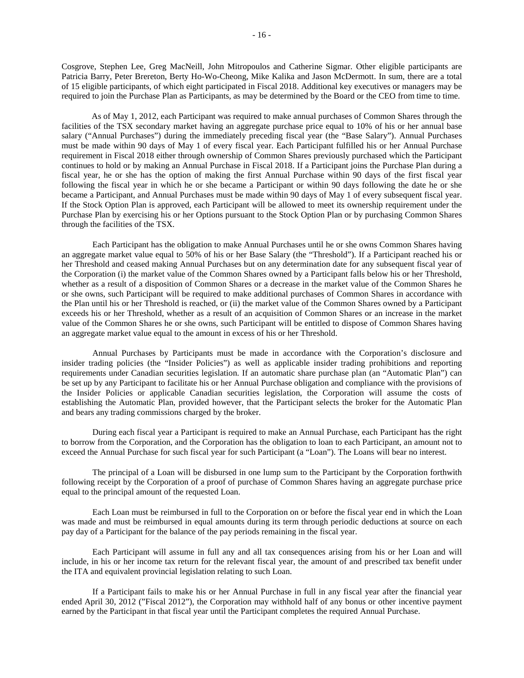Cosgrove, Stephen Lee, Greg MacNeill, John Mitropoulos and Catherine Sigmar. Other eligible participants are Patricia Barry, Peter Brereton, Berty Ho-Wo-Cheong, Mike Kalika and Jason McDermott. In sum, there are a total of 15 eligible participants, of which eight participated in Fiscal 2018. Additional key executives or managers may be required to join the Purchase Plan as Participants, as may be determined by the Board or the CEO from time to time.

As of May 1, 2012, each Participant was required to make annual purchases of Common Shares through the facilities of the TSX secondary market having an aggregate purchase price equal to 10% of his or her annual base salary ("Annual Purchases") during the immediately preceding fiscal year (the "Base Salary"). Annual Purchases must be made within 90 days of May 1 of every fiscal year. Each Participant fulfilled his or her Annual Purchase requirement in Fiscal 2018 either through ownership of Common Shares previously purchased which the Participant continues to hold or by making an Annual Purchase in Fiscal 2018. If a Participant joins the Purchase Plan during a fiscal year, he or she has the option of making the first Annual Purchase within 90 days of the first fiscal year following the fiscal year in which he or she became a Participant or within 90 days following the date he or she became a Participant, and Annual Purchases must be made within 90 days of May 1 of every subsequent fiscal year. If the Stock Option Plan is approved, each Participant will be allowed to meet its ownership requirement under the Purchase Plan by exercising his or her Options pursuant to the Stock Option Plan or by purchasing Common Shares through the facilities of the TSX.

Each Participant has the obligation to make Annual Purchases until he or she owns Common Shares having an aggregate market value equal to 50% of his or her Base Salary (the "Threshold"). If a Participant reached his or her Threshold and ceased making Annual Purchases but on any determination date for any subsequent fiscal year of the Corporation (i) the market value of the Common Shares owned by a Participant falls below his or her Threshold, whether as a result of a disposition of Common Shares or a decrease in the market value of the Common Shares he or she owns, such Participant will be required to make additional purchases of Common Shares in accordance with the Plan until his or her Threshold is reached, or (ii) the market value of the Common Shares owned by a Participant exceeds his or her Threshold, whether as a result of an acquisition of Common Shares or an increase in the market value of the Common Shares he or she owns, such Participant will be entitled to dispose of Common Shares having an aggregate market value equal to the amount in excess of his or her Threshold.

Annual Purchases by Participants must be made in accordance with the Corporation's disclosure and insider trading policies (the "Insider Policies") as well as applicable insider trading prohibitions and reporting requirements under Canadian securities legislation. If an automatic share purchase plan (an "Automatic Plan") can be set up by any Participant to facilitate his or her Annual Purchase obligation and compliance with the provisions of the Insider Policies or applicable Canadian securities legislation, the Corporation will assume the costs of establishing the Automatic Plan, provided however, that the Participant selects the broker for the Automatic Plan and bears any trading commissions charged by the broker.

During each fiscal year a Participant is required to make an Annual Purchase, each Participant has the right to borrow from the Corporation, and the Corporation has the obligation to loan to each Participant, an amount not to exceed the Annual Purchase for such fiscal year for such Participant (a "Loan"). The Loans will bear no interest.

The principal of a Loan will be disbursed in one lump sum to the Participant by the Corporation forthwith following receipt by the Corporation of a proof of purchase of Common Shares having an aggregate purchase price equal to the principal amount of the requested Loan.

Each Loan must be reimbursed in full to the Corporation on or before the fiscal year end in which the Loan was made and must be reimbursed in equal amounts during its term through periodic deductions at source on each pay day of a Participant for the balance of the pay periods remaining in the fiscal year.

Each Participant will assume in full any and all tax consequences arising from his or her Loan and will include, in his or her income tax return for the relevant fiscal year, the amount of and prescribed tax benefit under the ITA and equivalent provincial legislation relating to such Loan.

If a Participant fails to make his or her Annual Purchase in full in any fiscal year after the financial year ended April 30, 2012 ("Fiscal 2012"), the Corporation may withhold half of any bonus or other incentive payment earned by the Participant in that fiscal year until the Participant completes the required Annual Purchase.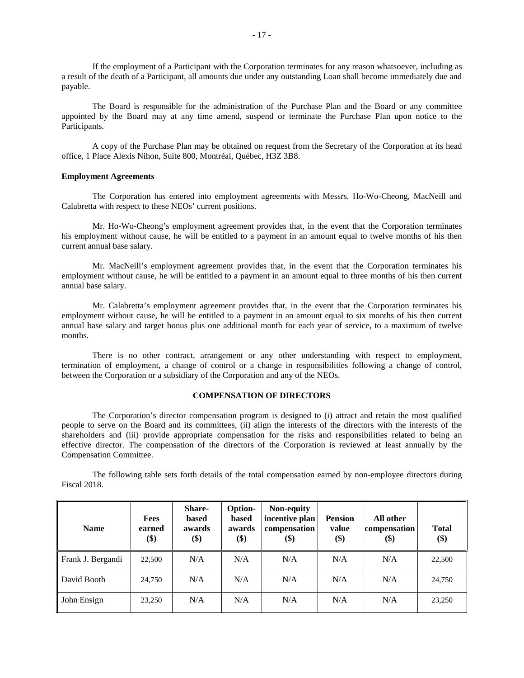If the employment of a Participant with the Corporation terminates for any reason whatsoever, including as a result of the death of a Participant, all amounts due under any outstanding Loan shall become immediately due and payable.

The Board is responsible for the administration of the Purchase Plan and the Board or any committee appointed by the Board may at any time amend, suspend or terminate the Purchase Plan upon notice to the Participants.

A copy of the Purchase Plan may be obtained on request from the Secretary of the Corporation at its head office, 1 Place Alexis Nihon, Suite 800, Montréal, Québec, H3Z 3B8.

### **Employment Agreements**

The Corporation has entered into employment agreements with Messrs. Ho-Wo-Cheong, MacNeill and Calabretta with respect to these NEOs' current positions.

Mr. Ho-Wo-Cheong's employment agreement provides that, in the event that the Corporation terminates his employment without cause, he will be entitled to a payment in an amount equal to twelve months of his then current annual base salary.

Mr. MacNeill's employment agreement provides that, in the event that the Corporation terminates his employment without cause, he will be entitled to a payment in an amount equal to three months of his then current annual base salary.

Mr. Calabretta's employment agreement provides that, in the event that the Corporation terminates his employment without cause, he will be entitled to a payment in an amount equal to six months of his then current annual base salary and target bonus plus one additional month for each year of service, to a maximum of twelve months.

There is no other contract, arrangement or any other understanding with respect to employment, termination of employment, a change of control or a change in responsibilities following a change of control, between the Corporation or a subsidiary of the Corporation and any of the NEOs.

## **COMPENSATION OF DIRECTORS**

The Corporation's director compensation program is designed to (i) attract and retain the most qualified people to serve on the Board and its committees, (ii) align the interests of the directors with the interests of the shareholders and (iii) provide appropriate compensation for the risks and responsibilities related to being an effective director. The compensation of the directors of the Corporation is reviewed at least annually by the Compensation Committee.

The following table sets forth details of the total compensation earned by non-employee directors during Fiscal 2018.

| <b>Name</b>       | <b>Fees</b><br>earned<br>\$) | <b>Share-</b><br><b>based</b><br>awards<br>\$) | <b>Option-</b><br><b>based</b><br>awards<br>\$) | Non-equity<br>incentive plan<br>compensation<br>\$) | <b>Pension</b><br>value<br>\$) | All other<br>compensation<br>\$) | <b>Total</b><br>\$) |
|-------------------|------------------------------|------------------------------------------------|-------------------------------------------------|-----------------------------------------------------|--------------------------------|----------------------------------|---------------------|
| Frank J. Bergandi | 22,500                       | N/A                                            | N/A                                             | N/A                                                 | N/A                            | N/A                              | 22,500              |
| David Booth       | 24,750                       | N/A                                            | N/A                                             | N/A                                                 | N/A                            | N/A                              | 24,750              |
| John Ensign       | 23,250                       | N/A                                            | N/A                                             | N/A                                                 | N/A                            | N/A                              | 23,250              |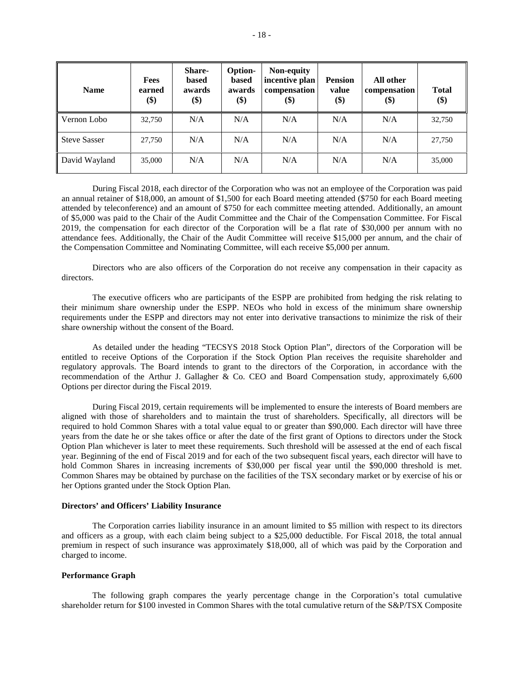| <b>Name</b>         | <b>Fees</b><br>earned<br>\$) | <b>Share-</b><br>based<br>awards<br>\$) | Option-<br><b>based</b><br>awards<br>\$) | Non-equity<br>incentive plan<br>compensation<br>\$) | <b>Pension</b><br>value<br>\$) | All other<br>compensation<br>\$) | <b>Total</b><br>\$) |
|---------------------|------------------------------|-----------------------------------------|------------------------------------------|-----------------------------------------------------|--------------------------------|----------------------------------|---------------------|
| Vernon Lobo         | 32,750                       | N/A                                     | N/A                                      | N/A                                                 | N/A                            | N/A                              | 32,750              |
| <b>Steve Sasser</b> | 27,750                       | N/A                                     | N/A                                      | N/A                                                 | N/A                            | N/A                              | 27,750              |
| David Wayland       | 35,000                       | N/A                                     | N/A                                      | N/A                                                 | N/A                            | N/A                              | 35,000              |

During Fiscal 2018, each director of the Corporation who was not an employee of the Corporation was paid an annual retainer of \$18,000, an amount of \$1,500 for each Board meeting attended (\$750 for each Board meeting attended by teleconference) and an amount of \$750 for each committee meeting attended. Additionally, an amount of \$5,000 was paid to the Chair of the Audit Committee and the Chair of the Compensation Committee. For Fiscal 2019, the compensation for each director of the Corporation will be a flat rate of \$30,000 per annum with no attendance fees. Additionally, the Chair of the Audit Committee will receive \$15,000 per annum, and the chair of the Compensation Committee and Nominating Committee, will each receive \$5,000 per annum.

Directors who are also officers of the Corporation do not receive any compensation in their capacity as directors.

The executive officers who are participants of the ESPP are prohibited from hedging the risk relating to their minimum share ownership under the ESPP. NEOs who hold in excess of the minimum share ownership requirements under the ESPP and directors may not enter into derivative transactions to minimize the risk of their share ownership without the consent of the Board.

As detailed under the heading "TECSYS 2018 Stock Option Plan", directors of the Corporation will be entitled to receive Options of the Corporation if the Stock Option Plan receives the requisite shareholder and regulatory approvals. The Board intends to grant to the directors of the Corporation, in accordance with the recommendation of the Arthur J. Gallagher & Co. CEO and Board Compensation study, approximately 6,600 Options per director during the Fiscal 2019.

During Fiscal 2019, certain requirements will be implemented to ensure the interests of Board members are aligned with those of shareholders and to maintain the trust of shareholders. Specifically, all directors will be required to hold Common Shares with a total value equal to or greater than \$90,000. Each director will have three years from the date he or she takes office or after the date of the first grant of Options to directors under the Stock Option Plan whichever is later to meet these requirements. Such threshold will be assessed at the end of each fiscal year. Beginning of the end of Fiscal 2019 and for each of the two subsequent fiscal years, each director will have to hold Common Shares in increasing increments of \$30,000 per fiscal year until the \$90,000 threshold is met. Common Shares may be obtained by purchase on the facilities of the TSX secondary market or by exercise of his or her Options granted under the Stock Option Plan.

### **Directors' and Officers' Liability Insurance**

The Corporation carries liability insurance in an amount limited to \$5 million with respect to its directors and officers as a group, with each claim being subject to a \$25,000 deductible. For Fiscal 2018, the total annual premium in respect of such insurance was approximately \$18,000, all of which was paid by the Corporation and charged to income.

#### **Performance Graph**

The following graph compares the yearly percentage change in the Corporation's total cumulative shareholder return for \$100 invested in Common Shares with the total cumulative return of the S&P/TSX Composite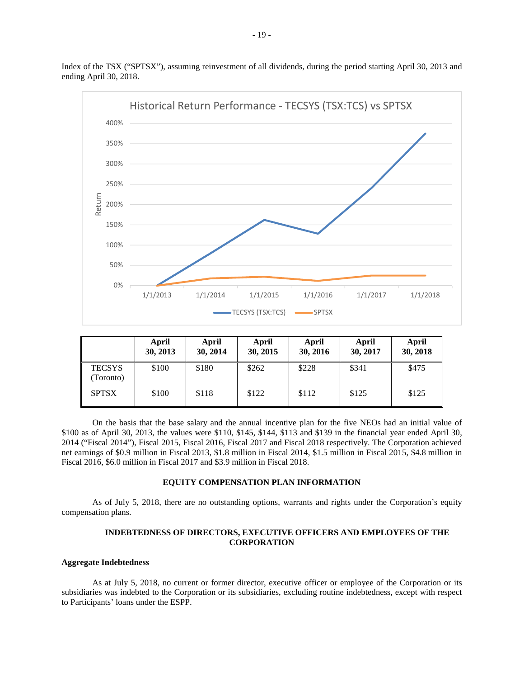

Index of the TSX ("SPTSX"), assuming reinvestment of all dividends, during the period starting April 30, 2013 and ending April 30, 2018.

|                           | April<br>30, 2013 | April<br>30, 2014 | April<br>30, 2015 | April<br>30, 2016 | April<br>30, 2017 | April<br>30, 2018 |
|---------------------------|-------------------|-------------------|-------------------|-------------------|-------------------|-------------------|
| <b>TECSYS</b><br>Toronto) | \$100             | \$180             | \$262             | \$228             | \$341             | \$475             |
| <b>SPTSX</b>              | \$100             | \$118             | \$122             | \$112             | \$125             | \$125             |

On the basis that the base salary and the annual incentive plan for the five NEOs had an initial value of \$100 as of April 30, 2013, the values were \$110, \$145, \$144, \$113 and \$139 in the financial year ended April 30, 2014 ("Fiscal 2014"), Fiscal 2015, Fiscal 2016, Fiscal 2017 and Fiscal 2018 respectively. The Corporation achieved net earnings of \$0.9 million in Fiscal 2013, \$1.8 million in Fiscal 2014, \$1.5 million in Fiscal 2015, \$4.8 million in Fiscal 2016, \$6.0 million in Fiscal 2017 and \$3.9 million in Fiscal 2018.

## **EQUITY COMPENSATION PLAN INFORMATION**

As of July 5, 2018, there are no outstanding options, warrants and rights under the Corporation's equity compensation plans.

## **INDEBTEDNESS OF DIRECTORS, EXECUTIVE OFFICERS AND EMPLOYEES OF THE CORPORATION**

#### **Aggregate Indebtedness**

As at July 5, 2018, no current or former director, executive officer or employee of the Corporation or its subsidiaries was indebted to the Corporation or its subsidiaries, excluding routine indebtedness, except with respect to Participants' loans under the ESPP.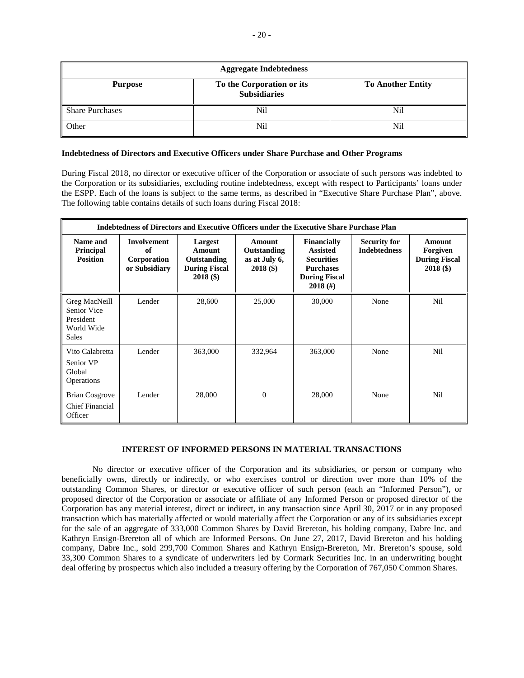| <b>Aggregate Indebtedness</b> |                                                  |                          |  |  |  |
|-------------------------------|--------------------------------------------------|--------------------------|--|--|--|
| <b>Purpose</b>                | To the Corporation or its<br><b>Subsidiaries</b> | <b>To Another Entity</b> |  |  |  |
| Share Purchases               | N <sub>i</sub>                                   | Nil                      |  |  |  |
| Other                         | Nil                                              | Nil                      |  |  |  |

## **Indebtedness of Directors and Executive Officers under Share Purchase and Other Programs**

During Fiscal 2018, no director or executive officer of the Corporation or associate of such persons was indebted to the Corporation or its subsidiaries, excluding routine indebtedness, except with respect to Participants' loans under the ESPP. Each of the loans is subject to the same terms, as described in "Executive Share Purchase Plan", above. The following table contains details of such loans during Fiscal 2018:

|                                                                         | Indebtedness of Directors and Executive Officers under the Executive Share Purchase Plan |                                                                         |                                                       |                                                                                                                      |                                            |                                                                  |
|-------------------------------------------------------------------------|------------------------------------------------------------------------------------------|-------------------------------------------------------------------------|-------------------------------------------------------|----------------------------------------------------------------------------------------------------------------------|--------------------------------------------|------------------------------------------------------------------|
| Name and<br><b>Principal</b><br><b>Position</b>                         | <b>Involvement</b><br>of<br>Corporation<br>or Subsidiary                                 | Largest<br>Amount<br>Outstanding<br><b>During Fiscal</b><br>$2018($ \$) | Amount<br>Outstanding<br>as at July 6,<br>$2018($ \$) | <b>Financially</b><br><b>Assisted</b><br><b>Securities</b><br><b>Purchases</b><br><b>During Fiscal</b><br>$2018$ (#) | <b>Security for</b><br><b>Indebtedness</b> | <b>Amount</b><br>Forgiven<br><b>During Fiscal</b><br>$2018($ \$) |
| Greg MacNeill<br>Senior Vice<br>President<br>World Wide<br><b>Sales</b> | Lender                                                                                   | 28,600                                                                  | 25,000                                                | 30,000                                                                                                               | None                                       | Nil                                                              |
| Vito Calabretta<br>Senior VP<br>Global<br>Operations                    | Lender                                                                                   | 363,000                                                                 | 332,964                                               | 363,000                                                                                                              | None                                       | Nil                                                              |
| <b>Brian Cosgrove</b><br><b>Chief Financial</b><br>Officer              | Lender                                                                                   | 28,000                                                                  | $\mathbf{0}$                                          | 28,000                                                                                                               | None                                       | Nil                                                              |

## **INTEREST OF INFORMED PERSONS IN MATERIAL TRANSACTIONS**

No director or executive officer of the Corporation and its subsidiaries, or person or company who beneficially owns, directly or indirectly, or who exercises control or direction over more than 10% of the outstanding Common Shares, or director or executive officer of such person (each an "Informed Person"), or proposed director of the Corporation or associate or affiliate of any Informed Person or proposed director of the Corporation has any material interest, direct or indirect, in any transaction since April 30, 2017 or in any proposed transaction which has materially affected or would materially affect the Corporation or any of its subsidiaries except for the sale of an aggregate of 333,000 Common Shares by David Brereton, his holding company, Dabre Inc. and Kathryn Ensign-Brereton all of which are Informed Persons. On June 27, 2017, David Brereton and his holding company, Dabre Inc., sold 299,700 Common Shares and Kathryn Ensign-Brereton, Mr. Brereton's spouse, sold 33,300 Common Shares to a syndicate of underwriters led by Cormark Securities Inc. in an underwriting bought deal offering by prospectus which also included a treasury offering by the Corporation of 767,050 Common Shares.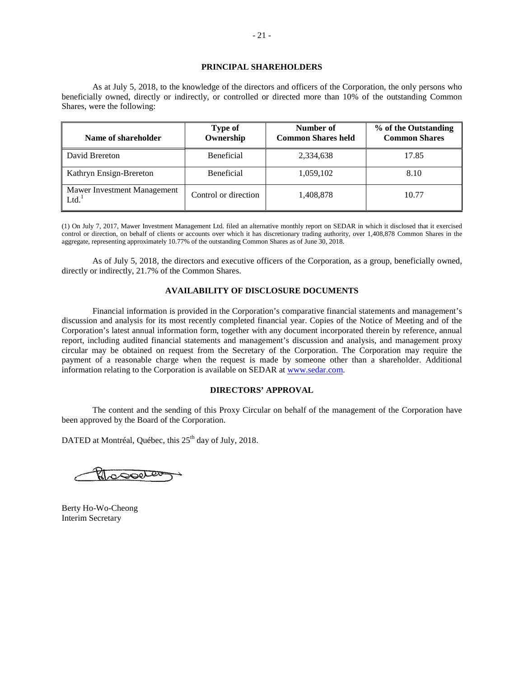## **PRINCIPAL SHAREHOLDERS**

As at July 5, 2018, to the knowledge of the directors and officers of the Corporation, the only persons who beneficially owned, directly or indirectly, or controlled or directed more than 10% of the outstanding Common Shares, were the following:

| Name of shareholder                 | <b>Type of</b><br>Ownership | Number of<br><b>Common Shares held</b> | % of the Outstanding<br><b>Common Shares</b> |
|-------------------------------------|-----------------------------|----------------------------------------|----------------------------------------------|
| David Brereton                      | <b>Beneficial</b>           | 2,334,638                              | 17.85                                        |
| Kathryn Ensign-Brereton             | <b>Beneficial</b>           | 1,059,102                              | 8.10                                         |
| Mawer Investment Management<br>Ltd. | Control or direction        | 1,408,878                              | 10.77                                        |

(1) On July 7, 2017, Mawer Investment Management Ltd. filed an alternative monthly report on SEDAR in which it disclosed that it exercised control or direction, on behalf of clients or accounts over which it has discretionary trading authority, over 1,408,878 Common Shares in the aggregate, representing approximately 10.77% of the outstanding Common Shares as of June 30, 2018.

As of July 5, 2018, the directors and executive officers of the Corporation, as a group, beneficially owned, directly or indirectly, 21.7% of the Common Shares.

### **AVAILABILITY OF DISCLOSURE DOCUMENTS**

Financial information is provided in the Corporation's comparative financial statements and management's discussion and analysis for its most recently completed financial year. Copies of the Notice of Meeting and of the Corporation's latest annual information form, together with any document incorporated therein by reference, annual report, including audited financial statements and management's discussion and analysis, and management proxy circular may be obtained on request from the Secretary of the Corporation. The Corporation may require the payment of a reasonable charge when the request is made by someone other than a shareholder. Additional information relating to the Corporation is available on SEDAR at www.sedar.com.

### **DIRECTORS' APPROVAL**

The content and the sending of this Proxy Circular on behalf of the management of the Corporation have been approved by the Board of the Corporation.

DATED at Montréal, Québec, this 25<sup>th</sup> day of July, 2018.

Mosoeter

Berty Ho-Wo-Cheong Interim Secretary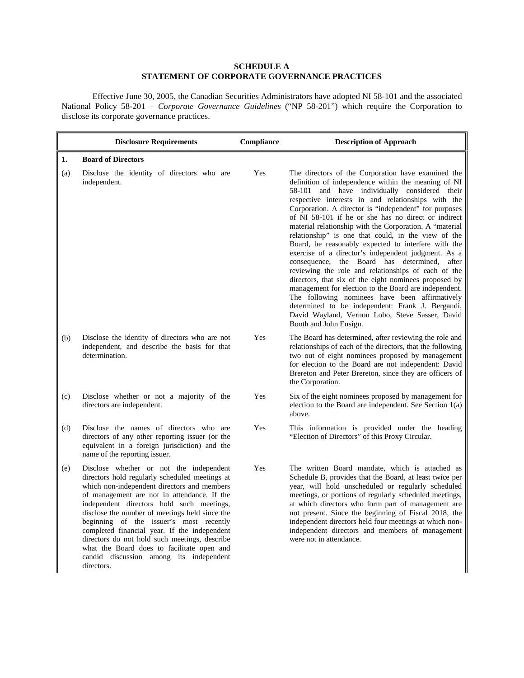# **SCHEDULE A STATEMENT OF CORPORATE GOVERNANCE PRACTICES**

Effective June 30, 2005, the Canadian Securities Administrators have adopted NI 58-101 and the associated National Policy 58-201 – *Corporate Governance Guidelines* ("NP 58-201") which require the Corporation to disclose its corporate governance practices.

|     | <b>Disclosure Requirements</b>                                                                                                                                                                                                                                                                                                                                                                                                                                                                                                            | Compliance | <b>Description of Approach</b>                                                                                                                                                                                                                                                                                                                                                                                                                                                                                                                                                                                                                                                                                                                                                                                                                                                                                                                                               |
|-----|-------------------------------------------------------------------------------------------------------------------------------------------------------------------------------------------------------------------------------------------------------------------------------------------------------------------------------------------------------------------------------------------------------------------------------------------------------------------------------------------------------------------------------------------|------------|------------------------------------------------------------------------------------------------------------------------------------------------------------------------------------------------------------------------------------------------------------------------------------------------------------------------------------------------------------------------------------------------------------------------------------------------------------------------------------------------------------------------------------------------------------------------------------------------------------------------------------------------------------------------------------------------------------------------------------------------------------------------------------------------------------------------------------------------------------------------------------------------------------------------------------------------------------------------------|
| 1.  | <b>Board of Directors</b>                                                                                                                                                                                                                                                                                                                                                                                                                                                                                                                 |            |                                                                                                                                                                                                                                                                                                                                                                                                                                                                                                                                                                                                                                                                                                                                                                                                                                                                                                                                                                              |
| (a) | Disclose the identity of directors who are<br>independent.                                                                                                                                                                                                                                                                                                                                                                                                                                                                                | Yes        | The directors of the Corporation have examined the<br>definition of independence within the meaning of NI<br>58-101 and have individually considered their<br>respective interests in and relationships with the<br>Corporation. A director is "independent" for purposes<br>of NI 58-101 if he or she has no direct or indirect<br>material relationship with the Corporation. A "material<br>relationship" is one that could, in the view of the<br>Board, be reasonably expected to interfere with the<br>exercise of a director's independent judgment. As a<br>consequence, the Board has determined, after<br>reviewing the role and relationships of each of the<br>directors, that six of the eight nominees proposed by<br>management for election to the Board are independent.<br>The following nominees have been affirmatively<br>determined to be independent: Frank J. Bergandi,<br>David Wayland, Vernon Lobo, Steve Sasser, David<br>Booth and John Ensign. |
| (b) | Disclose the identity of directors who are not<br>independent, and describe the basis for that<br>determination.                                                                                                                                                                                                                                                                                                                                                                                                                          | Yes        | The Board has determined, after reviewing the role and<br>relationships of each of the directors, that the following<br>two out of eight nominees proposed by management<br>for election to the Board are not independent: David<br>Brereton and Peter Brereton, since they are officers of<br>the Corporation.                                                                                                                                                                                                                                                                                                                                                                                                                                                                                                                                                                                                                                                              |
| (c) | Disclose whether or not a majority of the<br>directors are independent.                                                                                                                                                                                                                                                                                                                                                                                                                                                                   | Yes        | Six of the eight nominees proposed by management for<br>election to the Board are independent. See Section $1(a)$<br>above.                                                                                                                                                                                                                                                                                                                                                                                                                                                                                                                                                                                                                                                                                                                                                                                                                                                  |
| (d) | Disclose the names of directors who are<br>directors of any other reporting issuer (or the<br>equivalent in a foreign jurisdiction) and the<br>name of the reporting issuer.                                                                                                                                                                                                                                                                                                                                                              | Yes        | This information is provided under the heading<br>"Election of Directors" of this Proxy Circular.                                                                                                                                                                                                                                                                                                                                                                                                                                                                                                                                                                                                                                                                                                                                                                                                                                                                            |
| (e) | Disclose whether or not the independent<br>directors hold regularly scheduled meetings at<br>which non-independent directors and members<br>of management are not in attendance. If the<br>independent directors hold such meetings,<br>disclose the number of meetings held since the<br>beginning of the issuer's most recently<br>completed financial year. If the independent<br>directors do not hold such meetings, describe<br>what the Board does to facilitate open and<br>candid discussion among its independent<br>directors. | Yes        | The written Board mandate, which is attached as<br>Schedule B, provides that the Board, at least twice per<br>year, will hold unscheduled or regularly scheduled<br>meetings, or portions of regularly scheduled meetings,<br>at which directors who form part of management are<br>not present. Since the beginning of Fiscal 2018, the<br>independent directors held four meetings at which non-<br>independent directors and members of management<br>were not in attendance.                                                                                                                                                                                                                                                                                                                                                                                                                                                                                             |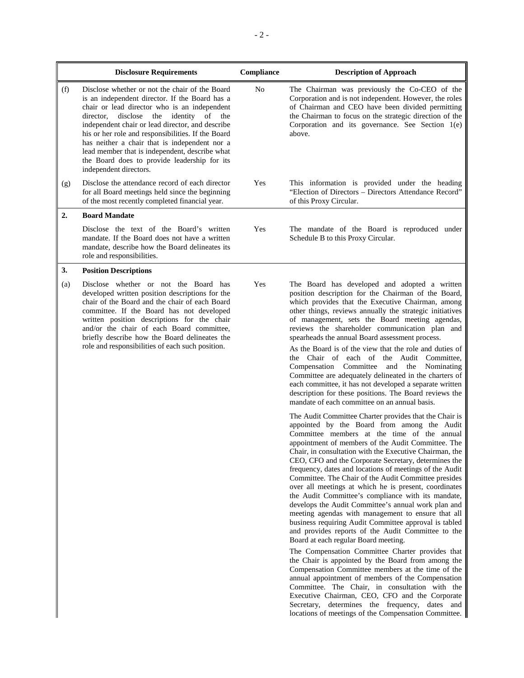|     | <b>Disclosure Requirements</b>                                                                                                                                                                                                                                                                                                                                                                                                                                                                | Compliance | <b>Description of Approach</b>                                                                                                                                                                                                                                                                                                                                                                                                                                                                                                                                                                                                                                                                                                                                                                                                                                                                                                                                                                                                                                                                                                                                                                                                                                        |
|-----|-----------------------------------------------------------------------------------------------------------------------------------------------------------------------------------------------------------------------------------------------------------------------------------------------------------------------------------------------------------------------------------------------------------------------------------------------------------------------------------------------|------------|-----------------------------------------------------------------------------------------------------------------------------------------------------------------------------------------------------------------------------------------------------------------------------------------------------------------------------------------------------------------------------------------------------------------------------------------------------------------------------------------------------------------------------------------------------------------------------------------------------------------------------------------------------------------------------------------------------------------------------------------------------------------------------------------------------------------------------------------------------------------------------------------------------------------------------------------------------------------------------------------------------------------------------------------------------------------------------------------------------------------------------------------------------------------------------------------------------------------------------------------------------------------------|
| (f) | Disclose whether or not the chair of the Board<br>is an independent director. If the Board has a<br>chair or lead director who is an independent<br>disclose<br>the<br>identity<br>of the<br>director,<br>independent chair or lead director, and describe<br>his or her role and responsibilities. If the Board<br>has neither a chair that is independent nor a<br>lead member that is independent, describe what<br>the Board does to provide leadership for its<br>independent directors. | No         | The Chairman was previously the Co-CEO of the<br>Corporation and is not independent. However, the roles<br>of Chairman and CEO have been divided permitting<br>the Chairman to focus on the strategic direction of the<br>Corporation and its governance. See Section 1(e)<br>above.                                                                                                                                                                                                                                                                                                                                                                                                                                                                                                                                                                                                                                                                                                                                                                                                                                                                                                                                                                                  |
| (g) | Disclose the attendance record of each director<br>for all Board meetings held since the beginning<br>of the most recently completed financial year.                                                                                                                                                                                                                                                                                                                                          | Yes        | This information is provided under the heading<br>"Election of Directors - Directors Attendance Record"<br>of this Proxy Circular.                                                                                                                                                                                                                                                                                                                                                                                                                                                                                                                                                                                                                                                                                                                                                                                                                                                                                                                                                                                                                                                                                                                                    |
| 2.  | <b>Board Mandate</b>                                                                                                                                                                                                                                                                                                                                                                                                                                                                          |            |                                                                                                                                                                                                                                                                                                                                                                                                                                                                                                                                                                                                                                                                                                                                                                                                                                                                                                                                                                                                                                                                                                                                                                                                                                                                       |
|     | Disclose the text of the Board's written<br>mandate. If the Board does not have a written<br>mandate, describe how the Board delineates its<br>role and responsibilities.                                                                                                                                                                                                                                                                                                                     | Yes        | The mandate of the Board is reproduced under<br>Schedule B to this Proxy Circular.                                                                                                                                                                                                                                                                                                                                                                                                                                                                                                                                                                                                                                                                                                                                                                                                                                                                                                                                                                                                                                                                                                                                                                                    |
| 3.  | <b>Position Descriptions</b>                                                                                                                                                                                                                                                                                                                                                                                                                                                                  |            |                                                                                                                                                                                                                                                                                                                                                                                                                                                                                                                                                                                                                                                                                                                                                                                                                                                                                                                                                                                                                                                                                                                                                                                                                                                                       |
| (a) | Disclose whether or not the Board has<br>developed written position descriptions for the<br>chair of the Board and the chair of each Board<br>committee. If the Board has not developed<br>written position descriptions for the chair<br>and/or the chair of each Board committee,<br>briefly describe how the Board delineates the<br>role and responsibilities of each such position.                                                                                                      | Yes        | The Board has developed and adopted a written<br>position description for the Chairman of the Board,<br>which provides that the Executive Chairman, among<br>other things, reviews annually the strategic initiatives<br>of management, sets the Board meeting agendas,<br>reviews the shareholder communication plan and<br>spearheads the annual Board assessment process.<br>As the Board is of the view that the role and duties of<br>the Chair of each of the Audit Committee,<br>Compensation Committee<br>and the<br>Nominating<br>Committee are adequately delineated in the charters of<br>each committee, it has not developed a separate written<br>description for these positions. The Board reviews the<br>mandate of each committee on an annual basis.                                                                                                                                                                                                                                                                                                                                                                                                                                                                                               |
|     |                                                                                                                                                                                                                                                                                                                                                                                                                                                                                               |            | The Audit Committee Charter provides that the Chair is<br>appointed by the Board from among the Audit<br>Committee members at the time of the annual<br>appointment of members of the Audit Committee. The<br>Chair, in consultation with the Executive Chairman, the<br>CEO, CFO and the Corporate Secretary, determines the<br>frequency, dates and locations of meetings of the Audit<br>Committee. The Chair of the Audit Committee presides<br>over all meetings at which he is present, coordinates<br>the Audit Committee's compliance with its mandate,<br>develops the Audit Committee's annual work plan and<br>meeting agendas with management to ensure that all<br>business requiring Audit Committee approval is tabled<br>and provides reports of the Audit Committee to the<br>Board at each regular Board meeting.<br>The Compensation Committee Charter provides that<br>the Chair is appointed by the Board from among the<br>Compensation Committee members at the time of the<br>annual appointment of members of the Compensation<br>Committee. The Chair, in consultation with the<br>Executive Chairman, CEO, CFO and the Corporate<br>Secretary, determines the frequency, dates and<br>locations of meetings of the Compensation Committee. |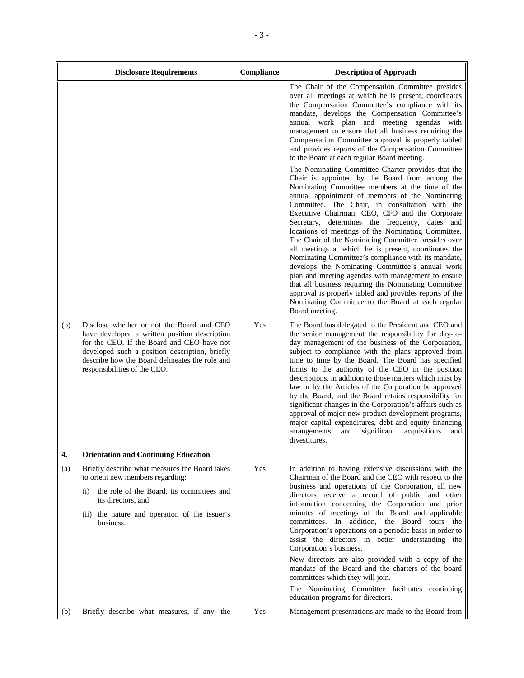|     | <b>Disclosure Requirements</b>                                                                                                                                                                                                                                               | Compliance | <b>Description of Approach</b>                                                                                                                                                                                                                                                                                                                                                                                                                                                                                                                                                                                                                                                                                                                                                                                                                                                                  |
|-----|------------------------------------------------------------------------------------------------------------------------------------------------------------------------------------------------------------------------------------------------------------------------------|------------|-------------------------------------------------------------------------------------------------------------------------------------------------------------------------------------------------------------------------------------------------------------------------------------------------------------------------------------------------------------------------------------------------------------------------------------------------------------------------------------------------------------------------------------------------------------------------------------------------------------------------------------------------------------------------------------------------------------------------------------------------------------------------------------------------------------------------------------------------------------------------------------------------|
|     |                                                                                                                                                                                                                                                                              |            | The Chair of the Compensation Committee presides<br>over all meetings at which he is present, coordinates<br>the Compensation Committee's compliance with its<br>mandate, develops the Compensation Committee's<br>annual work plan and meeting agendas with<br>management to ensure that all business requiring the<br>Compensation Committee approval is properly tabled<br>and provides reports of the Compensation Committee<br>to the Board at each regular Board meeting.                                                                                                                                                                                                                                                                                                                                                                                                                 |
|     |                                                                                                                                                                                                                                                                              |            | The Nominating Committee Charter provides that the<br>Chair is appointed by the Board from among the<br>Nominating Committee members at the time of the<br>annual appointment of members of the Nominating<br>Committee. The Chair, in consultation with the<br>Executive Chairman, CEO, CFO and the Corporate<br>Secretary, determines the frequency, dates and<br>locations of meetings of the Nominating Committee.<br>The Chair of the Nominating Committee presides over<br>all meetings at which he is present, coordinates the<br>Nominating Committee's compliance with its mandate,<br>develops the Nominating Committee's annual work<br>plan and meeting agendas with management to ensure<br>that all business requiring the Nominating Committee<br>approval is properly tabled and provides reports of the<br>Nominating Committee to the Board at each regular<br>Board meeting. |
| (b) | Disclose whether or not the Board and CEO<br>have developed a written position description<br>for the CEO. If the Board and CEO have not<br>developed such a position description, briefly<br>describe how the Board delineates the role and<br>responsibilities of the CEO. | Yes        | The Board has delegated to the President and CEO and<br>the senior management the responsibility for day-to-<br>day management of the business of the Corporation,<br>subject to compliance with the plans approved from<br>time to time by the Board. The Board has specified<br>limits to the authority of the CEO in the position<br>descriptions, in addition to those matters which must by<br>law or by the Articles of the Corporation be approved<br>by the Board, and the Board retains responsibility for<br>significant changes in the Corporation's affairs such as<br>approval of major new product development programs,<br>major capital expenditures, debt and equity financing<br>significant<br>acquisitions<br>arrangements<br>and<br>and<br>divestitures.                                                                                                                   |
| 4.  | <b>Orientation and Continuing Education</b>                                                                                                                                                                                                                                  |            |                                                                                                                                                                                                                                                                                                                                                                                                                                                                                                                                                                                                                                                                                                                                                                                                                                                                                                 |
| (a) | Briefly describe what measures the Board takes<br>to orient new members regarding:<br>the role of the Board, its committees and<br>(i)<br>its directors, and                                                                                                                 | Yes        | In addition to having extensive discussions with the<br>Chairman of the Board and the CEO with respect to the<br>business and operations of the Corporation, all new<br>directors receive a record of public and other                                                                                                                                                                                                                                                                                                                                                                                                                                                                                                                                                                                                                                                                          |
|     | (ii) the nature and operation of the issuer's<br>business.                                                                                                                                                                                                                   |            | information concerning the Corporation and prior<br>minutes of meetings of the Board and applicable<br>committees. In addition, the Board tours the<br>Corporation's operations on a periodic basis in order to<br>assist the directors in better understanding the<br>Corporation's business.                                                                                                                                                                                                                                                                                                                                                                                                                                                                                                                                                                                                  |
|     |                                                                                                                                                                                                                                                                              |            | New directors are also provided with a copy of the<br>mandate of the Board and the charters of the board<br>committees which they will join.<br>The Nominating Committee facilitates continuing                                                                                                                                                                                                                                                                                                                                                                                                                                                                                                                                                                                                                                                                                                 |
| (b) | Briefly describe what measures, if any, the                                                                                                                                                                                                                                  | Yes        | education programs for directors.<br>Management presentations are made to the Board from                                                                                                                                                                                                                                                                                                                                                                                                                                                                                                                                                                                                                                                                                                                                                                                                        |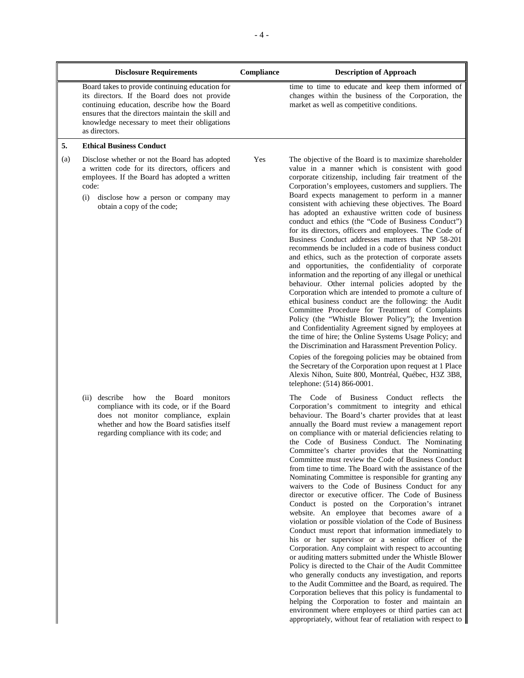|     | <b>Disclosure Requirements</b>                                                                                                                                                                                                                                         | Compliance | <b>Description of Approach</b>                                                                                                                                                                                                                                                                                                                                                                                                                                                                                                                                                                                                                                                                                                                                                                                                                                                                                                                                                                                                                                                                                                                                                                                                                                                                                                 |
|-----|------------------------------------------------------------------------------------------------------------------------------------------------------------------------------------------------------------------------------------------------------------------------|------------|--------------------------------------------------------------------------------------------------------------------------------------------------------------------------------------------------------------------------------------------------------------------------------------------------------------------------------------------------------------------------------------------------------------------------------------------------------------------------------------------------------------------------------------------------------------------------------------------------------------------------------------------------------------------------------------------------------------------------------------------------------------------------------------------------------------------------------------------------------------------------------------------------------------------------------------------------------------------------------------------------------------------------------------------------------------------------------------------------------------------------------------------------------------------------------------------------------------------------------------------------------------------------------------------------------------------------------|
|     | Board takes to provide continuing education for<br>its directors. If the Board does not provide<br>continuing education, describe how the Board<br>ensures that the directors maintain the skill and<br>knowledge necessary to meet their obligations<br>as directors. |            | time to time to educate and keep them informed of<br>changes within the business of the Corporation, the<br>market as well as competitive conditions.                                                                                                                                                                                                                                                                                                                                                                                                                                                                                                                                                                                                                                                                                                                                                                                                                                                                                                                                                                                                                                                                                                                                                                          |
| 5.  | <b>Ethical Business Conduct</b>                                                                                                                                                                                                                                        |            |                                                                                                                                                                                                                                                                                                                                                                                                                                                                                                                                                                                                                                                                                                                                                                                                                                                                                                                                                                                                                                                                                                                                                                                                                                                                                                                                |
| (a) | Disclose whether or not the Board has adopted<br>a written code for its directors, officers and<br>employees. If the Board has adopted a written<br>code:<br>(i)<br>disclose how a person or company may<br>obtain a copy of the code;                                 | Yes        | The objective of the Board is to maximize shareholder<br>value in a manner which is consistent with good<br>corporate citizenship, including fair treatment of the<br>Corporation's employees, customers and suppliers. The<br>Board expects management to perform in a manner<br>consistent with achieving these objectives. The Board<br>has adopted an exhaustive written code of business<br>conduct and ethics (the "Code of Business Conduct")<br>for its directors, officers and employees. The Code of<br>Business Conduct addresses matters that NP 58-201<br>recommends be included in a code of business conduct<br>and ethics, such as the protection of corporate assets<br>and opportunities, the confidentiality of corporate<br>information and the reporting of any illegal or unethical<br>behaviour. Other internal policies adopted by the<br>Corporation which are intended to promote a culture of<br>ethical business conduct are the following: the Audit<br>Committee Procedure for Treatment of Complaints<br>Policy (the "Whistle Blower Policy"); the Invention<br>and Confidentiality Agreement signed by employees at<br>the time of hire; the Online Systems Usage Policy; and<br>the Discrimination and Harassment Prevention Policy.<br>Copies of the foregoing policies may be obtained from |
|     |                                                                                                                                                                                                                                                                        |            | the Secretary of the Corporation upon request at 1 Place<br>Alexis Nihon, Suite 800, Montréal, Québec, H3Z 3B8,<br>telephone: (514) 866-0001.                                                                                                                                                                                                                                                                                                                                                                                                                                                                                                                                                                                                                                                                                                                                                                                                                                                                                                                                                                                                                                                                                                                                                                                  |
|     | describe<br>how<br>the Board<br>monitors<br>(ii)<br>compliance with its code, or if the Board<br>does not monitor compliance, explain<br>whether and how the Board satisfies itself<br>regarding compliance with its code; and                                         |            | The Code of Business Conduct reflects<br>the<br>Corporation's commitment to integrity and ethical<br>behaviour. The Board's charter provides that at least<br>annually the Board must review a management report<br>on compliance with or material deficiencies relating to<br>the Code of Business Conduct. The Nominating<br>Committee's charter provides that the Nominatting<br>Committee must review the Code of Business Conduct<br>from time to time. The Board with the assistance of the<br>Nominating Committee is responsible for granting any<br>waivers to the Code of Business Conduct for any<br>director or executive officer. The Code of Business<br>Conduct is posted on the Corporation's intranet<br>website. An employee that becomes aware of a<br>violation or possible violation of the Code of Business<br>Conduct must report that information immediately to<br>his or her supervisor or a senior officer of the<br>Corporation. Any complaint with respect to accounting<br>or auditing matters submitted under the Whistle Blower<br>Policy is directed to the Chair of the Audit Committee<br>who generally conducts any investigation and reports                                                                                                                                              |

who generally conducts any investigation, and reports to the Audit Committee and the Board, as required. The Corporation believes that this policy is fundamental to helping the Corporation to foster and maintain an environment where employees or third parties can act appropriately, without fear of retaliation with respect to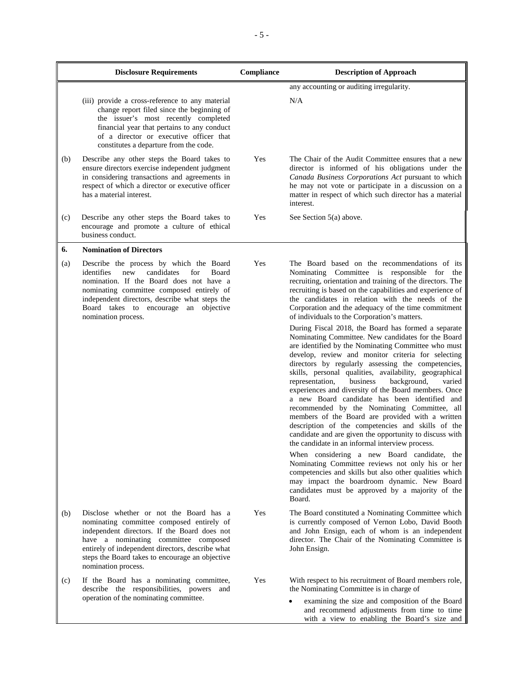|     | <b>Disclosure Requirements</b>                                                                                                                                                                                                                                                                             | Compliance | <b>Description of Approach</b>                                                                                                                                                                                                                                                                                                                                                                                                                                                                                                                                                                                                                                                                                                                                                 |
|-----|------------------------------------------------------------------------------------------------------------------------------------------------------------------------------------------------------------------------------------------------------------------------------------------------------------|------------|--------------------------------------------------------------------------------------------------------------------------------------------------------------------------------------------------------------------------------------------------------------------------------------------------------------------------------------------------------------------------------------------------------------------------------------------------------------------------------------------------------------------------------------------------------------------------------------------------------------------------------------------------------------------------------------------------------------------------------------------------------------------------------|
|     |                                                                                                                                                                                                                                                                                                            |            | any accounting or auditing irregularity.                                                                                                                                                                                                                                                                                                                                                                                                                                                                                                                                                                                                                                                                                                                                       |
|     | (iii) provide a cross-reference to any material<br>change report filed since the beginning of<br>the issuer's most recently completed<br>financial year that pertains to any conduct<br>of a director or executive officer that<br>constitutes a departure from the code.                                  |            | N/A                                                                                                                                                                                                                                                                                                                                                                                                                                                                                                                                                                                                                                                                                                                                                                            |
| (b) | Describe any other steps the Board takes to<br>ensure directors exercise independent judgment<br>in considering transactions and agreements in<br>respect of which a director or executive officer<br>has a material interest.                                                                             | Yes        | The Chair of the Audit Committee ensures that a new<br>director is informed of his obligations under the<br>Canada Business Corporations Act pursuant to which<br>he may not vote or participate in a discussion on a<br>matter in respect of which such director has a material<br>interest.                                                                                                                                                                                                                                                                                                                                                                                                                                                                                  |
| (c) | Describe any other steps the Board takes to<br>encourage and promote a culture of ethical<br>business conduct.                                                                                                                                                                                             | Yes        | See Section 5(a) above.                                                                                                                                                                                                                                                                                                                                                                                                                                                                                                                                                                                                                                                                                                                                                        |
| 6.  | <b>Nomination of Directors</b>                                                                                                                                                                                                                                                                             |            |                                                                                                                                                                                                                                                                                                                                                                                                                                                                                                                                                                                                                                                                                                                                                                                |
| (a) | Describe the process by which the Board<br>identifies<br>new<br>candidates<br>for<br>Board<br>nomination. If the Board does not have a<br>nominating committee composed entirely of<br>independent directors, describe what steps the<br>Board takes to encourage an objective<br>nomination process.      | Yes        | The Board based on the recommendations of its<br>Nominating Committee is responsible for the<br>recruiting, orientation and training of the directors. The<br>recruiting is based on the capabilities and experience of<br>the candidates in relation with the needs of the<br>Corporation and the adequacy of the time commitment<br>of individuals to the Corporation's matters.                                                                                                                                                                                                                                                                                                                                                                                             |
|     |                                                                                                                                                                                                                                                                                                            |            | During Fiscal 2018, the Board has formed a separate<br>Nominating Committee. New candidates for the Board<br>are identified by the Nominating Committee who must<br>develop, review and monitor criteria for selecting<br>directors by regularly assessing the competencies,<br>skills, personal qualities, availability, geographical<br>representation,<br>background,<br>business<br>varied<br>experiences and diversity of the Board members. Once<br>a new Board candidate has been identified and<br>recommended by the Nominating Committee, all<br>members of the Board are provided with a written<br>description of the competencies and skills of the<br>candidate and are given the opportunity to discuss with<br>the candidate in an informal interview process. |
|     |                                                                                                                                                                                                                                                                                                            |            | When considering a new Board candidate, the<br>Nominating Committee reviews not only his or her<br>competencies and skills but also other qualities which<br>may impact the boardroom dynamic. New Board<br>candidates must be approved by a majority of the<br>Board.                                                                                                                                                                                                                                                                                                                                                                                                                                                                                                         |
| (b) | Disclose whether or not the Board has a<br>nominating committee composed entirely of<br>independent directors. If the Board does not<br>have a nominating committee composed<br>entirely of independent directors, describe what<br>steps the Board takes to encourage an objective<br>nomination process. | Yes        | The Board constituted a Nominating Committee which<br>is currently composed of Vernon Lobo, David Booth<br>and John Ensign, each of whom is an independent<br>director. The Chair of the Nominating Committee is<br>John Ensign.                                                                                                                                                                                                                                                                                                                                                                                                                                                                                                                                               |
| (c) | If the Board has a nominating committee,<br>describe the responsibilities, powers and<br>operation of the nominating committee.                                                                                                                                                                            | Yes        | With respect to his recruitment of Board members role,<br>the Nominating Committee is in charge of                                                                                                                                                                                                                                                                                                                                                                                                                                                                                                                                                                                                                                                                             |
|     |                                                                                                                                                                                                                                                                                                            |            | examining the size and composition of the Board<br>and recommend adjustments from time to time<br>with a view to enabling the Board's size and                                                                                                                                                                                                                                                                                                                                                                                                                                                                                                                                                                                                                                 |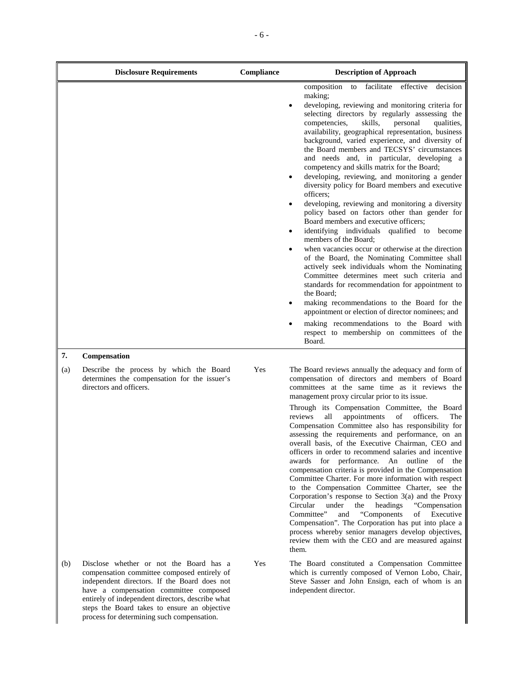|     | <b>Disclosure Requirements</b>                                                                                                                                                                                                                                                                                                     | Compliance | <b>Description of Approach</b>                                                                                                                                                                                                                                                                                                                                                                                                                                                                                                                                                                                                                                                                                                                                                                                                                                                                                                                                                                                                                                                                                                                                                                                                                                                                        |
|-----|------------------------------------------------------------------------------------------------------------------------------------------------------------------------------------------------------------------------------------------------------------------------------------------------------------------------------------|------------|-------------------------------------------------------------------------------------------------------------------------------------------------------------------------------------------------------------------------------------------------------------------------------------------------------------------------------------------------------------------------------------------------------------------------------------------------------------------------------------------------------------------------------------------------------------------------------------------------------------------------------------------------------------------------------------------------------------------------------------------------------------------------------------------------------------------------------------------------------------------------------------------------------------------------------------------------------------------------------------------------------------------------------------------------------------------------------------------------------------------------------------------------------------------------------------------------------------------------------------------------------------------------------------------------------|
|     |                                                                                                                                                                                                                                                                                                                                    |            | decision<br>facilitate<br>effective<br>composition<br>to<br>making;<br>developing, reviewing and monitoring criteria for<br>selecting directors by regularly asssessing the<br>skills,<br>competencies,<br>personal<br>qualities,<br>availability, geographical representation, business<br>background, varied experience, and diversity of<br>the Board members and TECSYS' circumstances<br>and needs and, in particular, developing a<br>competency and skills matrix for the Board;<br>developing, reviewing, and monitoring a gender<br>diversity policy for Board members and executive<br>officers;<br>developing, reviewing and monitoring a diversity<br>policy based on factors other than gender for<br>Board members and executive officers;<br>identifying individuals qualified to become<br>members of the Board;<br>when vacancies occur or otherwise at the direction<br>of the Board, the Nominating Committee shall<br>actively seek individuals whom the Nominating<br>Committee determines meet such criteria and<br>standards for recommendation for appointment to<br>the Board;<br>making recommendations to the Board for the<br>appointment or election of director nominees; and<br>making recommendations to the Board with<br>respect to membership on committees of the |
| 7.  |                                                                                                                                                                                                                                                                                                                                    |            | Board.                                                                                                                                                                                                                                                                                                                                                                                                                                                                                                                                                                                                                                                                                                                                                                                                                                                                                                                                                                                                                                                                                                                                                                                                                                                                                                |
| (a) | Compensation<br>Describe the process by which the Board<br>determines the compensation for the issuer's<br>directors and officers.                                                                                                                                                                                                 | Yes        | The Board reviews annually the adequacy and form of<br>compensation of directors and members of Board<br>committees at the same time as it reviews the<br>management proxy circular prior to its issue.<br>Through its Compensation Committee, the Board<br>all<br>appointments<br>reviews<br>of<br>officers.<br>The<br>Compensation Committee also has responsibility for<br>assessing the requirements and performance, on an<br>overall basis, of the Executive Chairman, CEO and<br>officers in order to recommend salaries and incentive<br>awards for performance. An outline of the<br>compensation criteria is provided in the Compensation<br>Committee Charter. For more information with respect<br>to the Compensation Committee Charter, see the<br>Corporation's response to Section $3(a)$ and the Proxy<br>Circular<br>under<br>the<br>headings<br>"Compensation"<br>Committee"<br>"Components<br>and<br>Executive<br>of<br>Compensation". The Corporation has put into place a<br>process whereby senior managers develop objectives,<br>review them with the CEO and are measured against<br>them.                                                                                                                                                                                  |
| (b) | Disclose whether or not the Board has a<br>compensation committee composed entirely of<br>independent directors. If the Board does not<br>have a compensation committee composed<br>entirely of independent directors, describe what<br>steps the Board takes to ensure an objective<br>process for determining such compensation. | Yes        | The Board constituted a Compensation Committee<br>which is currently composed of Vernon Lobo, Chair,<br>Steve Sasser and John Ensign, each of whom is an<br>independent director.                                                                                                                                                                                                                                                                                                                                                                                                                                                                                                                                                                                                                                                                                                                                                                                                                                                                                                                                                                                                                                                                                                                     |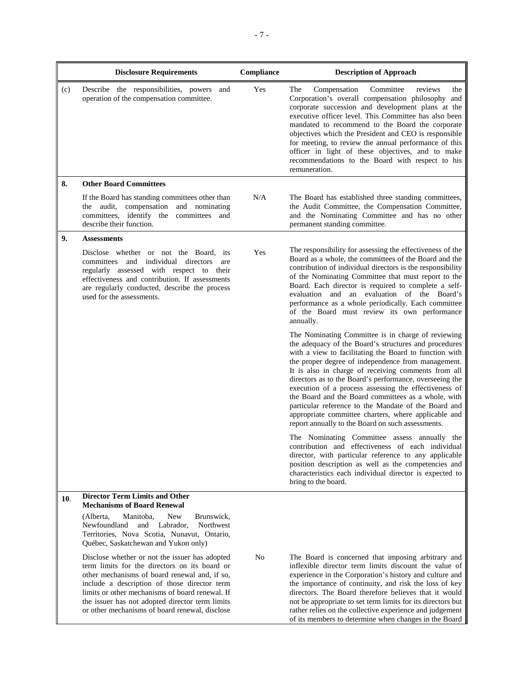|     | <b>Disclosure Requirements</b>                                                                                                                                                                                                                                                                                                                           | Compliance | <b>Description of Approach</b>                                                                                                                                                                                                                                                                                                                                                                                                                                                                                                                                                                                                     |
|-----|----------------------------------------------------------------------------------------------------------------------------------------------------------------------------------------------------------------------------------------------------------------------------------------------------------------------------------------------------------|------------|------------------------------------------------------------------------------------------------------------------------------------------------------------------------------------------------------------------------------------------------------------------------------------------------------------------------------------------------------------------------------------------------------------------------------------------------------------------------------------------------------------------------------------------------------------------------------------------------------------------------------------|
| (c) | Describe the responsibilities, powers and<br>operation of the compensation committee.                                                                                                                                                                                                                                                                    | Yes        | The<br>Compensation<br>Committee<br>reviews<br>the<br>Corporation's overall compensation philosophy and<br>corporate succession and development plans at the<br>executive officer level. This Committee has also been<br>mandated to recommend to the Board the corporate<br>objectives which the President and CEO is responsible<br>for meeting, to review the annual performance of this<br>officer in light of these objectives, and to make<br>recommendations to the Board with respect to his<br>remuneration.                                                                                                              |
| 8.  | <b>Other Board Committees</b>                                                                                                                                                                                                                                                                                                                            |            |                                                                                                                                                                                                                                                                                                                                                                                                                                                                                                                                                                                                                                    |
|     | If the Board has standing committees other than<br>the audit, compensation<br>and nominating<br>committees, identify the committees and<br>describe their function.                                                                                                                                                                                      | N/A        | The Board has established three standing committees,<br>the Audit Committee, the Compensation Committee,<br>and the Nominating Committee and has no other<br>permanent standing committee.                                                                                                                                                                                                                                                                                                                                                                                                                                         |
| 9.  | <b>Assessments</b>                                                                                                                                                                                                                                                                                                                                       |            |                                                                                                                                                                                                                                                                                                                                                                                                                                                                                                                                                                                                                                    |
|     | Disclose whether or not the Board, its<br>individual<br>directors<br>committees<br>and<br>are<br>regularly assessed with respect to their<br>effectiveness and contribution. If assessments<br>are regularly conducted, describe the process<br>used for the assessments.                                                                                | Yes        | The responsibility for assessing the effectiveness of the<br>Board as a whole, the committees of the Board and the<br>contribution of individual directors is the responsibility<br>of the Nominating Committee that must report to the<br>Board. Each director is required to complete a self-<br>evaluation and an evaluation of the Board's<br>performance as a whole periodically. Each committee<br>of the Board must review its own performance<br>annually.                                                                                                                                                                 |
|     |                                                                                                                                                                                                                                                                                                                                                          |            | The Nominating Committee is in charge of reviewing<br>the adequacy of the Board's structures and procedures<br>with a view to facilitating the Board to function with<br>the proper degree of independence from management.<br>It is also in charge of receiving comments from all<br>directors as to the Board's performance, overseeing the<br>execution of a process assessing the effectiveness of<br>the Board and the Board committees as a whole, with<br>particular reference to the Mandate of the Board and<br>appropriate committee charters, where applicable and<br>report annually to the Board on such assessments. |
|     |                                                                                                                                                                                                                                                                                                                                                          |            | The Nominating Committee assess annually the<br>contribution and effectiveness of each individual<br>director, with particular reference to any applicable<br>position description as well as the competencies and<br>characteristics each individual director is expected to<br>bring to the board.                                                                                                                                                                                                                                                                                                                               |
| 10. | <b>Director Term Limits and Other</b><br><b>Mechanisms of Board Renewal</b>                                                                                                                                                                                                                                                                              |            |                                                                                                                                                                                                                                                                                                                                                                                                                                                                                                                                                                                                                                    |
|     | Manitoba,<br><b>New</b><br>Brunswick,<br>(Alberta,<br>and Labrador,<br>Northwest<br>Newfoundland<br>Territories, Nova Scotia, Nunavut, Ontario,<br>Québec, Saskatchewan and Yukon only)                                                                                                                                                                  |            |                                                                                                                                                                                                                                                                                                                                                                                                                                                                                                                                                                                                                                    |
|     | Disclose whether or not the issuer has adopted<br>term limits for the directors on its board or<br>other mechanisms of board renewal and, if so,<br>include a description of those director term<br>limits or other mechanisms of board renewal. If<br>the issuer has not adopted director term limits<br>or other mechanisms of board renewal, disclose | No         | The Board is concerned that imposing arbitrary and<br>inflexible director term limits discount the value of<br>experience in the Corporation's history and culture and<br>the importance of continuity, and risk the loss of key<br>directors. The Board therefore believes that it would<br>not be appropriate to set term limits for its directors but<br>rather relies on the collective experience and judgement<br>of its members to determine when changes in the Board                                                                                                                                                      |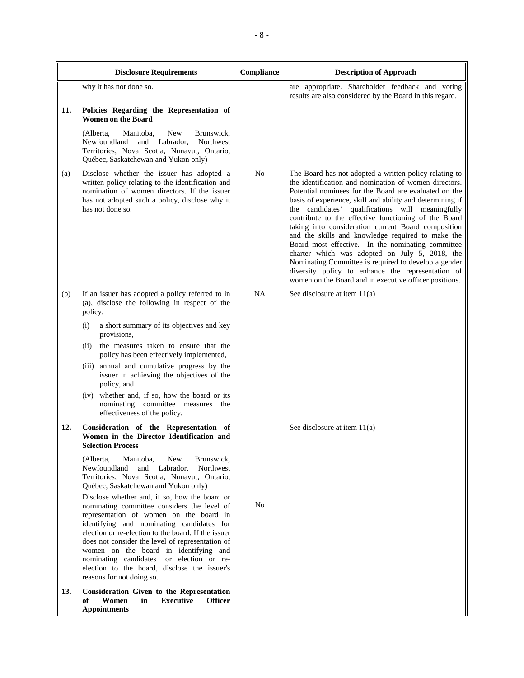|     | <b>Disclosure Requirements</b>                                                                                                                                                                                                                                                                                                                                                                                                                                                                                                                                               | Compliance     | <b>Description of Approach</b>                                                                                                                                                                                                                                                                                                                                                                                                                                                                                                                                                                                                                                                                                                              |
|-----|------------------------------------------------------------------------------------------------------------------------------------------------------------------------------------------------------------------------------------------------------------------------------------------------------------------------------------------------------------------------------------------------------------------------------------------------------------------------------------------------------------------------------------------------------------------------------|----------------|---------------------------------------------------------------------------------------------------------------------------------------------------------------------------------------------------------------------------------------------------------------------------------------------------------------------------------------------------------------------------------------------------------------------------------------------------------------------------------------------------------------------------------------------------------------------------------------------------------------------------------------------------------------------------------------------------------------------------------------------|
|     | why it has not done so.                                                                                                                                                                                                                                                                                                                                                                                                                                                                                                                                                      |                | are appropriate. Shareholder feedback and voting<br>results are also considered by the Board in this regard.                                                                                                                                                                                                                                                                                                                                                                                                                                                                                                                                                                                                                                |
| 11. | Policies Regarding the Representation of<br><b>Women on the Board</b>                                                                                                                                                                                                                                                                                                                                                                                                                                                                                                        |                |                                                                                                                                                                                                                                                                                                                                                                                                                                                                                                                                                                                                                                                                                                                                             |
|     | (Alberta,<br>Manitoba,<br>New<br>Brunswick,<br>Labrador,<br>Northwest<br>Newfoundland<br>and<br>Territories, Nova Scotia, Nunavut, Ontario,<br>Québec, Saskatchewan and Yukon only)                                                                                                                                                                                                                                                                                                                                                                                          |                |                                                                                                                                                                                                                                                                                                                                                                                                                                                                                                                                                                                                                                                                                                                                             |
| (a) | Disclose whether the issuer has adopted a<br>written policy relating to the identification and<br>nomination of women directors. If the issuer<br>has not adopted such a policy, disclose why it<br>has not done so.                                                                                                                                                                                                                                                                                                                                                         | N <sub>o</sub> | The Board has not adopted a written policy relating to<br>the identification and nomination of women directors.<br>Potential nominees for the Board are evaluated on the<br>basis of experience, skill and ability and determining if<br>the candidates' qualifications will meaningfully<br>contribute to the effective functioning of the Board<br>taking into consideration current Board composition<br>and the skills and knowledge required to make the<br>Board most effective. In the nominating committee<br>charter which was adopted on July 5, 2018, the<br>Nominating Committee is required to develop a gender<br>diversity policy to enhance the representation of<br>women on the Board and in executive officer positions. |
| (b) | If an issuer has adopted a policy referred to in<br>(a), disclose the following in respect of the<br>policy:                                                                                                                                                                                                                                                                                                                                                                                                                                                                 | <b>NA</b>      | See disclosure at item $11(a)$                                                                                                                                                                                                                                                                                                                                                                                                                                                                                                                                                                                                                                                                                                              |
|     | a short summary of its objectives and key<br>(i)<br>provisions,                                                                                                                                                                                                                                                                                                                                                                                                                                                                                                              |                |                                                                                                                                                                                                                                                                                                                                                                                                                                                                                                                                                                                                                                                                                                                                             |
|     | the measures taken to ensure that the<br>(ii)<br>policy has been effectively implemented,                                                                                                                                                                                                                                                                                                                                                                                                                                                                                    |                |                                                                                                                                                                                                                                                                                                                                                                                                                                                                                                                                                                                                                                                                                                                                             |
|     | annual and cumulative progress by the<br>(iii)<br>issuer in achieving the objectives of the<br>policy, and                                                                                                                                                                                                                                                                                                                                                                                                                                                                   |                |                                                                                                                                                                                                                                                                                                                                                                                                                                                                                                                                                                                                                                                                                                                                             |
|     | (iv) whether and, if so, how the board or its<br>nominating committee measures the<br>effectiveness of the policy.                                                                                                                                                                                                                                                                                                                                                                                                                                                           |                |                                                                                                                                                                                                                                                                                                                                                                                                                                                                                                                                                                                                                                                                                                                                             |
| 12. | Consideration of the Representation of<br>Women in the Director Identification and<br><b>Selection Process</b>                                                                                                                                                                                                                                                                                                                                                                                                                                                               |                | See disclosure at item 11(a)                                                                                                                                                                                                                                                                                                                                                                                                                                                                                                                                                                                                                                                                                                                |
|     | Manitoba,<br>New<br>Brunswick,<br>(Alberta,<br>Newfoundland<br>Labrador,<br>and<br>Northwest<br>Territories, Nova Scotia, Nunavut, Ontario,<br>Québec, Saskatchewan and Yukon only)<br>Disclose whether and, if so, how the board or<br>nominating committee considers the level of<br>representation of women on the board in<br>identifying and nominating candidates for<br>election or re-election to the board. If the issuer<br>does not consider the level of representation of<br>women on the board in identifying and<br>nominating candidates for election or re- | N <sub>o</sub> |                                                                                                                                                                                                                                                                                                                                                                                                                                                                                                                                                                                                                                                                                                                                             |
| 13. | election to the board, disclose the issuer's<br>reasons for not doing so.<br><b>Consideration Given to the Representation</b><br>Women<br>in<br><b>Executive</b><br><b>Officer</b><br>of                                                                                                                                                                                                                                                                                                                                                                                     |                |                                                                                                                                                                                                                                                                                                                                                                                                                                                                                                                                                                                                                                                                                                                                             |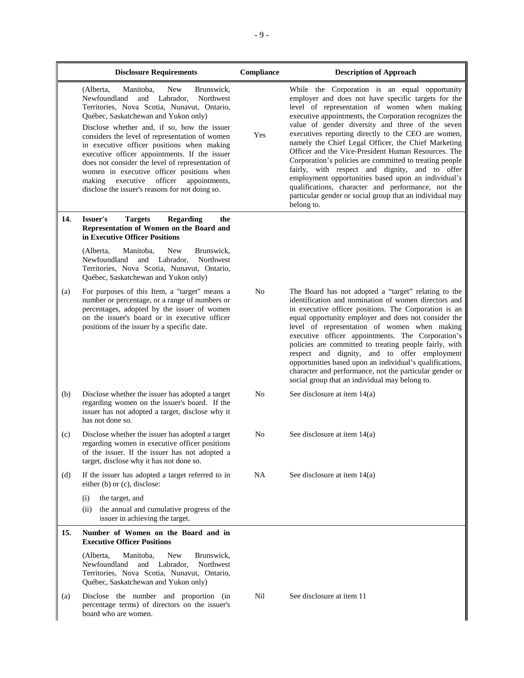|     | <b>Disclosure Requirements</b>                                                                                                                                                                                                                                                                                                                                                                                                                                                                                                                                                       | Compliance | <b>Description of Approach</b>                                                                                                                                                                                                                                                                                                                                                                                                                                                                                                                                                                                                                                                                                                              |
|-----|--------------------------------------------------------------------------------------------------------------------------------------------------------------------------------------------------------------------------------------------------------------------------------------------------------------------------------------------------------------------------------------------------------------------------------------------------------------------------------------------------------------------------------------------------------------------------------------|------------|---------------------------------------------------------------------------------------------------------------------------------------------------------------------------------------------------------------------------------------------------------------------------------------------------------------------------------------------------------------------------------------------------------------------------------------------------------------------------------------------------------------------------------------------------------------------------------------------------------------------------------------------------------------------------------------------------------------------------------------------|
|     | New<br>Brunswick,<br>(Alberta,<br>Manitoba,<br>and Labrador,<br>Northwest<br>Newfoundland<br>Territories, Nova Scotia, Nunavut, Ontario,<br>Québec, Saskatchewan and Yukon only)<br>Disclose whether and, if so, how the issuer<br>considers the level of representation of women<br>in executive officer positions when making<br>executive officer appointments. If the issuer<br>does not consider the level of representation of<br>women in executive officer positions when<br>executive officer<br>appointments,<br>making<br>disclose the issuer's reasons for not doing so. | Yes        | While the Corporation is an equal opportunity<br>employer and does not have specific targets for the<br>level of representation of women when making<br>executive appointments, the Corporation recognizes the<br>value of gender diversity and three of the seven<br>executives reporting directly to the CEO are women,<br>namely the Chief Legal Officer, the Chief Marketing<br>Officer and the Vice-President Human Resources. The<br>Corporation's policies are committed to treating people<br>fairly, with respect and dignity, and to offer<br>employment opportunities based upon an individual's<br>qualifications, character and performance, not the<br>particular gender or social group that an individual may<br>belong to. |
| 14. | <b>Regarding</b><br>Issuer's<br><b>Targets</b><br>the<br>Representation of Women on the Board and<br>in Executive Officer Positions                                                                                                                                                                                                                                                                                                                                                                                                                                                  |            |                                                                                                                                                                                                                                                                                                                                                                                                                                                                                                                                                                                                                                                                                                                                             |
|     | (Alberta,<br>Manitoba,<br>New<br>Brunswick,<br>Newfoundland and Labrador,<br>Northwest<br>Territories, Nova Scotia, Nunavut, Ontario,<br>Québec, Saskatchewan and Yukon only)                                                                                                                                                                                                                                                                                                                                                                                                        |            |                                                                                                                                                                                                                                                                                                                                                                                                                                                                                                                                                                                                                                                                                                                                             |
| (a) | For purposes of this Item, a "target" means a<br>number or percentage, or a range of numbers or<br>percentages, adopted by the issuer of women<br>on the issuer's board or in executive officer<br>positions of the issuer by a specific date.                                                                                                                                                                                                                                                                                                                                       | No         | The Board has not adopted a "target" relating to the<br>identification and nomination of women directors and<br>in executive officer positions. The Corporation is an<br>equal opportunity employer and does not consider the<br>level of representation of women when making<br>executive officer appointments. The Corporation's<br>policies are committed to treating people fairly, with<br>respect and dignity, and to offer employment<br>opportunities based upon an individual's qualifications,<br>character and performance, not the particular gender or<br>social group that an individual may belong to.                                                                                                                       |
| (b) | Disclose whether the issuer has adopted a target<br>regarding women on the issuer's board. If the<br>issuer has not adopted a target, disclose why it<br>has not done so.                                                                                                                                                                                                                                                                                                                                                                                                            | No         | See disclosure at item $14(a)$                                                                                                                                                                                                                                                                                                                                                                                                                                                                                                                                                                                                                                                                                                              |
| (c) | Disclose whether the issuer has adopted a target<br>regarding women in executive officer positions<br>of the issuer. If the issuer has not adopted a<br>target, disclose why it has not done so.                                                                                                                                                                                                                                                                                                                                                                                     | No         | See disclosure at item $14(a)$                                                                                                                                                                                                                                                                                                                                                                                                                                                                                                                                                                                                                                                                                                              |
| (d) | If the issuer has adopted a target referred to in<br>either (b) or (c), disclose:                                                                                                                                                                                                                                                                                                                                                                                                                                                                                                    | NA         | See disclosure at item $14(a)$                                                                                                                                                                                                                                                                                                                                                                                                                                                                                                                                                                                                                                                                                                              |
|     | (i)<br>the target, and<br>the annual and cumulative progress of the<br>(ii)<br>issuer in achieving the target.                                                                                                                                                                                                                                                                                                                                                                                                                                                                       |            |                                                                                                                                                                                                                                                                                                                                                                                                                                                                                                                                                                                                                                                                                                                                             |
| 15. | Number of Women on the Board and in<br><b>Executive Officer Positions</b>                                                                                                                                                                                                                                                                                                                                                                                                                                                                                                            |            |                                                                                                                                                                                                                                                                                                                                                                                                                                                                                                                                                                                                                                                                                                                                             |
|     | (Alberta,<br>Manitoba,<br><b>New</b><br>Brunswick,<br>Newfoundland<br>Northwest<br>and Labrador,<br>Territories, Nova Scotia, Nunavut, Ontario,<br>Québec, Saskatchewan and Yukon only)                                                                                                                                                                                                                                                                                                                                                                                              |            |                                                                                                                                                                                                                                                                                                                                                                                                                                                                                                                                                                                                                                                                                                                                             |
| (a) | Disclose the number and proportion (in<br>percentage terms) of directors on the issuer's<br>board who are women.                                                                                                                                                                                                                                                                                                                                                                                                                                                                     | Nil        | See disclosure at item 11                                                                                                                                                                                                                                                                                                                                                                                                                                                                                                                                                                                                                                                                                                                   |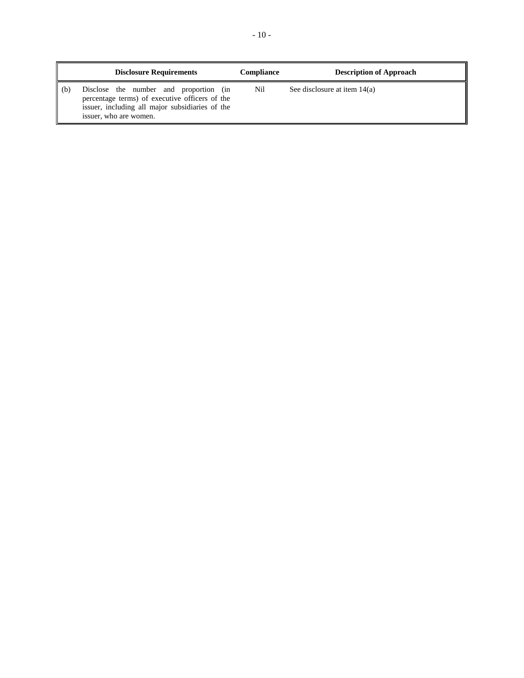|     | <b>Disclosure Requirements</b>                                                                                                                                        | <b>Compliance</b> | <b>Description of Approach</b> |
|-----|-----------------------------------------------------------------------------------------------------------------------------------------------------------------------|-------------------|--------------------------------|
| (b) | Disclose the number and proportion (in<br>percentage terms) of executive officers of the<br>issuer, including all major subsidiaries of the<br>issuer, who are women. | Nil               | See disclosure at item $14(a)$ |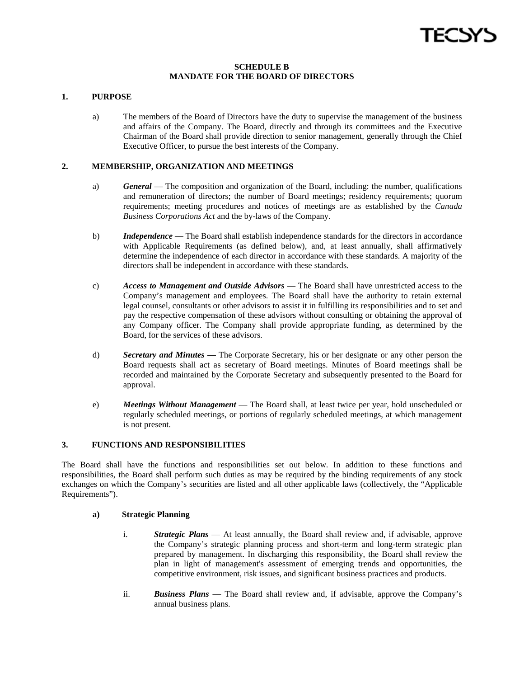# **SCHEDULE B MANDATE FOR THE BOARD OF DIRECTORS**

# **1. PURPOSE**

a) The members of the Board of Directors have the duty to supervise the management of the business and affairs of the Company. The Board, directly and through its committees and the Executive Chairman of the Board shall provide direction to senior management, generally through the Chief Executive Officer, to pursue the best interests of the Company.

# **2. MEMBERSHIP, ORGANIZATION AND MEETINGS**

- a) *General* The composition and organization of the Board, including: the number, qualifications and remuneration of directors; the number of Board meetings; residency requirements; quorum requirements; meeting procedures and notices of meetings are as established by the *Canada Business Corporations Act* and the by-laws of the Company.
- b) *Independence* The Board shall establish independence standards for the directors in accordance with Applicable Requirements (as defined below), and, at least annually, shall affirmatively determine the independence of each director in accordance with these standards. A majority of the directors shall be independent in accordance with these standards.
- c) *Access to Management and Outside Advisors* The Board shall have unrestricted access to the Company's management and employees. The Board shall have the authority to retain external legal counsel, consultants or other advisors to assist it in fulfilling its responsibilities and to set and pay the respective compensation of these advisors without consulting or obtaining the approval of any Company officer. The Company shall provide appropriate funding, as determined by the Board, for the services of these advisors.
- d) *Secretary and Minutes* The Corporate Secretary, his or her designate or any other person the Board requests shall act as secretary of Board meetings. Minutes of Board meetings shall be recorded and maintained by the Corporate Secretary and subsequently presented to the Board for approval.
- e) *Meetings Without Management* The Board shall, at least twice per year, hold unscheduled or regularly scheduled meetings, or portions of regularly scheduled meetings, at which management is not present.

# **3. FUNCTIONS AND RESPONSIBILITIES**

The Board shall have the functions and responsibilities set out below. In addition to these functions and responsibilities, the Board shall perform such duties as may be required by the binding requirements of any stock exchanges on which the Company's securities are listed and all other applicable laws (collectively, the "Applicable Requirements").

## **a) Strategic Planning**

- i. *Strategic Plans* At least annually, the Board shall review and, if advisable, approve the Company's strategic planning process and short-term and long-term strategic plan prepared by management. In discharging this responsibility, the Board shall review the plan in light of management's assessment of emerging trends and opportunities, the competitive environment, risk issues, and significant business practices and products.
- ii. *Business Plans* The Board shall review and, if advisable, approve the Company's annual business plans.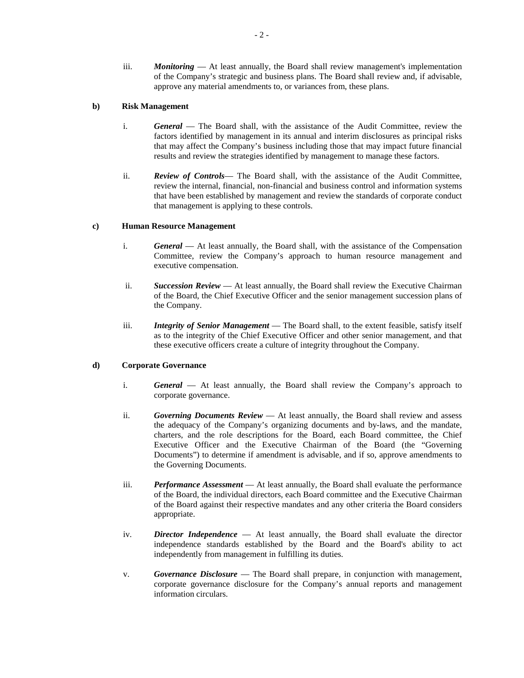iii. *Monitoring* — At least annually, the Board shall review management's implementation of the Company's strategic and business plans. The Board shall review and, if advisable, approve any material amendments to, or variances from, these plans.

# **b) Risk Management**

- i. *General* The Board shall, with the assistance of the Audit Committee, review the factors identified by management in its annual and interim disclosures as principal risks that may affect the Company's business including those that may impact future financial results and review the strategies identified by management to manage these factors.
- ii. *Review of Controls* The Board shall, with the assistance of the Audit Committee, review the internal, financial, non-financial and business control and information systems that have been established by management and review the standards of corporate conduct that management is applying to these controls.

# **c) Human Resource Management**

- i. *General* At least annually, the Board shall, with the assistance of the Compensation Committee, review the Company's approach to human resource management and executive compensation.
- ii. *Succession Review* At least annually, the Board shall review the Executive Chairman of the Board, the Chief Executive Officer and the senior management succession plans of the Company.
- iii. *Integrity of Senior Management* The Board shall, to the extent feasible, satisfy itself as to the integrity of the Chief Executive Officer and other senior management, and that these executive officers create a culture of integrity throughout the Company.

# **d) Corporate Governance**

- i. *General* At least annually, the Board shall review the Company's approach to corporate governance.
- ii. *Governing Documents Review* At least annually, the Board shall review and assess the adequacy of the Company's organizing documents and by-laws, and the mandate, charters, and the role descriptions for the Board, each Board committee, the Chief Executive Officer and the Executive Chairman of the Board (the "Governing Documents") to determine if amendment is advisable, and if so, approve amendments to the Governing Documents.
- iii. *Performance Assessment* At least annually, the Board shall evaluate the performance of the Board, the individual directors, each Board committee and the Executive Chairman of the Board against their respective mandates and any other criteria the Board considers appropriate.
- iv. *Director Independence* At least annually, the Board shall evaluate the director independence standards established by the Board and the Board's ability to act independently from management in fulfilling its duties.
- v. *Governance Disclosure* The Board shall prepare, in conjunction with management, corporate governance disclosure for the Company's annual reports and management information circulars.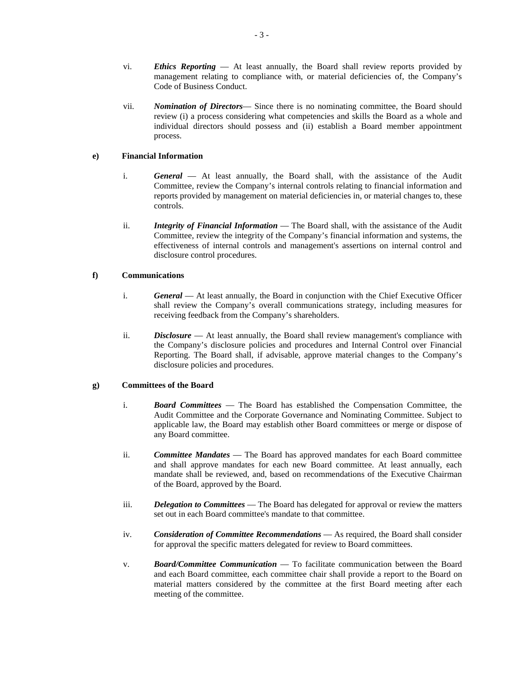- vi. *Ethics Reporting* At least annually, the Board shall review reports provided by management relating to compliance with, or material deficiencies of, the Company's Code of Business Conduct.
- vii. *Nomination of Directors* Since there is no nominating committee, the Board should review (i) a process considering what competencies and skills the Board as a whole and individual directors should possess and (ii) establish a Board member appointment process.

# **e) Financial Information**

- i. *General* At least annually, the Board shall, with the assistance of the Audit Committee, review the Company's internal controls relating to financial information and reports provided by management on material deficiencies in, or material changes to, these controls.
- ii. *Integrity of Financial Information* The Board shall, with the assistance of the Audit Committee, review the integrity of the Company's financial information and systems, the effectiveness of internal controls and management's assertions on internal control and disclosure control procedures.

# **f) Communications**

- i. *General* At least annually, the Board in conjunction with the Chief Executive Officer shall review the Company's overall communications strategy, including measures for receiving feedback from the Company's shareholders.
- ii. *Disclosure* At least annually, the Board shall review management's compliance with the Company's disclosure policies and procedures and Internal Control over Financial Reporting. The Board shall, if advisable, approve material changes to the Company's disclosure policies and procedures.

# **g) Committees of the Board**

- i. *Board Committees* The Board has established the Compensation Committee, the Audit Committee and the Corporate Governance and Nominating Committee. Subject to applicable law, the Board may establish other Board committees or merge or dispose of any Board committee.
- ii. *Committee Mandates* The Board has approved mandates for each Board committee and shall approve mandates for each new Board committee. At least annually, each mandate shall be reviewed, and, based on recommendations of the Executive Chairman of the Board, approved by the Board.
- iii. *Delegation to Committees* The Board has delegated for approval or review the matters set out in each Board committee's mandate to that committee.
- iv. *Consideration of Committee Recommendations* As required, the Board shall consider for approval the specific matters delegated for review to Board committees.
- v. *Board/Committee Communication* To facilitate communication between the Board and each Board committee, each committee chair shall provide a report to the Board on material matters considered by the committee at the first Board meeting after each meeting of the committee.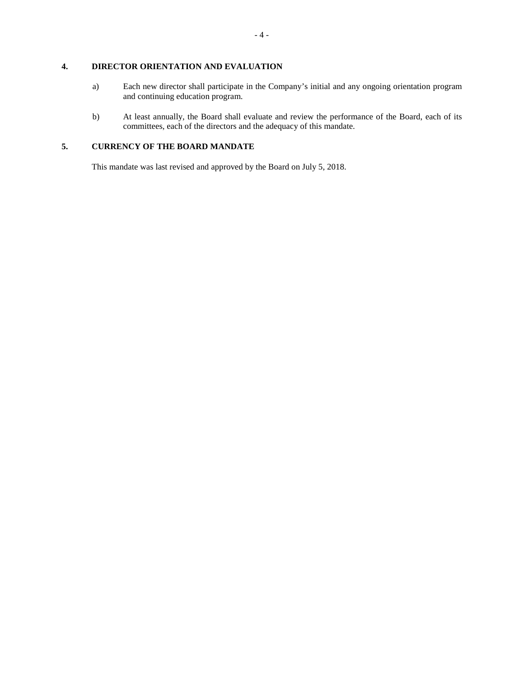# **4. DIRECTOR ORIENTATION AND EVALUATION**

- a) Each new director shall participate in the Company's initial and any ongoing orientation program and continuing education program.
- b) At least annually, the Board shall evaluate and review the performance of the Board, each of its committees, each of the directors and the adequacy of this mandate.

# **5. CURRENCY OF THE BOARD MANDATE**

This mandate was last revised and approved by the Board on July 5, 2018.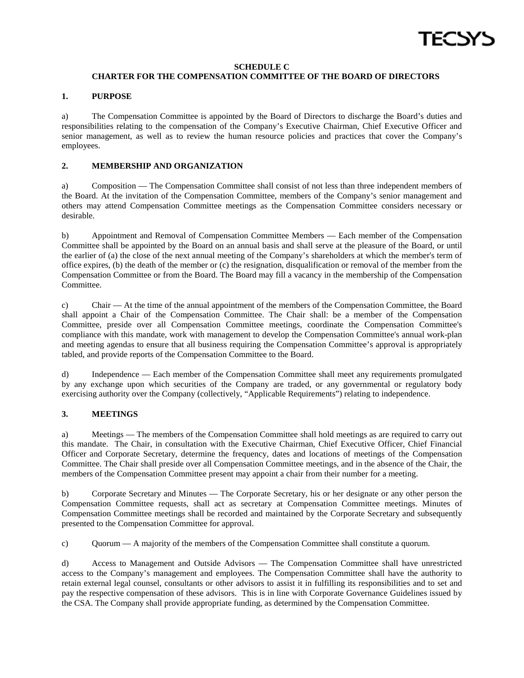

# **SCHEDULE C**

# **CHARTER FOR THE COMPENSATION COMMITTEE OF THE BOARD OF DIRECTORS**

# **1. PURPOSE**

a) The Compensation Committee is appointed by the Board of Directors to discharge the Board's duties and responsibilities relating to the compensation of the Company's Executive Chairman, Chief Executive Officer and senior management, as well as to review the human resource policies and practices that cover the Company's employees.

# **2. MEMBERSHIP AND ORGANIZATION**

a) Composition — The Compensation Committee shall consist of not less than three independent members of the Board. At the invitation of the Compensation Committee, members of the Company's senior management and others may attend Compensation Committee meetings as the Compensation Committee considers necessary or desirable.

b) Appointment and Removal of Compensation Committee Members — Each member of the Compensation Committee shall be appointed by the Board on an annual basis and shall serve at the pleasure of the Board, or until the earlier of (a) the close of the next annual meeting of the Company's shareholders at which the member's term of office expires, (b) the death of the member or (c) the resignation, disqualification or removal of the member from the Compensation Committee or from the Board. The Board may fill a vacancy in the membership of the Compensation Committee.

c) Chair — At the time of the annual appointment of the members of the Compensation Committee, the Board shall appoint a Chair of the Compensation Committee. The Chair shall: be a member of the Compensation Committee, preside over all Compensation Committee meetings, coordinate the Compensation Committee's compliance with this mandate, work with management to develop the Compensation Committee's annual work-plan and meeting agendas to ensure that all business requiring the Compensation Committee's approval is appropriately tabled, and provide reports of the Compensation Committee to the Board.

d) Independence — Each member of the Compensation Committee shall meet any requirements promulgated by any exchange upon which securities of the Company are traded, or any governmental or regulatory body exercising authority over the Company (collectively, "Applicable Requirements") relating to independence.

# **3. MEETINGS**

a) Meetings — The members of the Compensation Committee shall hold meetings as are required to carry out this mandate. The Chair, in consultation with the Executive Chairman, Chief Executive Officer, Chief Financial Officer and Corporate Secretary, determine the frequency, dates and locations of meetings of the Compensation Committee. The Chair shall preside over all Compensation Committee meetings, and in the absence of the Chair, the members of the Compensation Committee present may appoint a chair from their number for a meeting.

b) Corporate Secretary and Minutes — The Corporate Secretary, his or her designate or any other person the Compensation Committee requests, shall act as secretary at Compensation Committee meetings. Minutes of Compensation Committee meetings shall be recorded and maintained by the Corporate Secretary and subsequently presented to the Compensation Committee for approval.

c) Quorum — A majority of the members of the Compensation Committee shall constitute a quorum.

d) Access to Management and Outside Advisors — The Compensation Committee shall have unrestricted access to the Company's management and employees. The Compensation Committee shall have the authority to retain external legal counsel, consultants or other advisors to assist it in fulfilling its responsibilities and to set and pay the respective compensation of these advisors. This is in line with Corporate Governance Guidelines issued by the CSA. The Company shall provide appropriate funding, as determined by the Compensation Committee.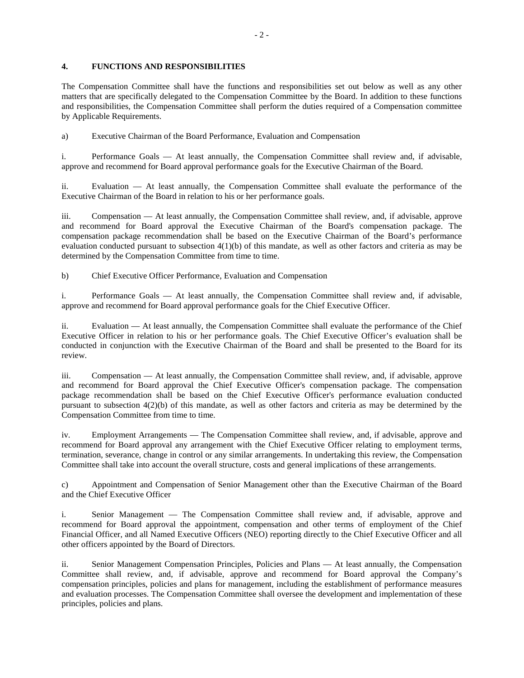# **4. FUNCTIONS AND RESPONSIBILITIES**

The Compensation Committee shall have the functions and responsibilities set out below as well as any other matters that are specifically delegated to the Compensation Committee by the Board. In addition to these functions and responsibilities, the Compensation Committee shall perform the duties required of a Compensation committee by Applicable Requirements.

a) Executive Chairman of the Board Performance, Evaluation and Compensation

i. Performance Goals — At least annually, the Compensation Committee shall review and, if advisable, approve and recommend for Board approval performance goals for the Executive Chairman of the Board.

ii. Evaluation — At least annually, the Compensation Committee shall evaluate the performance of the Executive Chairman of the Board in relation to his or her performance goals.

iii. Compensation — At least annually, the Compensation Committee shall review, and, if advisable, approve and recommend for Board approval the Executive Chairman of the Board's compensation package. The compensation package recommendation shall be based on the Executive Chairman of the Board's performance evaluation conducted pursuant to subsection 4(1)(b) of this mandate, as well as other factors and criteria as may be determined by the Compensation Committee from time to time.

b) Chief Executive Officer Performance, Evaluation and Compensation

i. Performance Goals — At least annually, the Compensation Committee shall review and, if advisable, approve and recommend for Board approval performance goals for the Chief Executive Officer.

ii. Evaluation — At least annually, the Compensation Committee shall evaluate the performance of the Chief Executive Officer in relation to his or her performance goals. The Chief Executive Officer's evaluation shall be conducted in conjunction with the Executive Chairman of the Board and shall be presented to the Board for its review.

iii. Compensation — At least annually, the Compensation Committee shall review, and, if advisable, approve and recommend for Board approval the Chief Executive Officer's compensation package. The compensation package recommendation shall be based on the Chief Executive Officer's performance evaluation conducted pursuant to subsection 4(2)(b) of this mandate, as well as other factors and criteria as may be determined by the Compensation Committee from time to time.

iv. Employment Arrangements — The Compensation Committee shall review, and, if advisable, approve and recommend for Board approval any arrangement with the Chief Executive Officer relating to employment terms, termination, severance, change in control or any similar arrangements. In undertaking this review, the Compensation Committee shall take into account the overall structure, costs and general implications of these arrangements.

c) Appointment and Compensation of Senior Management other than the Executive Chairman of the Board and the Chief Executive Officer

i. Senior Management — The Compensation Committee shall review and, if advisable, approve and recommend for Board approval the appointment, compensation and other terms of employment of the Chief Financial Officer, and all Named Executive Officers (NEO) reporting directly to the Chief Executive Officer and all other officers appointed by the Board of Directors.

ii. Senior Management Compensation Principles, Policies and Plans — At least annually, the Compensation Committee shall review, and, if advisable, approve and recommend for Board approval the Company's compensation principles, policies and plans for management, including the establishment of performance measures and evaluation processes. The Compensation Committee shall oversee the development and implementation of these principles, policies and plans.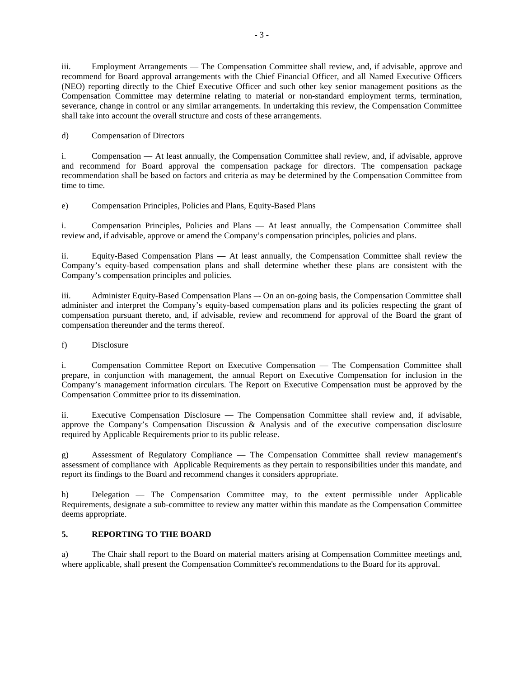iii. Employment Arrangements — The Compensation Committee shall review, and, if advisable, approve and recommend for Board approval arrangements with the Chief Financial Officer, and all Named Executive Officers (NEO) reporting directly to the Chief Executive Officer and such other key senior management positions as the Compensation Committee may determine relating to material or non-standard employment terms, termination, severance, change in control or any similar arrangements. In undertaking this review, the Compensation Committee shall take into account the overall structure and costs of these arrangements.

d) Compensation of Directors

i. Compensation — At least annually, the Compensation Committee shall review, and, if advisable, approve and recommend for Board approval the compensation package for directors. The compensation package recommendation shall be based on factors and criteria as may be determined by the Compensation Committee from time to time.

e) Compensation Principles, Policies and Plans, Equity-Based Plans

i. Compensation Principles, Policies and Plans — At least annually, the Compensation Committee shall review and, if advisable, approve or amend the Company's compensation principles, policies and plans.

ii. Equity-Based Compensation Plans — At least annually, the Compensation Committee shall review the Company's equity-based compensation plans and shall determine whether these plans are consistent with the Company's compensation principles and policies.

iii. Administer Equity-Based Compensation Plans –- On an on-going basis, the Compensation Committee shall administer and interpret the Company's equity-based compensation plans and its policies respecting the grant of compensation pursuant thereto, and, if advisable, review and recommend for approval of the Board the grant of compensation thereunder and the terms thereof.

f) Disclosure

i. Compensation Committee Report on Executive Compensation — The Compensation Committee shall prepare, in conjunction with management, the annual Report on Executive Compensation for inclusion in the Company's management information circulars. The Report on Executive Compensation must be approved by the Compensation Committee prior to its dissemination.

ii. Executive Compensation Disclosure — The Compensation Committee shall review and, if advisable, approve the Company's Compensation Discussion & Analysis and of the executive compensation disclosure required by Applicable Requirements prior to its public release.

g) Assessment of Regulatory Compliance — The Compensation Committee shall review management's assessment of compliance with Applicable Requirements as they pertain to responsibilities under this mandate, and report its findings to the Board and recommend changes it considers appropriate.

h) Delegation — The Compensation Committee may, to the extent permissible under Applicable Requirements, designate a sub-committee to review any matter within this mandate as the Compensation Committee deems appropriate.

# **5. REPORTING TO THE BOARD**

a) The Chair shall report to the Board on material matters arising at Compensation Committee meetings and, where applicable, shall present the Compensation Committee's recommendations to the Board for its approval.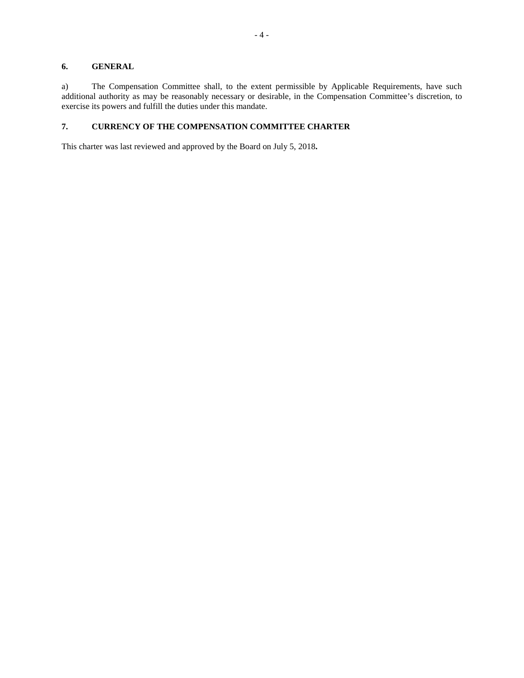# **6. GENERAL**

a) The Compensation Committee shall, to the extent permissible by Applicable Requirements, have such additional authority as may be reasonably necessary or desirable, in the Compensation Committee's discretion, to exercise its powers and fulfill the duties under this mandate.

# **7. CURRENCY OF THE COMPENSATION COMMITTEE CHARTER**

This charter was last reviewed and approved by the Board on July 5, 2018**.**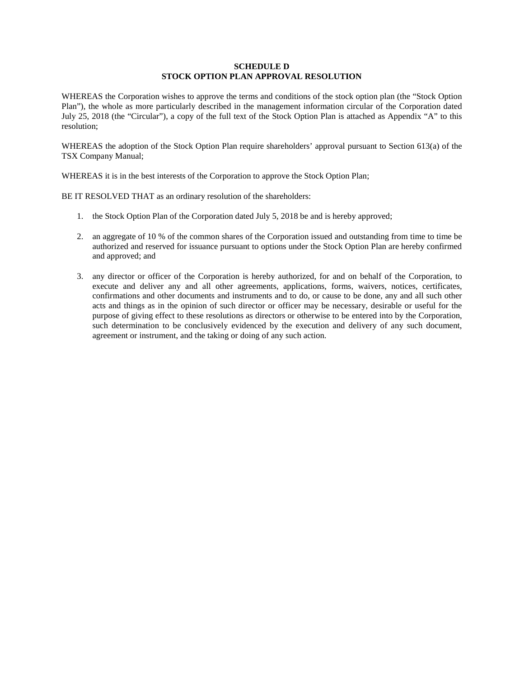# **SCHEDULE D STOCK OPTION PLAN APPROVAL RESOLUTION**

WHEREAS the Corporation wishes to approve the terms and conditions of the stock option plan (the "Stock Option Plan"), the whole as more particularly described in the management information circular of the Corporation dated July 25, 2018 (the "Circular"), a copy of the full text of the Stock Option Plan is attached as Appendix "A" to this resolution;

WHEREAS the adoption of the Stock Option Plan require shareholders' approval pursuant to Section 613(a) of the TSX Company Manual;

WHEREAS it is in the best interests of the Corporation to approve the Stock Option Plan;

BE IT RESOLVED THAT as an ordinary resolution of the shareholders:

- 1. the Stock Option Plan of the Corporation dated July 5, 2018 be and is hereby approved;
- 2. an aggregate of 10 % of the common shares of the Corporation issued and outstanding from time to time be authorized and reserved for issuance pursuant to options under the Stock Option Plan are hereby confirmed and approved; and
- 3. any director or officer of the Corporation is hereby authorized, for and on behalf of the Corporation, to execute and deliver any and all other agreements, applications, forms, waivers, notices, certificates, confirmations and other documents and instruments and to do, or cause to be done, any and all such other acts and things as in the opinion of such director or officer may be necessary, desirable or useful for the purpose of giving effect to these resolutions as directors or otherwise to be entered into by the Corporation, such determination to be conclusively evidenced by the execution and delivery of any such document, agreement or instrument, and the taking or doing of any such action.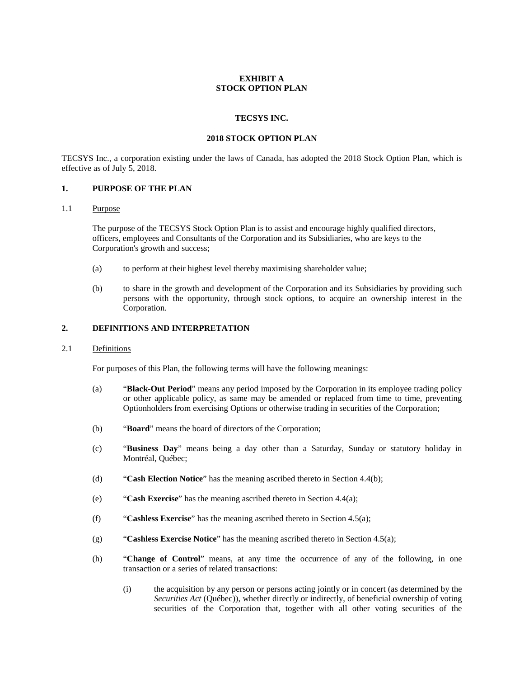# **EXHIBIT A STOCK OPTION PLAN**

# **TECSYS INC.**

## **2018 STOCK OPTION PLAN**

TECSYS Inc., a corporation existing under the laws of Canada, has adopted the 2018 Stock Option Plan, which is effective as of July 5, 2018.

# **1. PURPOSE OF THE PLAN**

# 1.1 Purpose

The purpose of the TECSYS Stock Option Plan is to assist and encourage highly qualified directors, officers, employees and Consultants of the Corporation and its Subsidiaries, who are keys to the Corporation's growth and success;

- (a) to perform at their highest level thereby maximising shareholder value;
- (b) to share in the growth and development of the Corporation and its Subsidiaries by providing such persons with the opportunity, through stock options, to acquire an ownership interest in the Corporation.

## **2. DEFINITIONS AND INTERPRETATION**

### 2.1 Definitions

For purposes of this Plan, the following terms will have the following meanings:

- (a) "**Black-Out Period**" means any period imposed by the Corporation in its employee trading policy or other applicable policy, as same may be amended or replaced from time to time, preventing Optionholders from exercising Options or otherwise trading in securities of the Corporation;
- (b) "**Board**" means the board of directors of the Corporation;
- (c) "**Business Day**" means being a day other than a Saturday, Sunday or statutory holiday in Montréal, Québec;
- (d) "**Cash Election Notice**" has the meaning ascribed thereto in Section 4.4(b);
- (e) "**Cash Exercise**" has the meaning ascribed thereto in Section 4.4(a);
- (f) "**Cashless Exercise**" has the meaning ascribed thereto in Section 4.5(a);
- (g) "**Cashless Exercise Notice**" has the meaning ascribed thereto in Section 4.5(a);
- (h) "**Change of Control**" means, at any time the occurrence of any of the following, in one transaction or a series of related transactions:
	- (i) the acquisition by any person or persons acting jointly or in concert (as determined by the *Securities Act* (Québec)), whether directly or indirectly, of beneficial ownership of voting securities of the Corporation that, together with all other voting securities of the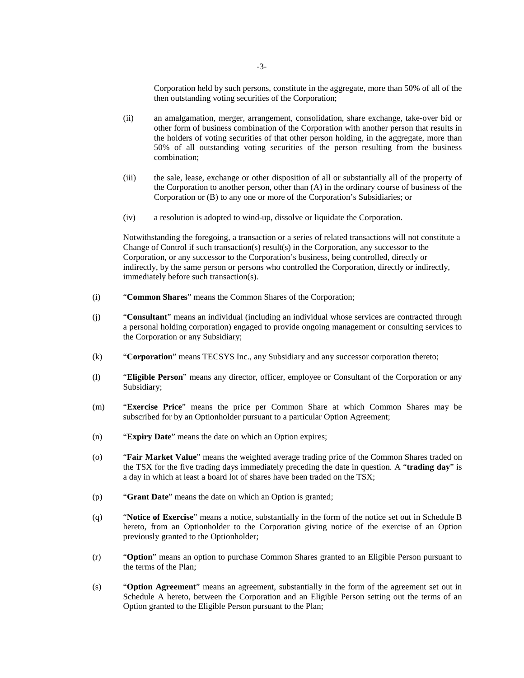Corporation held by such persons, constitute in the aggregate, more than 50% of all of the then outstanding voting securities of the Corporation;

- (ii) an amalgamation, merger, arrangement, consolidation, share exchange, take-over bid or other form of business combination of the Corporation with another person that results in the holders of voting securities of that other person holding, in the aggregate, more than 50% of all outstanding voting securities of the person resulting from the business combination;
- (iii) the sale, lease, exchange or other disposition of all or substantially all of the property of the Corporation to another person, other than (A) in the ordinary course of business of the Corporation or (B) to any one or more of the Corporation's Subsidiaries; or
- (iv) a resolution is adopted to wind-up, dissolve or liquidate the Corporation.

Notwithstanding the foregoing, a transaction or a series of related transactions will not constitute a Change of Control if such transaction(s) result(s) in the Corporation, any successor to the Corporation, or any successor to the Corporation's business, being controlled, directly or indirectly, by the same person or persons who controlled the Corporation, directly or indirectly, immediately before such transaction(s).

- (i) "**Common Shares**" means the Common Shares of the Corporation;
- (j) "**Consultant**" means an individual (including an individual whose services are contracted through a personal holding corporation) engaged to provide ongoing management or consulting services to the Corporation or any Subsidiary;
- (k) "**Corporation**" means TECSYS Inc., any Subsidiary and any successor corporation thereto;
- (l) "**Eligible Person**" means any director, officer, employee or Consultant of the Corporation or any Subsidiary;
- (m) "**Exercise Price**" means the price per Common Share at which Common Shares may be subscribed for by an Optionholder pursuant to a particular Option Agreement;
- (n) "**Expiry Date**" means the date on which an Option expires;
- (o) "**Fair Market Value**" means the weighted average trading price of the Common Shares traded on the TSX for the five trading days immediately preceding the date in question. A "**trading day**" is a day in which at least a board lot of shares have been traded on the TSX;
- (p) "**Grant Date**" means the date on which an Option is granted;
- (q) "**Notice of Exercise**" means a notice, substantially in the form of the notice set out in Schedule B hereto, from an Optionholder to the Corporation giving notice of the exercise of an Option previously granted to the Optionholder;
- (r) "**Option**" means an option to purchase Common Shares granted to an Eligible Person pursuant to the terms of the Plan;
- (s) "**Option Agreement**" means an agreement, substantially in the form of the agreement set out in Schedule A hereto, between the Corporation and an Eligible Person setting out the terms of an Option granted to the Eligible Person pursuant to the Plan;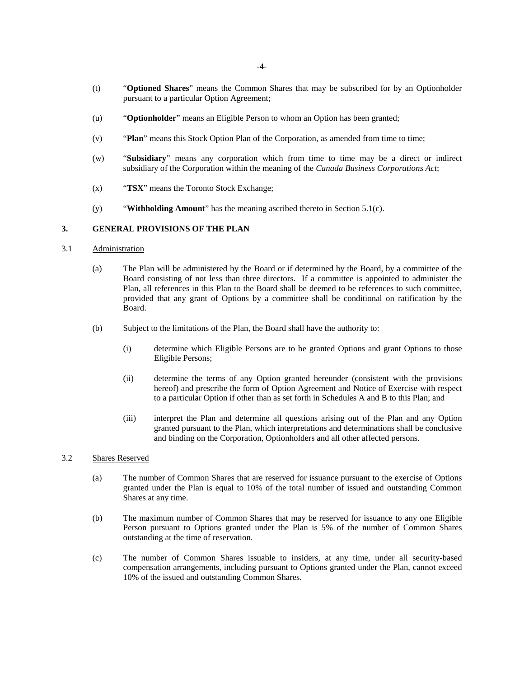- (t) "**Optioned Shares**" means the Common Shares that may be subscribed for by an Optionholder pursuant to a particular Option Agreement;
- (u) "**Optionholder**" means an Eligible Person to whom an Option has been granted;
- (v) "**Plan**" means this Stock Option Plan of the Corporation, as amended from time to time;
- (w) "**Subsidiary**" means any corporation which from time to time may be a direct or indirect subsidiary of the Corporation within the meaning of the *Canada Business Corporations Act*;
- (x) "**TSX**" means the Toronto Stock Exchange;
- (y) "**Withholding Amount**" has the meaning ascribed thereto in Section 5.1(c).

## **3. GENERAL PROVISIONS OF THE PLAN**

## 3.1 Administration

- (a) The Plan will be administered by the Board or if determined by the Board, by a committee of the Board consisting of not less than three directors. If a committee is appointed to administer the Plan, all references in this Plan to the Board shall be deemed to be references to such committee, provided that any grant of Options by a committee shall be conditional on ratification by the Board.
- (b) Subject to the limitations of the Plan, the Board shall have the authority to:
	- (i) determine which Eligible Persons are to be granted Options and grant Options to those Eligible Persons;
	- (ii) determine the terms of any Option granted hereunder (consistent with the provisions hereof) and prescribe the form of Option Agreement and Notice of Exercise with respect to a particular Option if other than as set forth in Schedules A and B to this Plan; and
	- (iii) interpret the Plan and determine all questions arising out of the Plan and any Option granted pursuant to the Plan, which interpretations and determinations shall be conclusive and binding on the Corporation, Optionholders and all other affected persons.

# 3.2 Shares Reserved

- (a) The number of Common Shares that are reserved for issuance pursuant to the exercise of Options granted under the Plan is equal to 10% of the total number of issued and outstanding Common Shares at any time.
- (b) The maximum number of Common Shares that may be reserved for issuance to any one Eligible Person pursuant to Options granted under the Plan is 5% of the number of Common Shares outstanding at the time of reservation.
- (c) The number of Common Shares issuable to insiders, at any time, under all security-based compensation arrangements, including pursuant to Options granted under the Plan, cannot exceed 10% of the issued and outstanding Common Shares.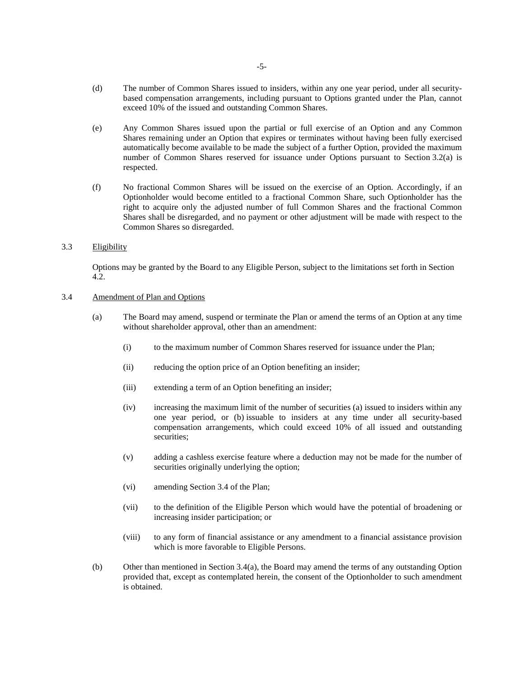- (d) The number of Common Shares issued to insiders, within any one year period, under all securitybased compensation arrangements, including pursuant to Options granted under the Plan, cannot exceed 10% of the issued and outstanding Common Shares.
- (e) Any Common Shares issued upon the partial or full exercise of an Option and any Common Shares remaining under an Option that expires or terminates without having been fully exercised automatically become available to be made the subject of a further Option, provided the maximum number of Common Shares reserved for issuance under Options pursuant to Section 3.2(a) is respected.
- (f) No fractional Common Shares will be issued on the exercise of an Option. Accordingly, if an Optionholder would become entitled to a fractional Common Share, such Optionholder has the right to acquire only the adjusted number of full Common Shares and the fractional Common Shares shall be disregarded, and no payment or other adjustment will be made with respect to the Common Shares so disregarded.

## 3.3 Eligibility

Options may be granted by the Board to any Eligible Person, subject to the limitations set forth in Section 4.2.

## 3.4 Amendment of Plan and Options

- (a) The Board may amend, suspend or terminate the Plan or amend the terms of an Option at any time without shareholder approval, other than an amendment:
	- (i) to the maximum number of Common Shares reserved for issuance under the Plan;
	- (ii) reducing the option price of an Option benefiting an insider;
	- (iii) extending a term of an Option benefiting an insider;
	- (iv) increasing the maximum limit of the number of securities (a) issued to insiders within any one year period, or (b) issuable to insiders at any time under all security-based compensation arrangements, which could exceed 10% of all issued and outstanding securities;
	- (v) adding a cashless exercise feature where a deduction may not be made for the number of securities originally underlying the option;
	- (vi) amending Section 3.4 of the Plan;
	- (vii) to the definition of the Eligible Person which would have the potential of broadening or increasing insider participation; or
	- (viii) to any form of financial assistance or any amendment to a financial assistance provision which is more favorable to Eligible Persons.
- (b) Other than mentioned in Section 3.4(a), the Board may amend the terms of any outstanding Option provided that, except as contemplated herein, the consent of the Optionholder to such amendment is obtained.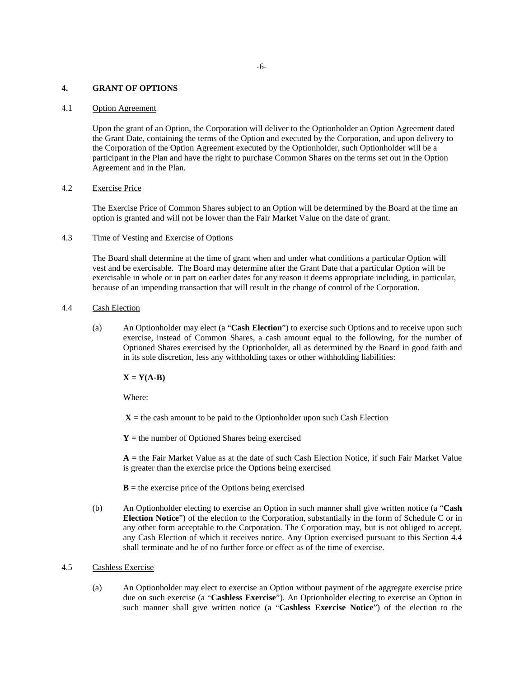### **4. GRANT OF OPTIONS**

# 4.1 Option Agreement

Upon the grant of an Option, the Corporation will deliver to the Optionholder an Option Agreement dated the Grant Date, containing the terms of the Option and executed by the Corporation, and upon delivery to the Corporation of the Option Agreement executed by the Optionholder, such Optionholder will be a participant in the Plan and have the right to purchase Common Shares on the terms set out in the Option Agreement and in the Plan.

## 4.2 Exercise Price

The Exercise Price of Common Shares subject to an Option will be determined by the Board at the time an option is granted and will not be lower than the Fair Market Value on the date of grant.

## 4.3 Time of Vesting and Exercise of Options

The Board shall determine at the time of grant when and under what conditions a particular Option will vest and be exercisable. The Board may determine after the Grant Date that a particular Option will be exercisable in whole or in part on earlier dates for any reason it deems appropriate including, in particular, because of an impending transaction that will result in the change of control of the Corporation.

## 4.4 Cash Election

(a) An Optionholder may elect (a "**Cash Election**") to exercise such Options and to receive upon such exercise, instead of Common Shares, a cash amount equal to the following, for the number of Optioned Shares exercised by the Optionholder, all as determined by the Board in good faith and in its sole discretion, less any withholding taxes or other withholding liabilities:

 $X = Y(A-B)$ 

Where:

 $X =$  the cash amount to be paid to the Optionholder upon such Cash Election

 $Y =$  the number of Optioned Shares being exercised

 $A =$  the Fair Market Value as at the date of such Cash Election Notice, if such Fair Market Value is greater than the exercise price the Options being exercised

 **= the exercise price of the Options being exercised** 

(b) An Optionholder electing to exercise an Option in such manner shall give written notice (a "**Cash Election Notice**") of the election to the Corporation, substantially in the form of Schedule C or in any other form acceptable to the Corporation. The Corporation may, but is not obliged to accept, any Cash Election of which it receives notice. Any Option exercised pursuant to this Section 4.4 shall terminate and be of no further force or effect as of the time of exercise.

### 4.5 Cashless Exercise

(a) An Optionholder may elect to exercise an Option without payment of the aggregate exercise price due on such exercise (a "**Cashless Exercise**"). An Optionholder electing to exercise an Option in such manner shall give written notice (a "**Cashless Exercise Notice**") of the election to the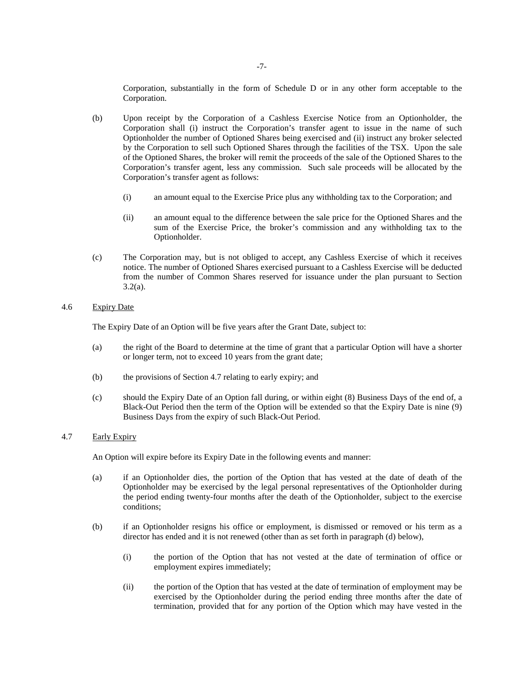Corporation, substantially in the form of Schedule D or in any other form acceptable to the Corporation.

- (b) Upon receipt by the Corporation of a Cashless Exercise Notice from an Optionholder, the Corporation shall (i) instruct the Corporation's transfer agent to issue in the name of such Optionholder the number of Optioned Shares being exercised and (ii) instruct any broker selected by the Corporation to sell such Optioned Shares through the facilities of the TSX. Upon the sale of the Optioned Shares, the broker will remit the proceeds of the sale of the Optioned Shares to the Corporation's transfer agent, less any commission. Such sale proceeds will be allocated by the Corporation's transfer agent as follows:
	- (i) an amount equal to the Exercise Price plus any withholding tax to the Corporation; and
	- (ii) an amount equal to the difference between the sale price for the Optioned Shares and the sum of the Exercise Price, the broker's commission and any withholding tax to the Optionholder.
- (c) The Corporation may, but is not obliged to accept, any Cashless Exercise of which it receives notice. The number of Optioned Shares exercised pursuant to a Cashless Exercise will be deducted from the number of Common Shares reserved for issuance under the plan pursuant to Section  $3.2(a)$ .

## 4.6 Expiry Date

The Expiry Date of an Option will be five years after the Grant Date, subject to:

- (a) the right of the Board to determine at the time of grant that a particular Option will have a shorter or longer term, not to exceed 10 years from the grant date;
- (b) the provisions of Section 4.7 relating to early expiry; and
- (c) should the Expiry Date of an Option fall during, or within eight (8) Business Days of the end of, a Black-Out Period then the term of the Option will be extended so that the Expiry Date is nine (9) Business Days from the expiry of such Black-Out Period.

# 4.7 Early Expiry

An Option will expire before its Expiry Date in the following events and manner:

- (a) if an Optionholder dies, the portion of the Option that has vested at the date of death of the Optionholder may be exercised by the legal personal representatives of the Optionholder during the period ending twenty-four months after the death of the Optionholder, subject to the exercise conditions;
- (b) if an Optionholder resigns his office or employment, is dismissed or removed or his term as a director has ended and it is not renewed (other than as set forth in paragraph (d) below),
	- (i) the portion of the Option that has not vested at the date of termination of office or employment expires immediately;
	- (ii) the portion of the Option that has vested at the date of termination of employment may be exercised by the Optionholder during the period ending three months after the date of termination, provided that for any portion of the Option which may have vested in the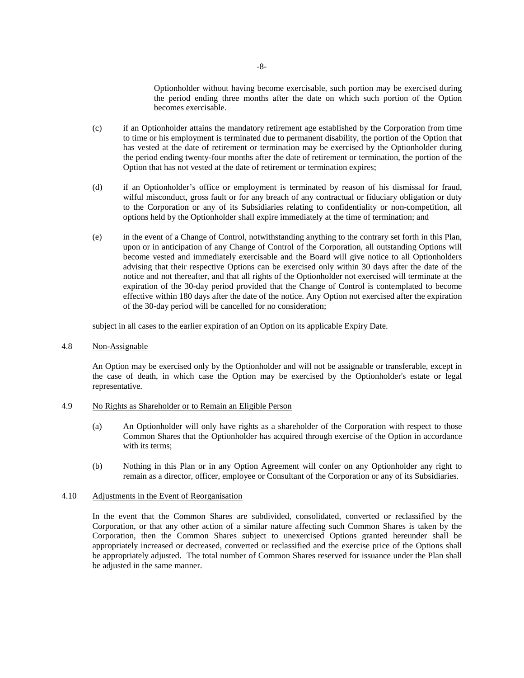Optionholder without having become exercisable, such portion may be exercised during the period ending three months after the date on which such portion of the Option becomes exercisable.

- (c) if an Optionholder attains the mandatory retirement age established by the Corporation from time to time or his employment is terminated due to permanent disability, the portion of the Option that has vested at the date of retirement or termination may be exercised by the Optionholder during the period ending twenty-four months after the date of retirement or termination, the portion of the Option that has not vested at the date of retirement or termination expires;
- (d) if an Optionholder's office or employment is terminated by reason of his dismissal for fraud, wilful misconduct, gross fault or for any breach of any contractual or fiduciary obligation or duty to the Corporation or any of its Subsidiaries relating to confidentiality or non-competition, all options held by the Optionholder shall expire immediately at the time of termination; and
- (e) in the event of a Change of Control, notwithstanding anything to the contrary set forth in this Plan, upon or in anticipation of any Change of Control of the Corporation, all outstanding Options will become vested and immediately exercisable and the Board will give notice to all Optionholders advising that their respective Options can be exercised only within 30 days after the date of the notice and not thereafter, and that all rights of the Optionholder not exercised will terminate at the expiration of the 30-day period provided that the Change of Control is contemplated to become effective within 180 days after the date of the notice. Any Option not exercised after the expiration of the 30-day period will be cancelled for no consideration;

subject in all cases to the earlier expiration of an Option on its applicable Expiry Date.

4.8 Non-Assignable

An Option may be exercised only by the Optionholder and will not be assignable or transferable, except in the case of death, in which case the Option may be exercised by the Optionholder's estate or legal representative.

## 4.9 No Rights as Shareholder or to Remain an Eligible Person

- (a) An Optionholder will only have rights as a shareholder of the Corporation with respect to those Common Shares that the Optionholder has acquired through exercise of the Option in accordance with its terms:
- (b) Nothing in this Plan or in any Option Agreement will confer on any Optionholder any right to remain as a director, officer, employee or Consultant of the Corporation or any of its Subsidiaries.

# 4.10 Adjustments in the Event of Reorganisation

In the event that the Common Shares are subdivided, consolidated, converted or reclassified by the Corporation, or that any other action of a similar nature affecting such Common Shares is taken by the Corporation, then the Common Shares subject to unexercised Options granted hereunder shall be appropriately increased or decreased, converted or reclassified and the exercise price of the Options shall be appropriately adjusted. The total number of Common Shares reserved for issuance under the Plan shall be adjusted in the same manner.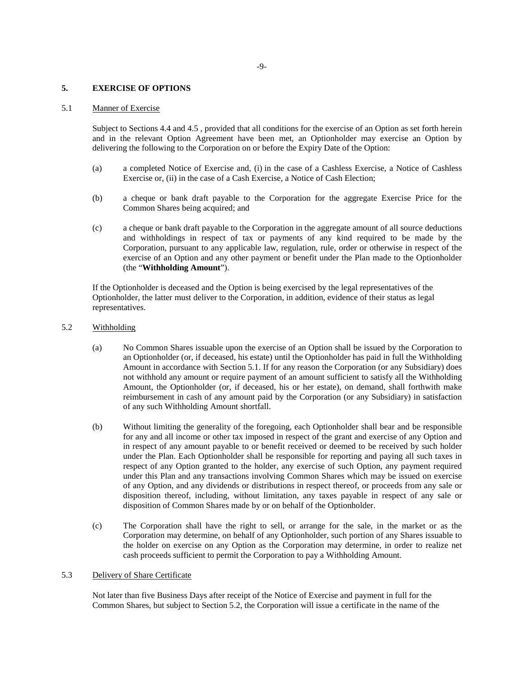### **5. EXERCISE OF OPTIONS**

# 5.1 Manner of Exercise

Subject to Sections 4.4 and 4.5 , provided that all conditions for the exercise of an Option as set forth herein and in the relevant Option Agreement have been met, an Optionholder may exercise an Option by delivering the following to the Corporation on or before the Expiry Date of the Option:

- (a) a completed Notice of Exercise and, (i) in the case of a Cashless Exercise, a Notice of Cashless Exercise or, (ii) in the case of a Cash Exercise, a Notice of Cash Election;
- (b) a cheque or bank draft payable to the Corporation for the aggregate Exercise Price for the Common Shares being acquired; and
- (c) a cheque or bank draft payable to the Corporation in the aggregate amount of all source deductions and withholdings in respect of tax or payments of any kind required to be made by the Corporation, pursuant to any applicable law, regulation, rule, order or otherwise in respect of the exercise of an Option and any other payment or benefit under the Plan made to the Optionholder (the "**Withholding Amount**").

If the Optionholder is deceased and the Option is being exercised by the legal representatives of the Optionholder, the latter must deliver to the Corporation, in addition, evidence of their status as legal representatives.

- 5.2 Withholding
	- (a) No Common Shares issuable upon the exercise of an Option shall be issued by the Corporation to an Optionholder (or, if deceased, his estate) until the Optionholder has paid in full the Withholding Amount in accordance with Section 5.1. If for any reason the Corporation (or any Subsidiary) does not withhold any amount or require payment of an amount sufficient to satisfy all the Withholding Amount, the Optionholder (or, if deceased, his or her estate), on demand, shall forthwith make reimbursement in cash of any amount paid by the Corporation (or any Subsidiary) in satisfaction of any such Withholding Amount shortfall.
	- (b) Without limiting the generality of the foregoing, each Optionholder shall bear and be responsible for any and all income or other tax imposed in respect of the grant and exercise of any Option and in respect of any amount payable to or benefit received or deemed to be received by such holder under the Plan. Each Optionholder shall be responsible for reporting and paying all such taxes in respect of any Option granted to the holder, any exercise of such Option, any payment required under this Plan and any transactions involving Common Shares which may be issued on exercise of any Option, and any dividends or distributions in respect thereof, or proceeds from any sale or disposition thereof, including, without limitation, any taxes payable in respect of any sale or disposition of Common Shares made by or on behalf of the Optionholder.
	- (c) The Corporation shall have the right to sell, or arrange for the sale, in the market or as the Corporation may determine, on behalf of any Optionholder, such portion of any Shares issuable to the holder on exercise on any Option as the Corporation may determine, in order to realize net cash proceeds sufficient to permit the Corporation to pay a Withholding Amount.

# 5.3 Delivery of Share Certificate

Not later than five Business Days after receipt of the Notice of Exercise and payment in full for the Common Shares, but subject to Section 5.2, the Corporation will issue a certificate in the name of the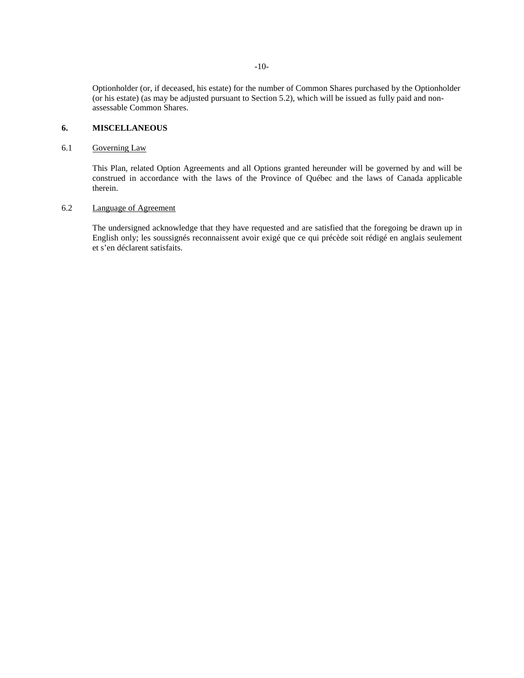Optionholder (or, if deceased, his estate) for the number of Common Shares purchased by the Optionholder (or his estate) (as may be adjusted pursuant to Section 5.2), which will be issued as fully paid and nonassessable Common Shares.

# **6. MISCELLANEOUS**

# 6.1 Governing Law

This Plan, related Option Agreements and all Options granted hereunder will be governed by and will be construed in accordance with the laws of the Province of Québec and the laws of Canada applicable therein.

# 6.2 Language of Agreement

The undersigned acknowledge that they have requested and are satisfied that the foregoing be drawn up in English only; les soussignés reconnaissent avoir exigé que ce qui précède soit rédigé en anglais seulement et s'en déclarent satisfaits.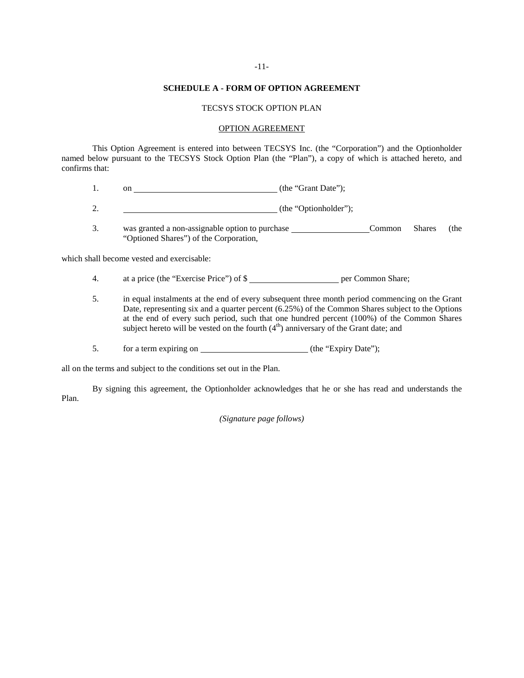### **SCHEDULE A - FORM OF OPTION AGREEMENT**

### TECSYS STOCK OPTION PLAN

### OPTION AGREEMENT

This Option Agreement is entered into between TECSYS Inc. (the "Corporation") and the Optionholder named below pursuant to the TECSYS Stock Option Plan (the "Plan"), a copy of which is attached hereto, and confirms that:

1. on <u>contract the "Grant Date"</u>);

2. (the "Optionholder");

3. was granted a non-assignable option to purchase Common Shares (the "Optioned Shares") of the Corporation,

which shall become vested and exercisable:

- 4. at a price (the "Exercise Price") of \$
- 5. in equal instalments at the end of every subsequent three month period commencing on the Grant Date, representing six and a quarter percent (6.25%) of the Common Shares subject to the Options at the end of every such period, such that one hundred percent (100%) of the Common Shares subject hereto will be vested on the fourth  $(4<sup>th</sup>)$  anniversary of the Grant date; and
- 5. for a term expiring on (the "Expiry Date");

all on the terms and subject to the conditions set out in the Plan.

By signing this agreement, the Optionholder acknowledges that he or she has read and understands the Plan.

### *(Signature page follows)*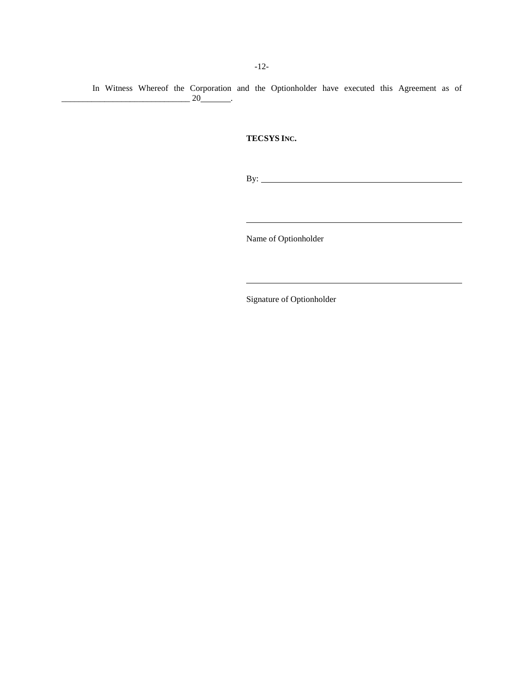In Witness Whereof the Corporation and the Optionholder have executed this Agreement as of  $\overline{\phantom{a}20}$  .

# **TECSYS INC.**

By:

Name of Optionholder

Signature of Optionholder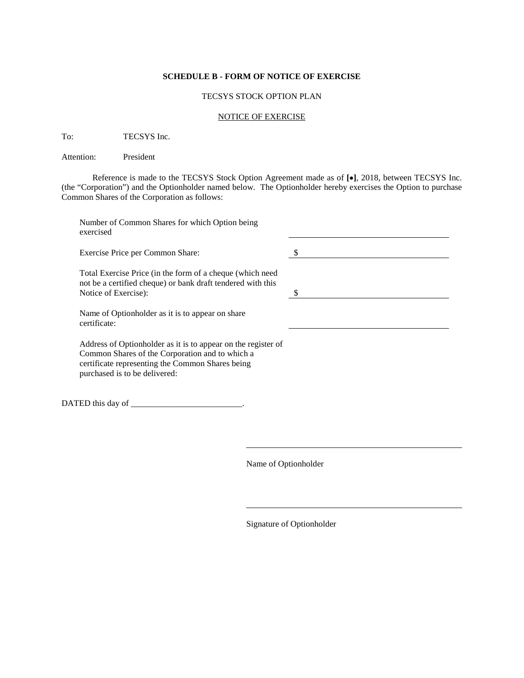# **SCHEDULE B - FORM OF NOTICE OF EXERCISE**

## TECSYS STOCK OPTION PLAN

# NOTICE OF EXERCISE

To: TECSYS Inc.

Attention: President

Reference is made to the TECSYS Stock Option Agreement made as of **[**•**]**, 2018, between TECSYS Inc. (the "Corporation") and the Optionholder named below. The Optionholder hereby exercises the Option to purchase Common Shares of the Corporation as follows:

| Number of Common Shares for which Option being<br>exercised                                                                                                                                           |  |
|-------------------------------------------------------------------------------------------------------------------------------------------------------------------------------------------------------|--|
| Exercise Price per Common Share:                                                                                                                                                                      |  |
| Total Exercise Price (in the form of a cheque (which need<br>not be a certified cheque) or bank draft tendered with this<br>Notice of Exercise):                                                      |  |
| Name of Optionholder as it is to appear on share<br>certificate:                                                                                                                                      |  |
| Address of Optionholder as it is to appear on the register of<br>Common Shares of the Corporation and to which a<br>certificate representing the Common Shares being<br>purchased is to be delivered: |  |
|                                                                                                                                                                                                       |  |

Name of Optionholder

Signature of Optionholder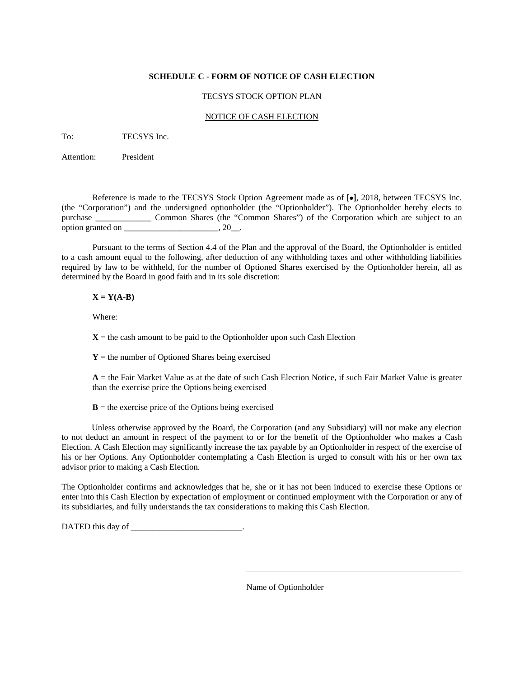# **SCHEDULE C - FORM OF NOTICE OF CASH ELECTION**

# TECSYS STOCK OPTION PLAN

## NOTICE OF CASH ELECTION

To: TECSYS Inc.

Attention: President

Reference is made to the TECSYS Stock Option Agreement made as of **[**•**]**, 2018, between TECSYS Inc. (the "Corporation") and the undersigned optionholder (the "Optionholder"). The Optionholder hereby elects to purchase Common Shares (the "Common Shares") of the Corporation which are subject to an option granted on  $\qquad \qquad$ , 20.

Pursuant to the terms of Section 4.4 of the Plan and the approval of the Board, the Optionholder is entitled to a cash amount equal to the following, after deduction of any withholding taxes and other withholding liabilities required by law to be withheld, for the number of Optioned Shares exercised by the Optionholder herein, all as determined by the Board in good faith and in its sole discretion:

# $X = Y(A-B)$

Where:

 $X =$  the cash amount to be paid to the Optionholder upon such Cash Election

 $Y =$  the number of Optioned Shares being exercised

 $A =$  the Fair Market Value as at the date of such Cash Election Notice, if such Fair Market Value is greater than the exercise price the Options being exercised

 **= the exercise price of the Options being exercised** 

Unless otherwise approved by the Board, the Corporation (and any Subsidiary) will not make any election to not deduct an amount in respect of the payment to or for the benefit of the Optionholder who makes a Cash Election. A Cash Election may significantly increase the tax payable by an Optionholder in respect of the exercise of his or her Options. Any Optionholder contemplating a Cash Election is urged to consult with his or her own tax advisor prior to making a Cash Election.

The Optionholder confirms and acknowledges that he, she or it has not been induced to exercise these Options or enter into this Cash Election by expectation of employment or continued employment with the Corporation or any of its subsidiaries, and fully understands the tax considerations to making this Cash Election.

DATED this day of \_\_\_\_\_\_\_\_\_\_\_\_\_\_\_\_\_\_\_\_\_\_\_\_\_\_\_\_\_\_.

Name of Optionholder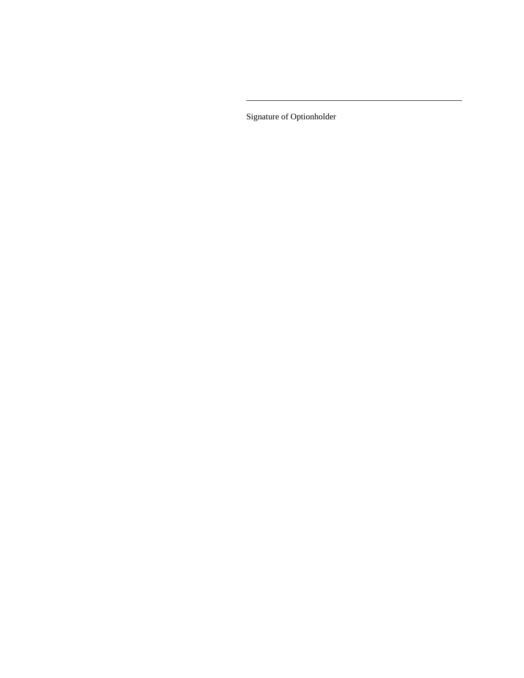Signature of Optionholder